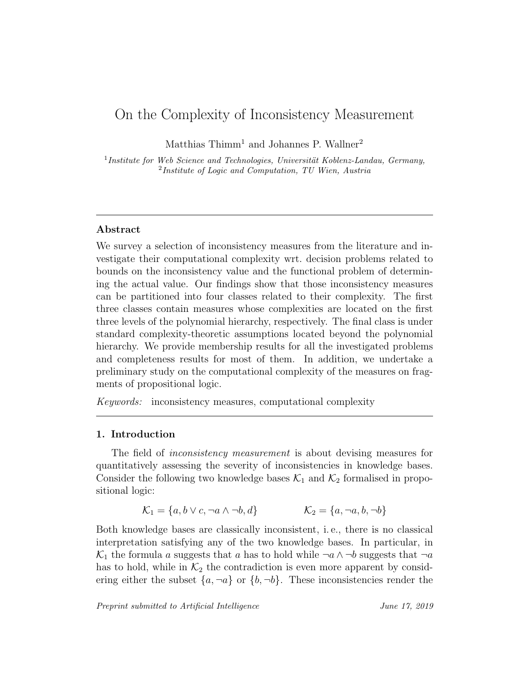# On the Complexity of Inconsistency Measurement

Matthias  $Thimm<sup>1</sup>$  and Johannes P. Wallner<sup>2</sup>

 $<sup>1</sup> Institute for Web Science and Technologies, University Koblenz-Landau, Germany,$ </sup> 2 Institute of Logic and Computation, TU Wien, Austria

### Abstract

We survey a selection of inconsistency measures from the literature and investigate their computational complexity wrt. decision problems related to bounds on the inconsistency value and the functional problem of determining the actual value. Our findings show that those inconsistency measures can be partitioned into four classes related to their complexity. The first three classes contain measures whose complexities are located on the first three levels of the polynomial hierarchy, respectively. The final class is under standard complexity-theoretic assumptions located beyond the polynomial hierarchy. We provide membership results for all the investigated problems and completeness results for most of them. In addition, we undertake a preliminary study on the computational complexity of the measures on fragments of propositional logic.

Keywords: inconsistency measures, computational complexity

### 1. Introduction

The field of *inconsistency measurement* is about devising measures for quantitatively assessing the severity of inconsistencies in knowledge bases. Consider the following two knowledge bases  $\mathcal{K}_1$  and  $\mathcal{K}_2$  formalised in propositional logic:

$$
\mathcal{K}_1 = \{a, b \lor c, \neg a \land \neg b, d\} \qquad \qquad \mathcal{K}_2 = \{a, \neg a, b, \neg b\}
$$

Both knowledge bases are classically inconsistent, i. e., there is no classical interpretation satisfying any of the two knowledge bases. In particular, in  $\mathcal{K}_1$  the formula a suggests that a has to hold while  $\neg a \wedge \neg b$  suggests that  $\neg a$ has to hold, while in  $\mathcal{K}_2$  the contradiction is even more apparent by considering either the subset  $\{a, \neg a\}$  or  $\{b, \neg b\}$ . These inconsistencies render the

Preprint submitted to Artificial Intelligence June 17, 2019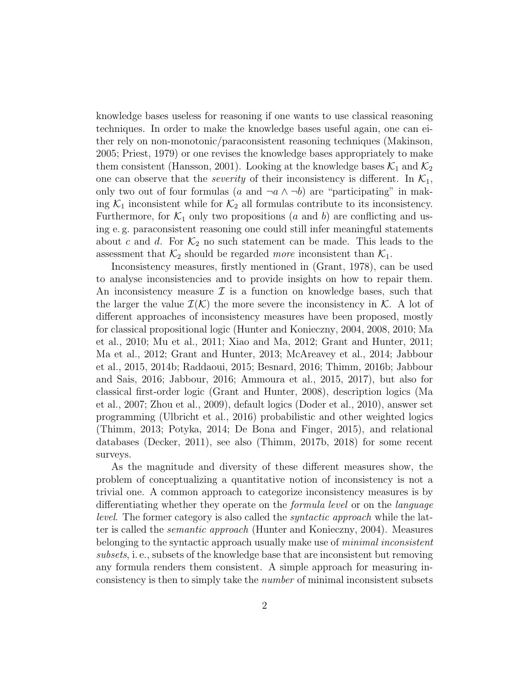knowledge bases useless for reasoning if one wants to use classical reasoning techniques. In order to make the knowledge bases useful again, one can either rely on non-monotonic/paraconsistent reasoning techniques (Makinson, 2005; Priest, 1979) or one revises the knowledge bases appropriately to make them consistent (Hansson, 2001). Looking at the knowledge bases  $\mathcal{K}_1$  and  $\mathcal{K}_2$ one can observe that the *severity* of their inconsistency is different. In  $K_1$ , only two out of four formulas (a and  $\neg a \land \neg b$ ) are "participating" in making  $\mathcal{K}_1$  inconsistent while for  $\mathcal{K}_2$  all formulas contribute to its inconsistency. Furthermore, for  $\mathcal{K}_1$  only two propositions (a and b) are conflicting and using e. g. paraconsistent reasoning one could still infer meaningful statements about c and d. For  $\mathcal{K}_2$  no such statement can be made. This leads to the assessment that  $\mathcal{K}_2$  should be regarded more inconsistent than  $\mathcal{K}_1$ .

Inconsistency measures, firstly mentioned in (Grant, 1978), can be used to analyse inconsistencies and to provide insights on how to repair them. An inconsistency measure  $\mathcal I$  is a function on knowledge bases, such that the larger the value  $\mathcal{I}(\mathcal{K})$  the more severe the inconsistency in K. A lot of different approaches of inconsistency measures have been proposed, mostly for classical propositional logic (Hunter and Konieczny, 2004, 2008, 2010; Ma et al., 2010; Mu et al., 2011; Xiao and Ma, 2012; Grant and Hunter, 2011; Ma et al., 2012; Grant and Hunter, 2013; McAreavey et al., 2014; Jabbour et al., 2015, 2014b; Raddaoui, 2015; Besnard, 2016; Thimm, 2016b; Jabbour and Sais, 2016; Jabbour, 2016; Ammoura et al., 2015, 2017), but also for classical first-order logic (Grant and Hunter, 2008), description logics (Ma et al., 2007; Zhou et al., 2009), default logics (Doder et al., 2010), answer set programming (Ulbricht et al., 2016) probabilistic and other weighted logics (Thimm, 2013; Potyka, 2014; De Bona and Finger, 2015), and relational databases (Decker, 2011), see also (Thimm, 2017b, 2018) for some recent surveys.

As the magnitude and diversity of these different measures show, the problem of conceptualizing a quantitative notion of inconsistency is not a trivial one. A common approach to categorize inconsistency measures is by differentiating whether they operate on the formula level or on the language level. The former category is also called the syntactic approach while the latter is called the semantic approach (Hunter and Konieczny, 2004). Measures belonging to the syntactic approach usually make use of *minimal inconsistent* subsets, i. e., subsets of the knowledge base that are inconsistent but removing any formula renders them consistent. A simple approach for measuring inconsistency is then to simply take the number of minimal inconsistent subsets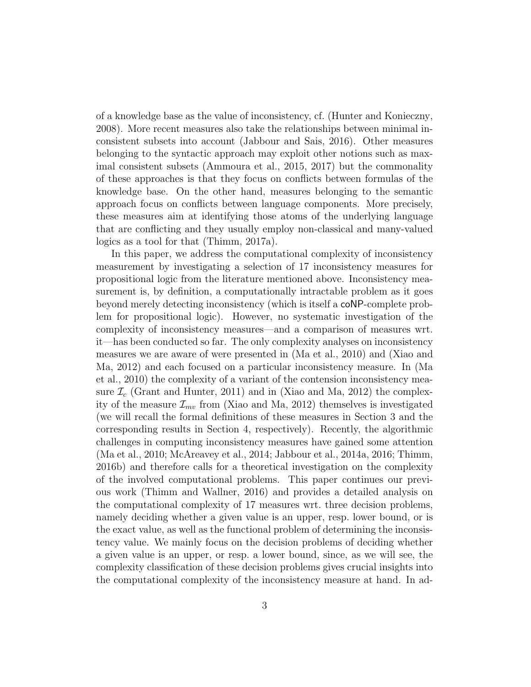of a knowledge base as the value of inconsistency, cf. (Hunter and Konieczny, 2008). More recent measures also take the relationships between minimal inconsistent subsets into account (Jabbour and Sais, 2016). Other measures belonging to the syntactic approach may exploit other notions such as maximal consistent subsets (Ammoura et al., 2015, 2017) but the commonality of these approaches is that they focus on conflicts between formulas of the knowledge base. On the other hand, measures belonging to the semantic approach focus on conflicts between language components. More precisely, these measures aim at identifying those atoms of the underlying language that are conflicting and they usually employ non-classical and many-valued logics as a tool for that (Thimm, 2017a).

In this paper, we address the computational complexity of inconsistency measurement by investigating a selection of 17 inconsistency measures for propositional logic from the literature mentioned above. Inconsistency measurement is, by definition, a computationally intractable problem as it goes beyond merely detecting inconsistency (which is itself a coNP-complete problem for propositional logic). However, no systematic investigation of the complexity of inconsistency measures—and a comparison of measures wrt. it—has been conducted so far. The only complexity analyses on inconsistency measures we are aware of were presented in (Ma et al., 2010) and (Xiao and Ma, 2012) and each focused on a particular inconsistency measure. In (Ma et al., 2010) the complexity of a variant of the contension inconsistency measure  $\mathcal{I}_c$  (Grant and Hunter, 2011) and in (Xiao and Ma, 2012) the complexity of the measure  $\mathcal{I}_{mv}$  from (Xiao and Ma, 2012) themselves is investigated (we will recall the formal definitions of these measures in Section 3 and the corresponding results in Section 4, respectively). Recently, the algorithmic challenges in computing inconsistency measures have gained some attention (Ma et al., 2010; McAreavey et al., 2014; Jabbour et al., 2014a, 2016; Thimm, 2016b) and therefore calls for a theoretical investigation on the complexity of the involved computational problems. This paper continues our previous work (Thimm and Wallner, 2016) and provides a detailed analysis on the computational complexity of 17 measures wrt. three decision problems, namely deciding whether a given value is an upper, resp. lower bound, or is the exact value, as well as the functional problem of determining the inconsistency value. We mainly focus on the decision problems of deciding whether a given value is an upper, or resp. a lower bound, since, as we will see, the complexity classification of these decision problems gives crucial insights into the computational complexity of the inconsistency measure at hand. In ad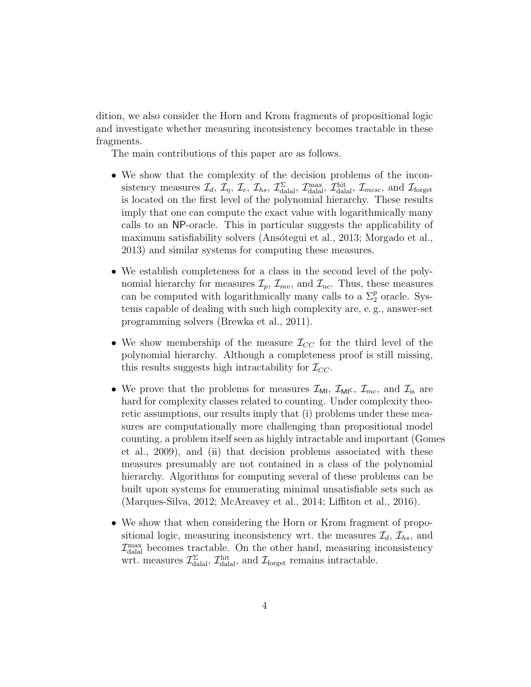dition, we also consider the Horn and Krom fragments of propositional logic and investigate whether measuring inconsistency becomes tractable in these fragments.

The main contributions of this paper are as follows.

- We show that the complexity of the decision problems of the inconsistency measures  $\mathcal{I}_d$ ,  $\mathcal{I}_\eta$ ,  $\mathcal{I}_c$ ,  $\mathcal{I}_{hs}$ ,  $\mathcal{I}_{\text{dala}}^{\Sigma}$ ,  $\mathcal{I}_{\text{dala}}^{\text{max}}$ ,  $\mathcal{I}_{\text{mcsc}}^{\text{hit}}$ , and  $\mathcal{I}_{\text{forget}}$ is located on the first level of the polynomial hierarchy. These results imply that one can compute the exact value with logarithmically many calls to an NP-oracle. This in particular suggests the applicability of maximum satisfiability solvers (Ansótegui et al., 2013; Morgado et al., 2013) and similar systems for computing these measures.
- We establish completeness for a class in the second level of the polynomial hierarchy for measures  $\mathcal{I}_p$ ,  $\mathcal{I}_{mv}$ , and  $\mathcal{I}_{nc}$ . Thus, these measures can be computed with logarithmically many calls to a  $\Sigma_2^p$  oracle. Systems capable of dealing with such high complexity are, e. g., answer-set programming solvers (Brewka et al., 2011).
- We show membership of the measure  $\mathcal{I}_{CC}$  for the third level of the polynomial hierarchy. Although a completeness proof is still missing, this results suggests high intractability for  $\mathcal{I}_{CC}$ .
- We prove that the problems for measures  $\mathcal{I}_{\text{MI}}, \mathcal{I}_{\text{MI}}$ ,  $\mathcal{I}_{mc}$ , and  $\mathcal{I}_{is}$  are hard for complexity classes related to counting. Under complexity theoretic assumptions, our results imply that (i) problems under these measures are computationally more challenging than propositional model counting, a problem itself seen as highly intractable and important (Gomes et al., 2009), and (ii) that decision problems associated with these measures presumably are not contained in a class of the polynomial hierarchy. Algorithms for computing several of these problems can be built upon systems for enumerating minimal unsatisfiable sets such as (Marques-Silva, 2012; McAreavey et al., 2014; Liffiton et al., 2016).
- We show that when considering the Horn or Krom fragment of propositional logic, measuring inconsistency wrt. the measures  $\mathcal{I}_d$ ,  $\mathcal{I}_{hs}$ , and  $\mathcal{I}^{\text{max}}_{\text{dalal}}$  becomes tractable. On the other hand, measuring inconsistency wrt. measures  $\mathcal{I}_{\text{dala}}^{\Sigma}$ ,  $\mathcal{I}_{\text{dala}}^{\text{hit}}$ , and  $\mathcal{I}_{\text{forget}}$  remains intractable.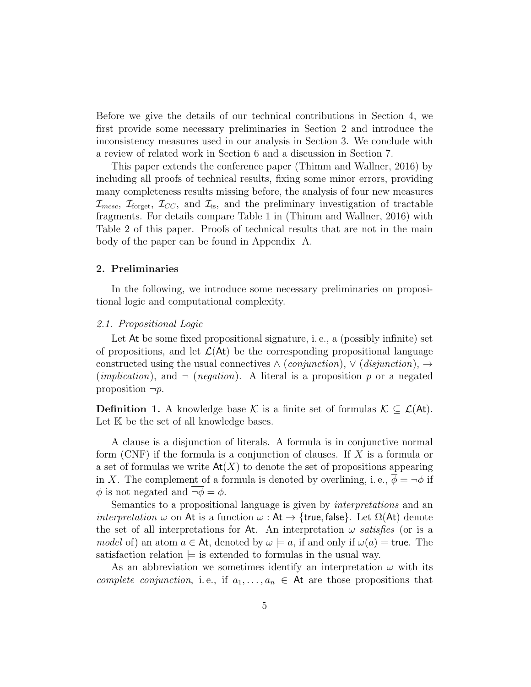Before we give the details of our technical contributions in Section 4, we first provide some necessary preliminaries in Section 2 and introduce the inconsistency measures used in our analysis in Section 3. We conclude with a review of related work in Section 6 and a discussion in Section 7.

This paper extends the conference paper (Thimm and Wallner, 2016) by including all proofs of technical results, fixing some minor errors, providing many completeness results missing before, the analysis of four new measures  $\mathcal{I}_{m\text{csc}}$ ,  $\mathcal{I}_{\text{forget}}$ ,  $\mathcal{I}_{CC}$ , and  $\mathcal{I}_{\text{is}}$ , and the preliminary investigation of tractable fragments. For details compare Table 1 in (Thimm and Wallner, 2016) with Table 2 of this paper. Proofs of technical results that are not in the main body of the paper can be found in Appendix A.

#### 2. Preliminaries

In the following, we introduce some necessary preliminaries on propositional logic and computational complexity.

### 2.1. Propositional Logic

Let At be some fixed propositional signature, i. e., a (possibly infinite) set of propositions, and let  $\mathcal{L}(\mathsf{At})$  be the corresponding propositional language constructed using the usual connectives  $\land$  (conjunction),  $\lor$  (disjunction),  $\rightarrow$ (*implication*), and  $\neg$  (*negation*). A literal is a proposition p or a negated proposition  $\neg p$ .

**Definition 1.** A knowledge base K is a finite set of formulas  $K \subseteq \mathcal{L}(At)$ . Let K be the set of all knowledge bases.

A clause is a disjunction of literals. A formula is in conjunctive normal form (CNF) if the formula is a conjunction of clauses. If X is a formula or a set of formulas we write  $\text{At}(X)$  to denote the set of propositions appearing in X. The complement of a formula is denoted by overlining, i.e.,  $\overline{\phi} = -\phi$  if  $\phi$  is not negated and  $\neg \phi = \phi$ .

Semantics to a propositional language is given by *interpretations* and an *interpretation*  $\omega$  on At is a function  $\omega$ : At  $\rightarrow$  {true, false}. Let  $\Omega$ (At) denote the set of all interpretations for At. An interpretation  $\omega$  satisfies (or is a model of) an atom  $a \in \mathsf{At}$ , denoted by  $\omega \models a$ , if and only if  $\omega(a) = \mathsf{true}$ . The satisfaction relation  $\models$  is extended to formulas in the usual way.

As an abbreviation we sometimes identify an interpretation  $\omega$  with its complete conjunction, i.e., if  $a_1, \ldots, a_n \in \mathsf{At}$  are those propositions that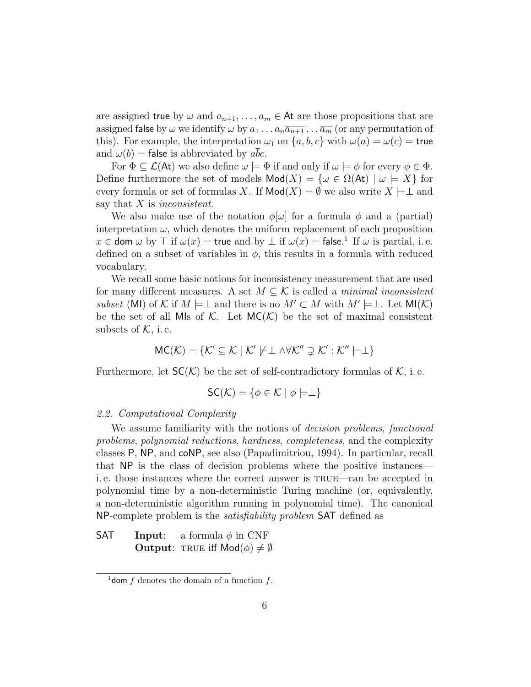are assigned true by  $\omega$  and  $a_{n+1}, \ldots, a_m \in \mathsf{At}$  are those propositions that are assigned false by  $\omega$  we identify  $\omega$  by  $a_1 \dots a_n \overline{a_{n+1}} \dots \overline{a_m}$  (or any permutation of this). For example, the interpretation  $\omega_1$  on  $\{a, b, c\}$  with  $\omega(a) = \omega(c)$  = true and  $\omega(b)$  = false is abbreviated by abc.

For  $\Phi \subseteq \mathcal{L}(A_t)$  we also define  $\omega \models \Phi$  if and only if  $\omega \models \phi$  for every  $\phi \in \Phi$ . Define furthermore the set of models  $\text{Mod}(X) = \{ \omega \in \Omega(\text{At}) \mid \omega \models X \}$  for every formula or set of formulas X. If  $\text{Mod}(X) = \emptyset$  we also write  $X \models \perp$  and say that  $X$  is inconsistent.

We also make use of the notation  $\phi[\omega]$  for a formula  $\phi$  and a (partial) interpretation  $\omega$ , which denotes the uniform replacement of each proposition  $x \in$  dom  $\omega$  by  $\top$  if  $\omega(x) =$  true and by  $\bot$  if  $\omega(x) =$  false.<sup>1</sup> If  $\omega$  is partial, i.e. defined on a subset of variables in  $\phi$ , this results in a formula with reduced vocabulary.

We recall some basic notions for inconsistency measurement that are used for many different measures. A set  $M \subseteq \mathcal{K}$  is called a *minimal inconsistent* subset (MI) of K if  $M \models \perp$  and there is no  $M' \subset M$  with  $M' \models \perp$ . Let  $\mathsf{MI}(\mathcal{K})$ be the set of all MIs of K. Let  $MC(K)$  be the set of maximal consistent subsets of  $K$ , i.e.

$$
MC(\mathcal{K}) = \{ \mathcal{K}' \subseteq \mathcal{K} \mid \mathcal{K}' \not\models \perp \wedge \forall \mathcal{K}'' \supsetneq \mathcal{K}': \mathcal{K}'' \models \perp \}
$$

Furthermore, let  $SC(K)$  be the set of self-contradictory formulas of K, i.e.

$$
\mathsf{SC}(\mathcal{K}) = \{ \phi \in \mathcal{K} \mid \phi \models \perp \}
$$

#### 2.2. Computational Complexity

We assume familiarity with the notions of *decision problems*, functional problems, polynomial reductions, hardness, completeness, and the complexity classes P, NP, and coNP, see also (Papadimitriou, 1994). In particular, recall that NP is the class of decision problems where the positive instances i. e. those instances where the correct answer is true—can be accepted in polynomial time by a non-deterministic Turing machine (or, equivalently, a non-deterministic algorithm running in polynomial time). The canonical NP-complete problem is the satisfiability problem SAT defined as

**SAT** Input: a formula  $\phi$  in CNF **Output:** TRUE iff  $Mod(\phi) \neq \emptyset$ 

<sup>&</sup>lt;sup>1</sup> dom f denotes the domain of a function f.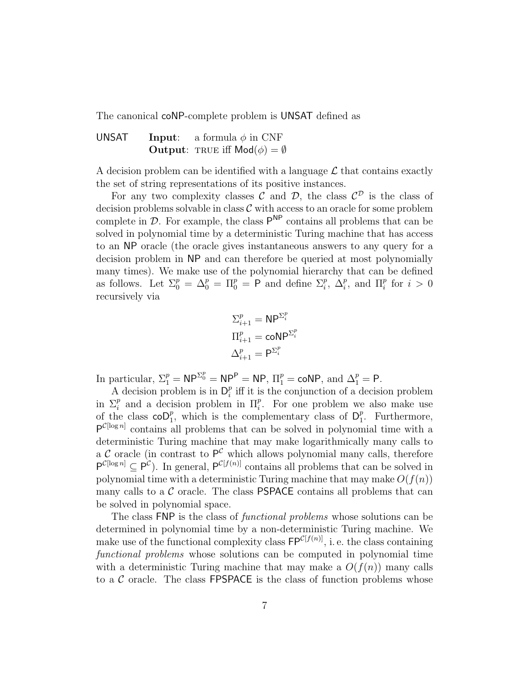The canonical coNP-complete problem is UNSAT defined as

UNSAT Input: a formula  $\phi$  in CNF **Output:** TRUE iff  $Mod(\phi) = \emptyset$ 

A decision problem can be identified with a language  $\mathcal L$  that contains exactly the set of string representations of its positive instances.

For any two complexity classes C and D, the class  $\mathcal{C}^{\mathcal{D}}$  is the class of decision problems solvable in class  $\mathcal C$  with access to an oracle for some problem complete in  $D$ . For example, the class  $P^{NP}$  contains all problems that can be solved in polynomial time by a deterministic Turing machine that has access to an NP oracle (the oracle gives instantaneous answers to any query for a decision problem in NP and can therefore be queried at most polynomially many times). We make use of the polynomial hierarchy that can be defined as follows. Let  $\Sigma_0^p = \Delta_0^p = \Pi_0^p = \mathsf{P}$  and define  $\Sigma_i^p$ ,  $\Delta_i^p$ , and  $\Pi_i^p$  for  $i > 0$ recursively via

$$
\begin{aligned} \Sigma_{i+1}^p &= \mathsf{NP}^{\Sigma_i^p} \\ \Pi_{i+1}^p &= \mathsf{coNP}^{\Sigma_i^p} \\ \Delta_{i+1}^p &= \mathsf{P}^{\Sigma_i^p} \end{aligned}
$$

In particular,  $\Sigma_1^p = \mathsf{NP}^{\Sigma_0^p} = \mathsf{NP}^{\mathsf{P}} = \mathsf{NP}, \Pi_1^p = \mathsf{coNP}, \text{ and } \Delta_1^p = \mathsf{P}.$ 

A decision problem is in  $D_i^p$  $i$ <sup>*n*</sup> iff it is the conjunction of a decision problem in  $\Sigma_i^p$  and a decision problem in  $\Pi_i^p$ . For one problem we also make use of the class  $\mathsf{coD}_1^p$ , which is the complementary class of  $\mathsf{D}_1^p$  $_{1}^{p}$ . Furthermore,  $P^{C[\log n]}$  contains all problems that can be solved in polynomial time with a deterministic Turing machine that may make logarithmically many calls to a C oracle (in contrast to  $P^{\mathcal{C}}$  which allows polynomial many calls, therefore  $P^{\mathcal{C}[\log n]} \subseteq P^{\mathcal{C}}$ . In general,  $P^{\mathcal{C}[f(n)]}$  contains all problems that can be solved in polynomial time with a deterministic Turing machine that may make  $O(f(n))$ many calls to a  $\mathcal C$  oracle. The class **PSPACE** contains all problems that can be solved in polynomial space.

The class FNP is the class of functional problems whose solutions can be determined in polynomial time by a non-deterministic Turing machine. We make use of the functional complexity class  $\mathsf{FP}^{\mathcal{C}[f(n)]}$ , i.e. the class containing functional problems whose solutions can be computed in polynomial time with a deterministic Turing machine that may make a  $O(f(n))$  many calls to a  $\mathcal C$  oracle. The class FPSPACE is the class of function problems whose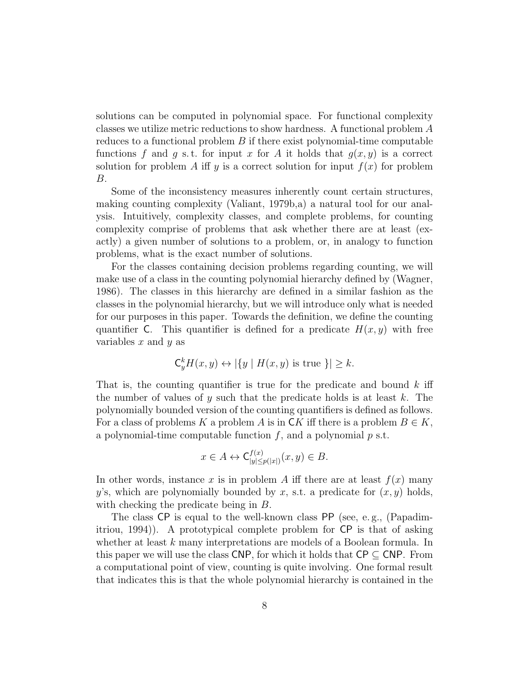solutions can be computed in polynomial space. For functional complexity classes we utilize metric reductions to show hardness. A functional problem A reduces to a functional problem  $B$  if there exist polynomial-time computable functions f and q s.t. for input x for A it holds that  $q(x, y)$  is a correct solution for problem A iff y is a correct solution for input  $f(x)$  for problem B.

Some of the inconsistency measures inherently count certain structures, making counting complexity (Valiant, 1979b,a) a natural tool for our analysis. Intuitively, complexity classes, and complete problems, for counting complexity comprise of problems that ask whether there are at least (exactly) a given number of solutions to a problem, or, in analogy to function problems, what is the exact number of solutions.

For the classes containing decision problems regarding counting, we will make use of a class in the counting polynomial hierarchy defined by (Wagner, 1986). The classes in this hierarchy are defined in a similar fashion as the classes in the polynomial hierarchy, but we will introduce only what is needed for our purposes in this paper. Towards the definition, we define the counting quantifier C. This quantifier is defined for a predicate  $H(x, y)$  with free variables  $x$  and  $y$  as

$$
\mathsf{C}_y^k H(x,y) \leftrightarrow |\{y \mid H(x,y) \text{ is true }\}| \geq k.
$$

That is, the counting quantifier is true for the predicate and bound  $k$  iff the number of values of y such that the predicate holds is at least  $k$ . The polynomially bounded version of the counting quantifiers is defined as follows. For a class of problems K a problem A is in CK iff there is a problem  $B \in K$ , a polynomial-time computable function  $f$ , and a polynomial  $p$  s.t.

$$
x \in A \leftrightarrow \mathsf{C}^{f(x)}_{|y| \le p(|x|)}(x, y) \in B.
$$

In other words, instance x is in problem A iff there are at least  $f(x)$  many y's, which are polynomially bounded by x, s.t. a predicate for  $(x, y)$  holds, with checking the predicate being in B.

The class CP is equal to the well-known class PP (see, e. g., (Papadimitriou, 1994)). A prototypical complete problem for CP is that of asking whether at least k many interpretations are models of a Boolean formula. In this paper we will use the class CNP, for which it holds that  $\text{CP} \subseteq \text{CNP}$ . From a computational point of view, counting is quite involving. One formal result that indicates this is that the whole polynomial hierarchy is contained in the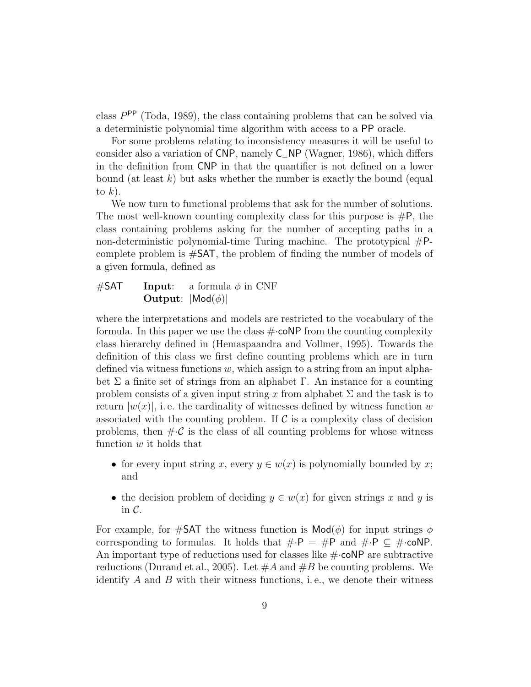class  $P^{\text{PP}}$  (Toda, 1989), the class containing problems that can be solved via a deterministic polynomial time algorithm with access to a PP oracle.

For some problems relating to inconsistency measures it will be useful to consider also a variation of CNP, namely  $C=NP$  (Wagner, 1986), which differs in the definition from CNP in that the quantifier is not defined on a lower bound (at least k) but asks whether the number is exactly the bound (equal to  $k$ ).

We now turn to functional problems that ask for the number of solutions. The most well-known counting complexity class for this purpose is  $\#P$ , the class containing problems asking for the number of accepting paths in a non-deterministic polynomial-time Turing machine. The prototypical  $#P$ complete problem is #SAT, the problem of finding the number of models of a given formula, defined as

### $\#SAT$  Input: a formula  $\phi$  in CNF **Output:**  $|\textsf{Mod}(\phi)|$

where the interpretations and models are restricted to the vocabulary of the formula. In this paper we use the class  $\#\text{-coNP}$  from the counting complexity class hierarchy defined in (Hemaspaandra and Vollmer, 1995). Towards the definition of this class we first define counting problems which are in turn defined via witness functions  $w$ , which assign to a string from an input alphabet  $\Sigma$  a finite set of strings from an alphabet  $\Gamma$ . An instance for a counting problem consists of a given input string x from alphabet  $\Sigma$  and the task is to return  $|w(x)|$ , i.e. the cardinality of witnesses defined by witness function w associated with the counting problem. If  $\mathcal C$  is a complexity class of decision problems, then  $\#\mathcal{C}$  is the class of all counting problems for whose witness function  $w$  it holds that

- for every input string x, every  $y \in w(x)$  is polynomially bounded by x; and
- the decision problem of deciding  $y \in w(x)$  for given strings x and y is in  $\mathcal{C}$ .

For example, for #SAT the witness function is  $\mathsf{Mod}(\phi)$  for input strings  $\phi$ corresponding to formulas. It holds that  $\# \cdot P = \# P$  and  $\# \cdot P \subseteq \# \cdot \text{coNP}$ . An important type of reductions used for classes like  $\#\text{-coNP}$  are subtractive reductions (Durand et al., 2005). Let  $\#A$  and  $\#B$  be counting problems. We identify  $A$  and  $B$  with their witness functions, i.e., we denote their witness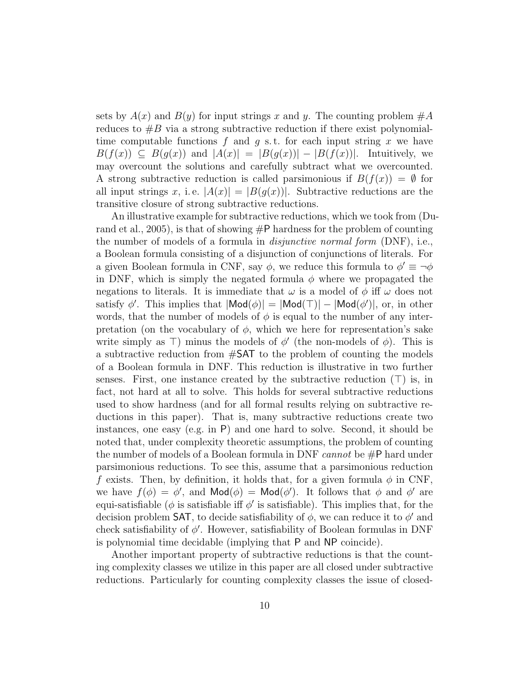sets by  $A(x)$  and  $B(y)$  for input strings x and y. The counting problem  $\#A$ reduces to  $\#B$  via a strong subtractive reduction if there exist polynomialtime computable functions  $f$  and  $g$  s.t. for each input string x we have  $B(f(x)) \subseteq B(g(x))$  and  $|A(x)| = |B(g(x))| - |B(f(x))|$ . Intuitively, we may overcount the solutions and carefully subtract what we overcounted. A strong subtractive reduction is called parsimonious if  $B(f(x)) = \emptyset$  for all input strings x, i.e.  $|A(x)| = |B(g(x))|$ . Subtractive reductions are the transitive closure of strong subtractive reductions.

An illustrative example for subtractive reductions, which we took from (Durand et al., 2005), is that of showing  $\#P$  hardness for the problem of counting the number of models of a formula in disjunctive normal form (DNF), i.e., a Boolean formula consisting of a disjunction of conjunctions of literals. For a given Boolean formula in CNF, say  $\phi$ , we reduce this formula to  $\phi' \equiv -\phi$ in DNF, which is simply the negated formula  $\phi$  where we propagated the negations to literals. It is immediate that  $\omega$  is a model of  $\phi$  iff  $\omega$  does not satisfy  $\phi'$ . This implies that  $|\textsf{Mod}(\phi)| = |\textsf{Mod}(\top)| - |\textsf{Mod}(\phi')|$ , or, in other words, that the number of models of  $\phi$  is equal to the number of any interpretation (on the vocabulary of  $\phi$ , which we here for representation's sake write simply as  $\top$ ) minus the models of  $\phi'$  (the non-models of  $\phi$ ). This is a subtractive reduction from #SAT to the problem of counting the models of a Boolean formula in DNF. This reduction is illustrative in two further senses. First, one instance created by the subtractive reduction  $(T)$  is, in fact, not hard at all to solve. This holds for several subtractive reductions used to show hardness (and for all formal results relying on subtractive reductions in this paper). That is, many subtractive reductions create two instances, one easy (e.g. in P) and one hard to solve. Second, it should be noted that, under complexity theoretic assumptions, the problem of counting the number of models of a Boolean formula in DNF *cannot* be  $\#P$  hard under parsimonious reductions. To see this, assume that a parsimonious reduction f exists. Then, by definition, it holds that, for a given formula  $\phi$  in CNF, we have  $f(\phi) = \phi'$ , and  $\mathsf{Mod}(\phi) = \mathsf{Mod}(\phi')$ . It follows that  $\phi$  and  $\phi'$  are equi-satisfiable ( $\phi$  is satisfiable iff  $\phi'$  is satisfiable). This implies that, for the decision problem SAT, to decide satisfiability of  $\phi$ , we can reduce it to  $\phi'$  and check satisfiability of  $\phi'$ . However, satisfiability of Boolean formulas in DNF is polynomial time decidable (implying that P and NP coincide).

Another important property of subtractive reductions is that the counting complexity classes we utilize in this paper are all closed under subtractive reductions. Particularly for counting complexity classes the issue of closed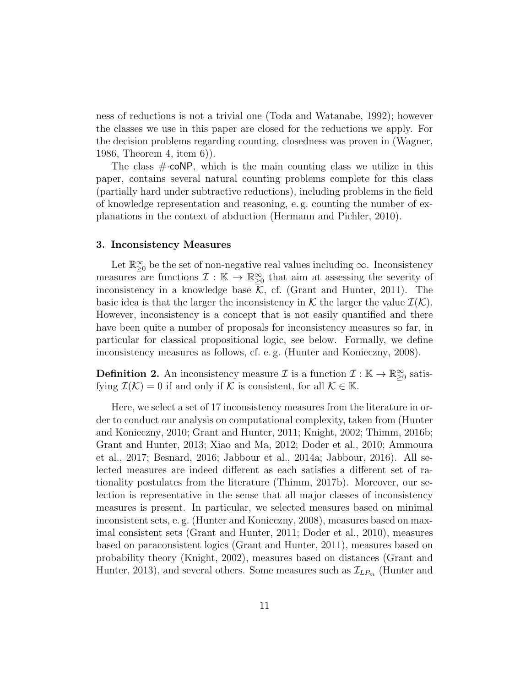ness of reductions is not a trivial one (Toda and Watanabe, 1992); however the classes we use in this paper are closed for the reductions we apply. For the decision problems regarding counting, closedness was proven in (Wagner, 1986, Theorem 4, item 6)).

The class  $\#$  coNP, which is the main counting class we utilize in this paper, contains several natural counting problems complete for this class (partially hard under subtractive reductions), including problems in the field of knowledge representation and reasoning, e. g. counting the number of explanations in the context of abduction (Hermann and Pichler, 2010).

#### 3. Inconsistency Measures

Let  $\mathbb{R}_{\geq 0}^{\infty}$  be the set of non-negative real values including  $\infty$ . Inconsistency measures are functions  $\mathcal{I}: \mathbb{K} \to \mathbb{R}^{\infty}_{\geq 0}$  that aim at assessing the severity of inconsistency in a knowledge base  $\mathcal{K}$ , cf. (Grant and Hunter, 2011). The basic idea is that the larger the inconsistency in K the larger the value  $\mathcal{I}(\mathcal{K})$ . However, inconsistency is a concept that is not easily quantified and there have been quite a number of proposals for inconsistency measures so far, in particular for classical propositional logic, see below. Formally, we define inconsistency measures as follows, cf. e. g. (Hunter and Konieczny, 2008).

**Definition 2.** An inconsistency measure  $\mathcal{I}$  is a function  $\mathcal{I}: \mathbb{K} \to \mathbb{R}^{\infty}_{\geq 0}$  satisfying  $\mathcal{I}(\mathcal{K}) = 0$  if and only if K is consistent, for all  $\mathcal{K} \in \mathbb{K}$ .

Here, we select a set of 17 inconsistency measures from the literature in order to conduct our analysis on computational complexity, taken from (Hunter and Konieczny, 2010; Grant and Hunter, 2011; Knight, 2002; Thimm, 2016b; Grant and Hunter, 2013; Xiao and Ma, 2012; Doder et al., 2010; Ammoura et al., 2017; Besnard, 2016; Jabbour et al., 2014a; Jabbour, 2016). All selected measures are indeed different as each satisfies a different set of rationality postulates from the literature (Thimm, 2017b). Moreover, our selection is representative in the sense that all major classes of inconsistency measures is present. In particular, we selected measures based on minimal inconsistent sets, e. g. (Hunter and Konieczny, 2008), measures based on maximal consistent sets (Grant and Hunter, 2011; Doder et al., 2010), measures based on paraconsistent logics (Grant and Hunter, 2011), measures based on probability theory (Knight, 2002), measures based on distances (Grant and Hunter, 2013), and several others. Some measures such as  $\mathcal{I}_{LP_m}$  (Hunter and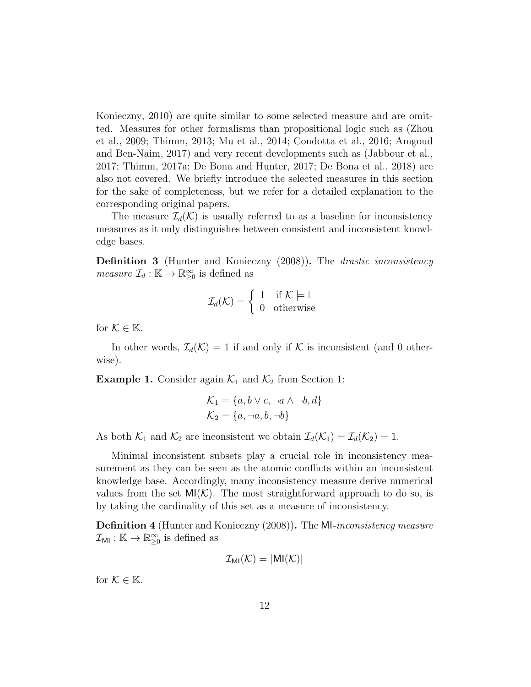Konieczny, 2010) are quite similar to some selected measure and are omitted. Measures for other formalisms than propositional logic such as (Zhou et al., 2009; Thimm, 2013; Mu et al., 2014; Condotta et al., 2016; Amgoud and Ben-Naim, 2017) and very recent developments such as (Jabbour et al., 2017; Thimm, 2017a; De Bona and Hunter, 2017; De Bona et al., 2018) are also not covered. We briefly introduce the selected measures in this section for the sake of completeness, but we refer for a detailed explanation to the corresponding original papers.

The measure  $\mathcal{I}_d(\mathcal{K})$  is usually referred to as a baseline for inconsistency measures as it only distinguishes between consistent and inconsistent knowledge bases.

Definition 3 (Hunter and Konieczny (2008)). The drastic inconsistency *measure*  $\mathcal{I}_d : \mathbb{K} \to \mathbb{R}^\infty_{\geq 0}$  is defined as

$$
\mathcal{I}_d(\mathcal{K}) = \left\{ \begin{array}{ll} 1 & \text{if } \mathcal{K} \models \perp \\ 0 & \text{otherwise} \end{array} \right.
$$

for  $\mathcal{K} \in \mathbb{K}$ .

In other words,  $\mathcal{I}_d(\mathcal{K}) = 1$  if and only if K is inconsistent (and 0 otherwise).

**Example 1.** Consider again  $\mathcal{K}_1$  and  $\mathcal{K}_2$  from Section 1:

$$
\mathcal{K}_1 = \{a, b \lor c, \neg a \land \neg b, d\}
$$

$$
\mathcal{K}_2 = \{a, \neg a, b, \neg b\}
$$

As both  $\mathcal{K}_1$  and  $\mathcal{K}_2$  are inconsistent we obtain  $\mathcal{I}_d(\mathcal{K}_1) = \mathcal{I}_d(\mathcal{K}_2) = 1$ .

Minimal inconsistent subsets play a crucial role in inconsistency measurement as they can be seen as the atomic conflicts within an inconsistent knowledge base. Accordingly, many inconsistency measure derive numerical values from the set  $MI(K)$ . The most straightforward approach to do so, is by taking the cardinality of this set as a measure of inconsistency.

**Definition 4** (Hunter and Konieczny (2008)). The MI-inconsistency measure  $\mathcal{I}_{\textsf{MI}}:\mathbb{K}\to\mathbb{R}_{\geq 0}^{\infty}$  is defined as

$$
\mathcal{I}_{\text{MI}}(\mathcal{K}) = |\text{MI}(\mathcal{K})|
$$

for  $\mathcal{K} \in \mathbb{K}$ .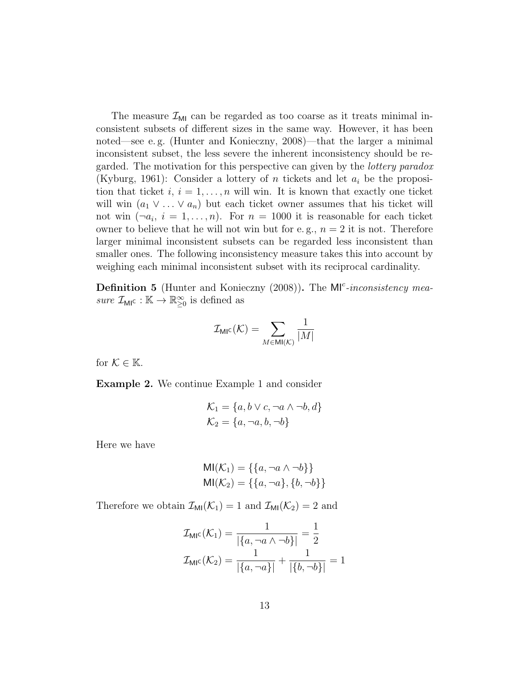The measure  $\mathcal{I}_{\text{MI}}$  can be regarded as too coarse as it treats minimal inconsistent subsets of different sizes in the same way. However, it has been noted—see e. g. (Hunter and Konieczny, 2008)—that the larger a minimal inconsistent subset, the less severe the inherent inconsistency should be regarded. The motivation for this perspective can given by the lottery paradox (Kyburg, 1961): Consider a lottery of n tickets and let  $a_i$  be the proposition that ticket  $i, i = 1, \ldots, n$  will win. It is known that exactly one ticket will win  $(a_1 \vee \ldots \vee a_n)$  but each ticket owner assumes that his ticket will not win  $(\neg a_i, i = 1, \dots, n)$ . For  $n = 1000$  it is reasonable for each ticket owner to believe that he will not win but for e.g.,  $n = 2$  it is not. Therefore larger minimal inconsistent subsets can be regarded less inconsistent than smaller ones. The following inconsistency measure takes this into account by weighing each minimal inconsistent subset with its reciprocal cardinality.

Definition 5 (Hunter and Konieczny (2008)). The MI<sup>c</sup>-inconsistency measure  $\mathcal{I}_{\text{MIC}} : \mathbb{K} \to \mathbb{R}^{\infty}_{\geq 0}$  is defined as

$$
\mathcal{I}_{\text{MI}^{\text{C}}}(\mathcal{K})=\sum_{M\in\text{MI}(\mathcal{K})}\frac{1}{|M|}
$$

for  $\mathcal{K} \in \mathbb{K}$ .

Example 2. We continue Example 1 and consider

$$
\mathcal{K}_1 = \{a, b \lor c, \neg a \land \neg b, d\}
$$

$$
\mathcal{K}_2 = \{a, \neg a, b, \neg b\}
$$

Here we have

$$
MI(K_1) = \{\{a, \neg a \land \neg b\}\}\
$$
  

$$
MI(K_2) = \{\{a, \neg a\}, \{b, \neg b\}\}\
$$

Therefore we obtain  $\mathcal{I}_{\text{MI}}(\mathcal{K}_1) = 1$  and  $\mathcal{I}_{\text{MI}}(\mathcal{K}_2) = 2$  and

$$
\mathcal{I}_{\text{MIC}}(\mathcal{K}_1) = \frac{1}{|\{a, \neg a \land \neg b\}|} = \frac{1}{2}
$$

$$
\mathcal{I}_{\text{MIC}}(\mathcal{K}_2) = \frac{1}{|\{a, \neg a\}|} + \frac{1}{|\{b, \neg b\}|} = 1
$$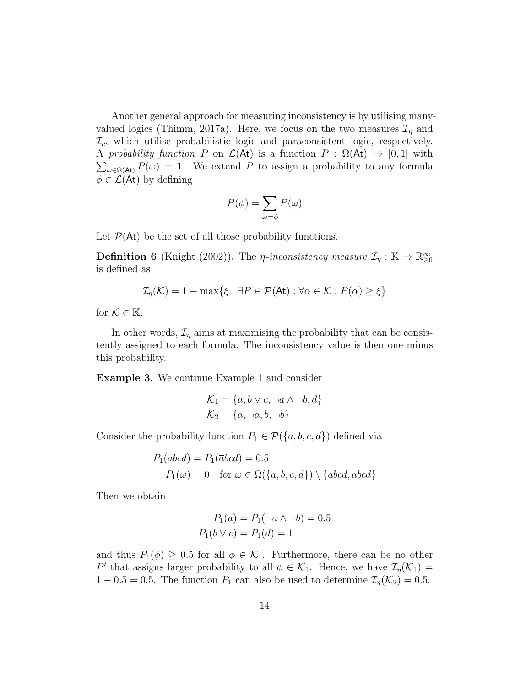Another general approach for measuring inconsistency is by utilising manyvalued logics (Thimm, 2017a). Here, we focus on the two measures  $\mathcal{I}_\eta$  and  $\mathcal{I}_c$ , which utilise probabilistic logic and paraconsistent logic, respectively.  $\sum_{\omega \in \Omega(\mathsf{At})} P(\omega) = 1$ . We extend P to assign a probability to any formula A probability function P on  $\mathcal{L}(\mathsf{At})$  is a function  $P : \Omega(\mathsf{At}) \to [0,1]$  with  $\phi \in \mathcal{L}(\mathsf{At})$  by defining

$$
P(\phi) = \sum_{\omega \models \phi} P(\omega)
$$

Let  $P(\mathsf{At})$  be the set of all those probability functions.

**Definition 6** (Knight (2002)). The *η-inconsistency measure*  $\mathcal{I}_\eta : \mathbb{K} \to \mathbb{R}^\infty_{\geq 0}$ is defined as

 $\mathcal{I}_n(\mathcal{K}) = 1 - \max\{\xi \mid \exists P \in \mathcal{P}(\mathsf{At}) : \forall \alpha \in \mathcal{K} : P(\alpha) \geq \xi\}$ 

for  $\mathcal{K} \in \mathbb{K}$ .

In other words,  $\mathcal{I}_\eta$  aims at maximising the probability that can be consistently assigned to each formula. The inconsistency value is then one minus this probability.

Example 3. We continue Example 1 and consider

$$
\mathcal{K}_1 = \{a, b \lor c, \neg a \land \neg b, d\}
$$

$$
\mathcal{K}_2 = \{a, \neg a, b, \neg b\}
$$

Consider the probability function  $P_1 \in \mathcal{P}(\{a, b, c, d\})$  defined via

$$
P_1(abcd) = P_1(\overline{a}bcd) = 0.5
$$
  
 
$$
P_1(\omega) = 0 \text{ for } \omega \in \Omega(\{a, b, c, d\}) \setminus \{abcd, \overline{a}\overline{b}cd\}
$$

Then we obtain

$$
P_1(a) = P_1(\neg a \land \neg b) = 0.5
$$
  

$$
P_1(b \lor c) = P_1(d) = 1
$$

and thus  $P_1(\phi) \geq 0.5$  for all  $\phi \in \mathcal{K}_1$ . Furthermore, there can be no other P' that assigns larger probability to all  $\phi \in \mathcal{K}_1$ . Hence, we have  $\mathcal{I}_{\eta}(\mathcal{K}_1)$  =  $1 - 0.5 = 0.5$ . The function  $P_1$  can also be used to determine  $\mathcal{I}_\eta(\mathcal{K}_2) = 0.5$ .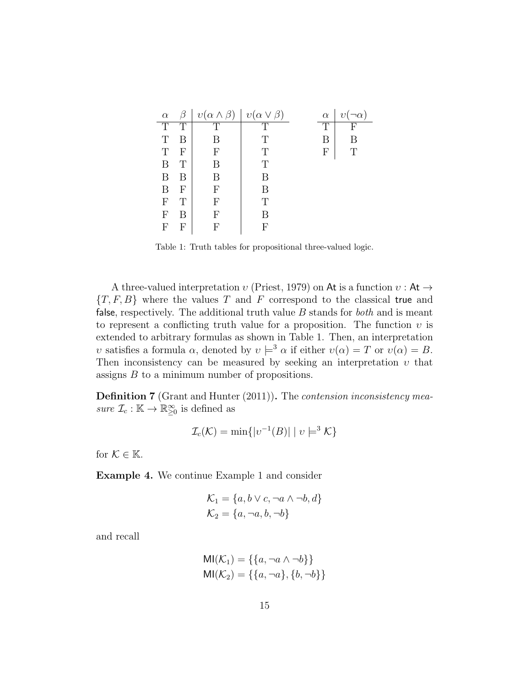| $\alpha$                  |   | $v(\alpha \wedge \beta)$ | $v(\alpha \vee \beta)$ | $\alpha$ | $\eta$ |
|---------------------------|---|--------------------------|------------------------|----------|--------|
| T                         | T | $\overline{T}$           | $\top$                 | Т        | F      |
| T                         | В | В                        | Т                      | В        | R      |
| Т                         | F | F                        | Т                      | F        | Т      |
| B                         |   | В                        | Т                      |          |        |
| B                         | R | R                        | В                      |          |        |
| B                         | F | F                        | В                      |          |        |
| $\boldsymbol{\mathrm{F}}$ | Т | F                        | T                      |          |        |
| F                         | В | F                        | В                      |          |        |
| F                         |   | F                        | F                      |          |        |

Table 1: Truth tables for propositional three-valued logic.

A three-valued interpretation  $v$  (Priest, 1979) on At is a function  $v : At \rightarrow$  ${T, F, B}$  where the values T and F correspond to the classical true and false, respectively. The additional truth value  $B$  stands for *both* and is meant to represent a conflicting truth value for a proposition. The function  $\nu$  is extended to arbitrary formulas as shown in Table 1. Then, an interpretation v satisfies a formula  $\alpha$ , denoted by  $v \models^3 \alpha$  if either  $v(\alpha) = T$  or  $v(\alpha) = B$ . Then inconsistency can be measured by seeking an interpretation  $v$  that assigns B to a minimum number of propositions.

Definition 7 (Grant and Hunter (2011)). The *contension inconsistency mea*sure  $\mathcal{I}_c : \mathbb{K} \to \mathbb{R}^\infty_{\geq 0}$  is defined as

$$
\mathcal{I}_c(\mathcal{K}) = \min\{|v^{-1}(B)| \mid v \models^3 \mathcal{K}\}\
$$

for  $\mathcal{K} \in \mathbb{K}$ .

Example 4. We continue Example 1 and consider

$$
\mathcal{K}_1 = \{a, b \lor c, \neg a \land \neg b, d\}
$$

$$
\mathcal{K}_2 = \{a, \neg a, b, \neg b\}
$$

and recall

$$
MI(K_1) = \{\{a, \neg a \land \neg b\}\}\
$$

$$
MI(K_2) = \{\{a, \neg a\}, \{b, \neg b\}\}\
$$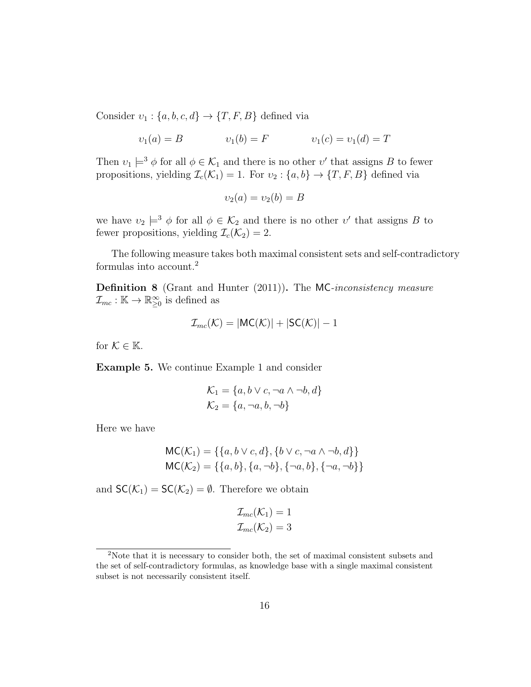Consider  $v_1$  :  $\{a, b, c, d\} \rightarrow \{T, F, B\}$  defined via

$$
v_1(a) = B
$$
  $v_1(b) = F$   $v_1(c) = v_1(d) = T$ 

Then  $v_1 \models^3 \phi$  for all  $\phi \in \mathcal{K}_1$  and there is no other  $v'$  that assigns B to fewer propositions, yielding  $\mathcal{I}_c(\mathcal{K}_1) = 1$ . For  $v_2 : \{a, b\} \to \{T, F, B\}$  defined via

$$
\upsilon_2(a) = \upsilon_2(b) = B
$$

we have  $v_2 \models^3 \phi$  for all  $\phi \in \mathcal{K}_2$  and there is no other  $v'$  that assigns B to fewer propositions, yielding  $\mathcal{I}_c(\mathcal{K}_2) = 2$ .

The following measure takes both maximal consistent sets and self-contradictory formulas into account.<sup>2</sup>

Definition 8 (Grant and Hunter (2011)). The MC-inconsistency measure  $\mathcal{I}_{mc}:\mathbb{K}\to\mathbb{R}_{\geq0}^{\infty}$  is defined as

$$
\mathcal{I}_{mc}(\mathcal{K}) = |\mathsf{MC}(\mathcal{K})| + |\mathsf{SC}(\mathcal{K})| - 1
$$

for  $K \in \mathbb{K}$ .

Example 5. We continue Example 1 and consider

$$
\mathcal{K}_1 = \{a, b \lor c, \neg a \land \neg b, d\}
$$

$$
\mathcal{K}_2 = \{a, \neg a, b, \neg b\}
$$

Here we have

$$
MC(K_1) = \{\{a, b \lor c, d\}, \{b \lor c, \neg a \land \neg b, d\}\}\
$$

$$
MC(K_2) = \{\{a, b\}, \{a, \neg b\}, \{\neg a, b\}, \{\neg a, \neg b\}\}\
$$

and  $SC(\mathcal{K}_1) = SC(\mathcal{K}_2) = \emptyset$ . Therefore we obtain

$$
\mathcal{I}_{mc}(\mathcal{K}_1) = 1
$$
  

$$
\mathcal{I}_{mc}(\mathcal{K}_2) = 3
$$

<sup>2</sup>Note that it is necessary to consider both, the set of maximal consistent subsets and the set of self-contradictory formulas, as knowledge base with a single maximal consistent subset is not necessarily consistent itself.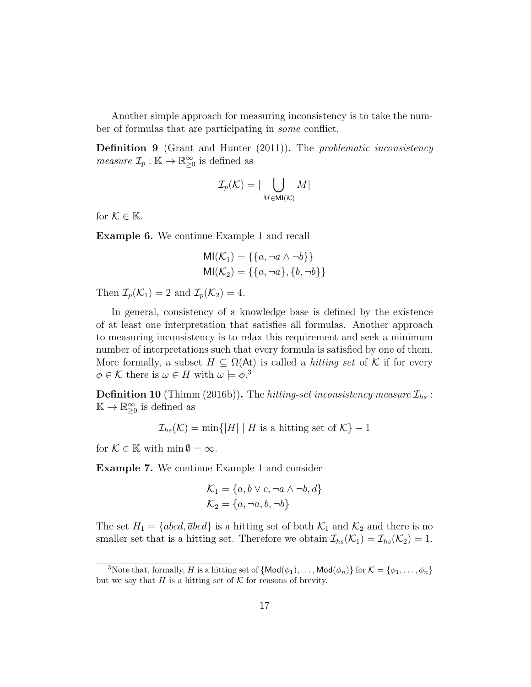Another simple approach for measuring inconsistency is to take the number of formulas that are participating in some conflict.

**Definition 9** (Grant and Hunter (2011)). The *problematic inconsistency measure*  $\mathcal{I}_p : \mathbb{K} \to \mathbb{R}^\infty_{\geq 0}$  is defined as

$$
\mathcal{I}_p(\mathcal{K}) = |\bigcup_{M \in \mathsf{MI}(\mathcal{K})} M|
$$

for  $\mathcal{K} \in \mathbb{K}$ .

Example 6. We continue Example 1 and recall

$$
MI(K_1) = \{\{a, \neg a \land \neg b\}\}\
$$
  

$$
MI(K_2) = \{\{a, \neg a\}, \{b, \neg b\}\}\
$$

Then  $\mathcal{I}_p(\mathcal{K}_1) = 2$  and  $\mathcal{I}_p(\mathcal{K}_2) = 4$ .

In general, consistency of a knowledge base is defined by the existence of at least one interpretation that satisfies all formulas. Another approach to measuring inconsistency is to relax this requirement and seek a minimum number of interpretations such that every formula is satisfied by one of them. More formally, a subset  $H \subseteq \Omega(\mathsf{At})$  is called a *hitting set* of K if for every  $\phi \in \mathcal{K}$  there is  $\omega \in H$  with  $\omega \models \phi$ .<sup>3</sup>

**Definition 10** (Thimm (2016b)). The hitting-set inconsistency measure  $\mathcal{I}_{hs}$ :  $\mathbb{K} \to \mathbb{R}_{\geq 0}^{\infty}$  is defined as

$$
\mathcal{I}_{hs}(\mathcal{K}) = \min\{|H| \mid H \text{ is a hitting set of } \mathcal{K}\} - 1
$$

for  $\mathcal{K} \in \mathbb{K}$  with  $\min \emptyset = \infty$ .

Example 7. We continue Example 1 and consider

$$
\mathcal{K}_1 = \{a, b \lor c, \neg a \land \neg b, d\}
$$

$$
\mathcal{K}_2 = \{a, \neg a, b, \neg b\}
$$

The set  $H_1 = \{abcd, \overline{a}\overline{b}cd\}$  is a hitting set of both  $\mathcal{K}_1$  and  $\mathcal{K}_2$  and there is no smaller set that is a hitting set. Therefore we obtain  $\mathcal{I}_{hs}(\mathcal{K}_1) = \mathcal{I}_{hs}(\mathcal{K}_2) = 1$ .

<sup>&</sup>lt;sup>3</sup>Note that, formally, *H* is a hitting set of  $\{Mod(\phi_1), \ldots, Mod(\phi_n)\}$  for  $K = \{\phi_1, \ldots, \phi_n\}$ but we say that  $H$  is a hitting set of  $K$  for reasons of brevity.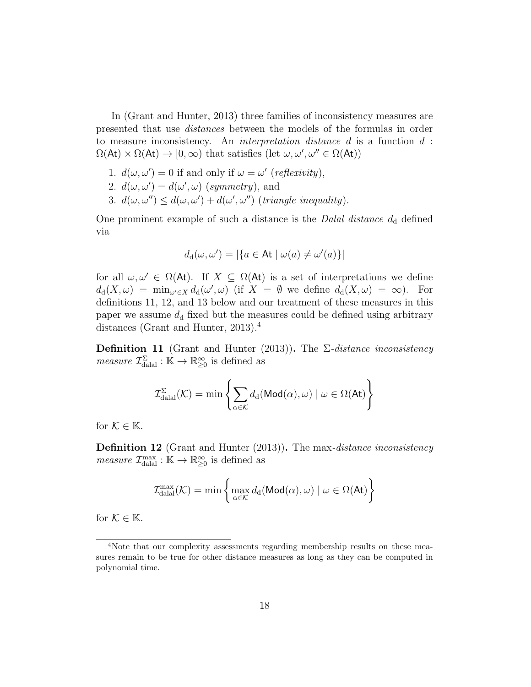In (Grant and Hunter, 2013) three families of inconsistency measures are presented that use distances between the models of the formulas in order to measure inconsistency. An interpretation distance d is a function d :  $\Omega(\mathsf{At}) \times \Omega(\mathsf{At}) \to [0, \infty)$  that satisfies (let  $\omega, \omega', \omega'' \in \Omega(\mathsf{At})$ )

- 1.  $d(\omega, \omega') = 0$  if and only if  $\omega = \omega'$  (reflexivity),
- 2.  $d(\omega, \omega') = d(\omega', \omega)$  (symmetry), and
- 3.  $d(\omega, \omega') \leq d(\omega, \omega') + d(\omega', \omega'')$  (triangle inequality).

One prominent example of such a distance is the *Dalal distance*  $d_d$  defined via

$$
d_{\mathrm{d}}(\omega,\omega')=|\{a\in\mathsf{At}\mid\omega(a)\neq\omega'(a)\}|
$$

for all  $\omega, \omega' \in \Omega(\mathsf{At})$ . If  $X \subseteq \Omega(\mathsf{At})$  is a set of interpretations we define  $d_d(X,\omega) = \min_{\omega' \in X} d_d(\omega',\omega)$  (if  $X = \emptyset$  we define  $d_d(X,\omega) = \infty$ ). For definitions 11, 12, and 13 below and our treatment of these measures in this paper we assume  $d_d$  fixed but the measures could be defined using arbitrary distances (Grant and Hunter, 2013).<sup>4</sup>

**Definition 11** (Grant and Hunter (2013)). The  $\Sigma$ -distance inconsistency *measure*  $\mathcal{I}_{\text{dala}}^{\Sigma} : \mathbb{K} \to \mathbb{R}_{\geq 0}^{\infty}$  is defined as

$$
\mathcal{I}_{\text{dala}}^{\Sigma}(\mathcal{K}) = \min \left\{ \sum_{\alpha \in \mathcal{K}} d_{\text{d}}(\text{Mod}(\alpha), \omega) \mid \omega \in \Omega(\text{At}) \right\}
$$

for  $\mathcal{K} \in \mathbb{K}$ .

**Definition 12** (Grant and Hunter (2013)). The max-distance inconsistency *measure*  $\mathcal{I}_{\text{datal}}^{\text{max}} : \mathbb{K} \to \mathbb{R}^{\infty}_{\geq 0}$  is defined as

$$
\mathcal{I}_{\text{dala}}^{\text{max}}(\mathcal{K}) = \min \left\{ \max_{\alpha \in \mathcal{K}} d_d(\text{Mod}(\alpha), \omega) \mid \omega \in \Omega(\text{At}) \right\}
$$

for  $\mathcal{K} \in \mathbb{K}$ .

<sup>&</sup>lt;sup>4</sup>Note that our complexity assessments regarding membership results on these measures remain to be true for other distance measures as long as they can be computed in polynomial time.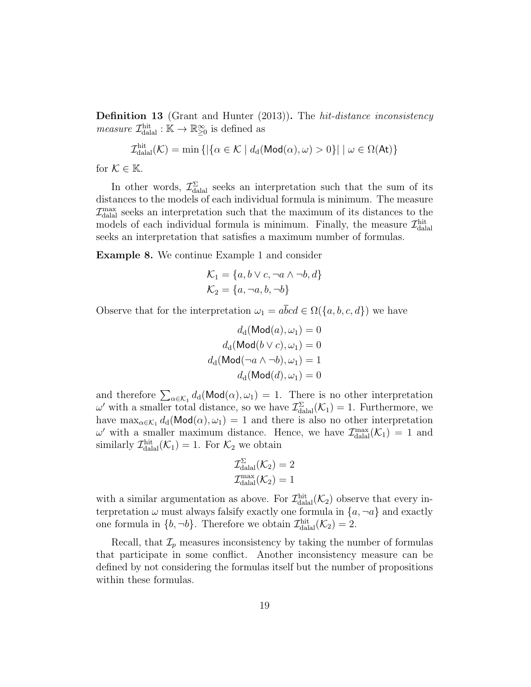**Definition 13** (Grant and Hunter (2013)). The *hit-distance inconsistency measure*  $\mathcal{I}_{\text{datal}}^{\text{hit}} : \mathbb{K} \to \mathbb{R}^{\infty}_{\geq 0}$  is defined as

$$
\mathcal{I}_{\text{dala}}^{\text{hit}}(\mathcal{K}) = \min \left\{ \left| \{ \alpha \in \mathcal{K} \mid d_d(\text{Mod}(\alpha), \omega) > 0 \} \right| \mid \omega \in \Omega(\text{At}) \right\}
$$

for  $\mathcal{K} \in \mathbb{K}$ .

In other words,  $\mathcal{I}_{\text{dala}}^{\Sigma}$  seeks an interpretation such that the sum of its distances to the models of each individual formula is minimum. The measure  $\mathcal{I}^{\text{max}}_{\text{dual}}$  seeks an interpretation such that the maximum of its distances to the models of each individual formula is minimum. Finally, the measure  $\mathcal{I}^{\text{hit}}_{\text{dala}}$ seeks an interpretation that satisfies a maximum number of formulas.

Example 8. We continue Example 1 and consider

$$
\mathcal{K}_1 = \{a, b \lor c, \neg a \land \neg b, d\}
$$

$$
\mathcal{K}_2 = \{a, \neg a, b, \neg b\}
$$

Observe that for the interpretation  $\omega_1 = a\overline{b}cd \in \Omega({a, b, c, d})$  we have

$$
d_{\mathrm{d}}(\mathrm{Mod}(a), \omega_1) = 0
$$

$$
d_{\mathrm{d}}(\mathrm{Mod}(b \vee c), \omega_1) = 0
$$

$$
d_{\mathrm{d}}(\mathrm{Mod}(\neg a \wedge \neg b), \omega_1) = 1
$$

$$
d_{\mathrm{d}}(\mathrm{Mod}(d), \omega_1) = 0
$$

and therefore  $\sum_{\alpha \in \mathcal{K}_1} d_d(\text{Mod}(\alpha), \omega_1) = 1$ . There is no other interpretation  $\omega'$  with a smaller total distance, so we have  $\mathcal{I}^{\Sigma}_{\text{dala}}(\mathcal{K}_1) = 1$ . Furthermore, we have  $\max_{\alpha \in \mathcal{K}_1} d_d(\text{Mod}(\alpha), \omega_1) = 1$  and there is also no other interpretation  $\omega'$  with a smaller maximum distance. Hence, we have  $\mathcal{I}_{\text{dala}}^{\text{max}}(\mathcal{K}_1) = 1$  and similarly  $\mathcal{I}_{\text{datal}}^{\text{hit}}(\mathcal{K}_1) = 1$ . For  $\mathcal{K}_2$  we obtain

$$
\mathcal{I}_{\text{dala}}^{\Sigma}(\mathcal{K}_2) = 2
$$

$$
\mathcal{I}_{\text{dala}}^{\max}(\mathcal{K}_2) = 1
$$

with a similar argumentation as above. For  $\mathcal{I}^{\text{hit}}_{\text{dala}}(\mathcal{K}_2)$  observe that every interpretation  $\omega$  must always falsify exactly one formula in  $\{a, \neg a\}$  and exactly one formula in  $\{b, \neg b\}$ . Therefore we obtain  $\mathcal{I}^{\text{hit}}_{\text{dalal}}(\mathcal{K}_2) = 2$ .

Recall, that  $\mathcal{I}_p$  measures inconsistency by taking the number of formulas that participate in some conflict. Another inconsistency measure can be defined by not considering the formulas itself but the number of propositions within these formulas.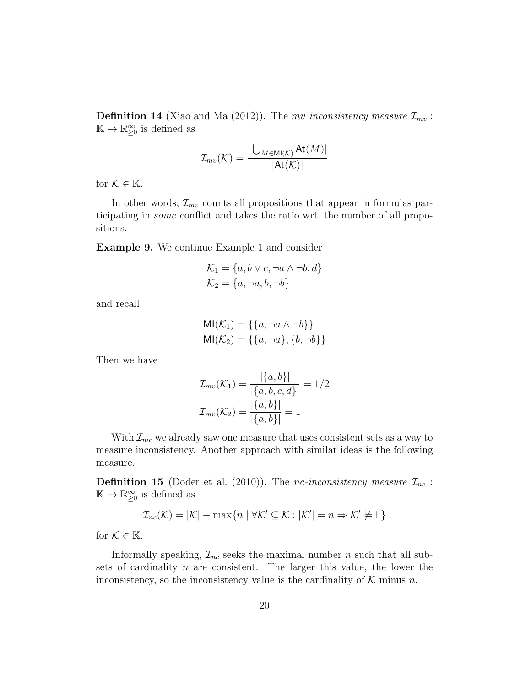**Definition 14** (Xiao and Ma (2012)). The mv inconsistency measure  $\mathcal{I}_{mv}$ :  $\mathbb{K} \to \mathbb{R}_{\geq 0}^{\infty}$  is defined as

$$
\mathcal{I}_{mv}(\mathcal{K}) = \frac{|\bigcup_{M \in \text{MI}(\mathcal{K})} \text{At}(M)|}{|\text{At}(\mathcal{K})|}
$$

for  $\mathcal{K} \in \mathbb{K}$ .

In other words,  $\mathcal{I}_{mv}$  counts all propositions that appear in formulas participating in some conflict and takes the ratio wrt. the number of all propositions.

Example 9. We continue Example 1 and consider

$$
\mathcal{K}_1 = \{a, b \lor c, \neg a \land \neg b, d\}
$$

$$
\mathcal{K}_2 = \{a, \neg a, b, \neg b\}
$$

and recall

$$
MI(K_1) = \{\{a, \neg a \land \neg b\}\}\
$$
  

$$
MI(K_2) = \{\{a, \neg a\}, \{b, \neg b\}\}\
$$

Then we have

$$
\mathcal{I}_{mv}(\mathcal{K}_1) = \frac{|\{a,b\}|}{|\{a,b,c,d\}|} = 1/2
$$
  

$$
\mathcal{I}_{mv}(\mathcal{K}_2) = \frac{|\{a,b\}|}{|\{a,b\}|} = 1
$$

With  $\mathcal{I}_{mc}$  we already saw one measure that uses consistent sets as a way to measure inconsistency. Another approach with similar ideas is the following measure.

**Definition 15** (Doder et al. (2010)). The nc-inconsistency measure  $\mathcal{I}_{nc}$ :  $\mathbb{K} \to \mathbb{R}_{\geq 0}^{\infty}$  is defined as

$$
\mathcal{I}_{nc}(\mathcal{K}) = |\mathcal{K}| - \max\{n \mid \forall \mathcal{K}' \subseteq \mathcal{K} : |\mathcal{K}'| = n \Rightarrow \mathcal{K}' \not\models \perp\}
$$

for  $K \in \mathbb{K}$ .

Informally speaking,  $\mathcal{I}_{nc}$  seeks the maximal number n such that all subsets of cardinality  $n$  are consistent. The larger this value, the lower the inconsistency, so the inconsistency value is the cardinality of  $K$  minus n.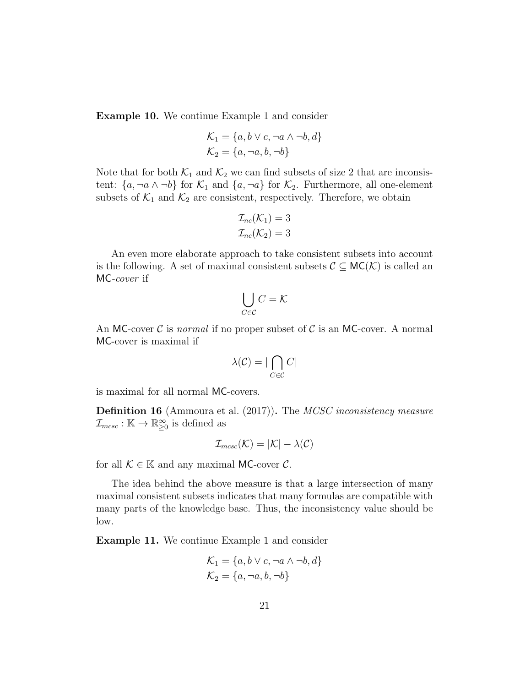Example 10. We continue Example 1 and consider

$$
\mathcal{K}_1 = \{a, b \lor c, \neg a \land \neg b, d\}
$$

$$
\mathcal{K}_2 = \{a, \neg a, b, \neg b\}
$$

Note that for both  $\mathcal{K}_1$  and  $\mathcal{K}_2$  we can find subsets of size 2 that are inconsistent:  $\{a, \neg a \wedge \neg b\}$  for  $\mathcal{K}_1$  and  $\{a, \neg a\}$  for  $\mathcal{K}_2$ . Furthermore, all one-element subsets of  $\mathcal{K}_1$  and  $\mathcal{K}_2$  are consistent, respectively. Therefore, we obtain

$$
\mathcal{I}_{nc}(\mathcal{K}_1) = 3
$$
  

$$
\mathcal{I}_{nc}(\mathcal{K}_2) = 3
$$

An even more elaborate approach to take consistent subsets into account is the following. A set of maximal consistent subsets  $\mathcal{C} \subseteq \mathsf{MC}(\mathcal{K})$  is called an MC-cover if

$$
\bigcup_{C \in \mathcal{C}} C = \mathcal{K}
$$

An MC-cover  $\mathcal C$  is *normal* if no proper subset of  $\mathcal C$  is an MC-cover. A normal MC-cover is maximal if

$$
\lambda(\mathcal{C}) = |\bigcap_{C \in \mathcal{C}} C|
$$

is maximal for all normal MC-covers.

**Definition 16** (Ammoura et al. (2017)). The *MCSC inconsistency measure*  $\mathcal{I}_{mcsc} : \mathbb{K} \to \mathbb{R}^{\infty}_{\geq 0}$  is defined as

$$
\mathcal{I}_{m\text{csc}}(\mathcal{K}) = |\mathcal{K}| - \lambda(\mathcal{C})
$$

for all  $\mathcal{K} \in \mathbb{K}$  and any maximal MC-cover  $\mathcal{C}$ .

The idea behind the above measure is that a large intersection of many maximal consistent subsets indicates that many formulas are compatible with many parts of the knowledge base. Thus, the inconsistency value should be low.

Example 11. We continue Example 1 and consider

$$
\mathcal{K}_1 = \{a, b \lor c, \neg a \land \neg b, d\}
$$

$$
\mathcal{K}_2 = \{a, \neg a, b, \neg b\}
$$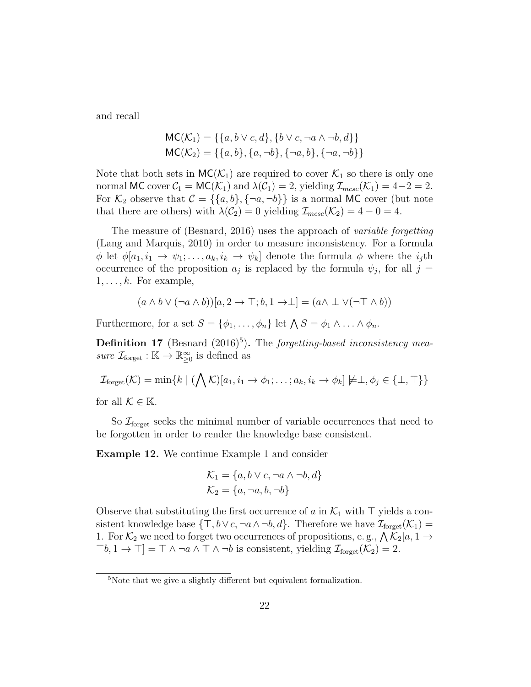and recall

$$
MC(K_1) = \{\{a, b \lor c, d\}, \{b \lor c, \neg a \land \neg b, d\}\}\
$$

$$
MC(K_2) = \{\{a, b\}, \{a, \neg b\}, \{\neg a, b\}, \{\neg a, \neg b\}\}\
$$

Note that both sets in  $MC(\mathcal{K}_1)$  are required to cover  $\mathcal{K}_1$  so there is only one normal MC cover  $C_1 = \mathsf{MC}(\mathcal{K}_1)$  and  $\lambda(C_1) = 2$ , yielding  $\mathcal{I}_{mcsc}(\mathcal{K}_1) = 4-2 = 2$ . For  $\mathcal{K}_2$  observe that  $\mathcal{C} = \{\{a, b\}, \{\neg a, \neg b\}\}\$ is a normal MC cover (but note that there are others) with  $\lambda(C_2) = 0$  yielding  $\mathcal{I}_{m\text{csc}}(\mathcal{K}_2) = 4 - 0 = 4$ .

The measure of (Besnard, 2016) uses the approach of variable forgetting (Lang and Marquis, 2010) in order to measure inconsistency. For a formula  $\phi$  let  $\phi[a_1, i_1 \to \psi_1; \ldots, a_k, i_k \to \psi_k]$  denote the formula  $\phi$  where the  $i_j$ th occurrence of the proposition  $a_j$  is replaced by the formula  $\psi_j$ , for all  $j =$  $1, \ldots, k$ . For example,

$$
(a \wedge b \vee (\neg a \wedge b))[a, 2 \rightarrow \top; b, 1 \rightarrow \perp] = (a \wedge \perp \vee (\neg \top \wedge b))
$$

Furthermore, for a set  $S = {\phi_1, \ldots, \phi_n}$  let  $\bigwedge S = \phi_1 \wedge \ldots \wedge \phi_n$ .

**Definition 17** (Besnard  $(2016)^5$ ). The forgetting-based inconsistency measure  $\mathcal{I}_{\text{forget}} : \mathbb{K} \to \mathbb{R}^{\infty}_{\geq 0}$  is defined as

$$
\mathcal{I}_{\text{forget}}(\mathcal{K}) = \min\{k \mid (\bigwedge \mathcal{K})[a_1, i_1 \to \phi_1; \dots; a_k, i_k \to \phi_k] \neq \perp, \phi_j \in \{\perp, \top\}\}\
$$
\nfor all  $\mathcal{K} \in \mathbb{K}$ .

So  $\mathcal{I}_{\text{forget}}$  seeks the minimal number of variable occurrences that need to be forgotten in order to render the knowledge base consistent.

Example 12. We continue Example 1 and consider

$$
\mathcal{K}_1 = \{a, b \lor c, \neg a \land \neg b, d\}
$$

$$
\mathcal{K}_2 = \{a, \neg a, b, \neg b\}
$$

Observe that substituting the first occurrence of a in  $\mathcal{K}_1$  with  $\top$  yields a consistent knowledge base  $\{\top, b \lor c, \neg a \land \neg b, d\}$ . Therefore we have  $\mathcal{I}_{\text{forget}}(\mathcal{K}_1)$  = 1. For  $\mathcal{K}_2$  we need to forget two occurrences of propositions, e.g.,  $\bigwedge \mathcal{K}_2[a, 1 \rightarrow$  $\lceil \negthinspace \cdot b, 1 \rightarrow \top \rceil = \top \wedge \neg a \wedge \top \wedge \neg b$  is consistent, yielding  $\mathcal{I}_{\text{forget}}(\mathcal{K}_2) = 2$ .

<sup>5</sup>Note that we give a slightly different but equivalent formalization.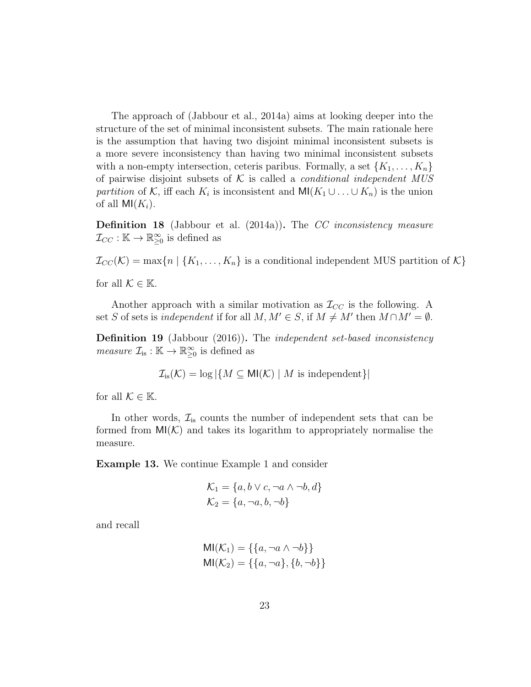The approach of (Jabbour et al., 2014a) aims at looking deeper into the structure of the set of minimal inconsistent subsets. The main rationale here is the assumption that having two disjoint minimal inconsistent subsets is a more severe inconsistency than having two minimal inconsistent subsets with a non-empty intersection, ceteris paribus. Formally, a set  $\{K_1, \ldots, K_n\}$ of pairwise disjoint subsets of  $K$  is called a *conditional independent MUS* partition of K, iff each  $K_i$  is inconsistent and  $\mathsf{MI}(K_1 \cup \ldots \cup K_n)$  is the union of all  $M(K_i)$ .

Definition 18 (Jabbour et al. (2014a)). The CC inconsistency measure  $\mathcal{I}_{CC} : \mathbb{K} \to \mathbb{R}^{\infty}_{\geq 0}$  is defined as

 $\mathcal{I}_{CC}(\mathcal{K}) = \max\{n \mid \{K_1, \ldots, K_n\}$  is a conditional independent MUS partition of  $\mathcal{K}\}$ 

for all  $\mathcal{K} \in \mathbb{K}$ .

Another approach with a similar motivation as  $\mathcal{I}_{CC}$  is the following. A set S of sets is independent if for all  $M, M' \in S$ , if  $M \neq M'$  then  $M \cap M' = \emptyset$ .

Definition 19 (Jabbour (2016)). The independent set-based inconsistency *measure*  $\mathcal{I}_{is} : \mathbb{K} \to \mathbb{R}^{\infty}_{\geq 0}$  is defined as

$$
\mathcal{I}_{\text{is}}(\mathcal{K}) = \log |\{ M \subseteq \text{MI}(\mathcal{K}) \mid M \text{ is independent} \}|
$$

for all  $\mathcal{K} \in \mathbb{K}$ .

In other words,  $\mathcal{I}_{is}$  counts the number of independent sets that can be formed from  $MI(K)$  and takes its logarithm to appropriately normalise the measure.

Example 13. We continue Example 1 and consider

$$
\mathcal{K}_1 = \{a, b \lor c, \neg a \land \neg b, d\}
$$

$$
\mathcal{K}_2 = \{a, \neg a, b, \neg b\}
$$

and recall

$$
MI(\mathcal{K}_1) = \{\{a, \neg a \land \neg b\}\}\
$$

$$
MI(\mathcal{K}_2) = \{\{a, \neg a\}, \{b, \neg b\}\}\
$$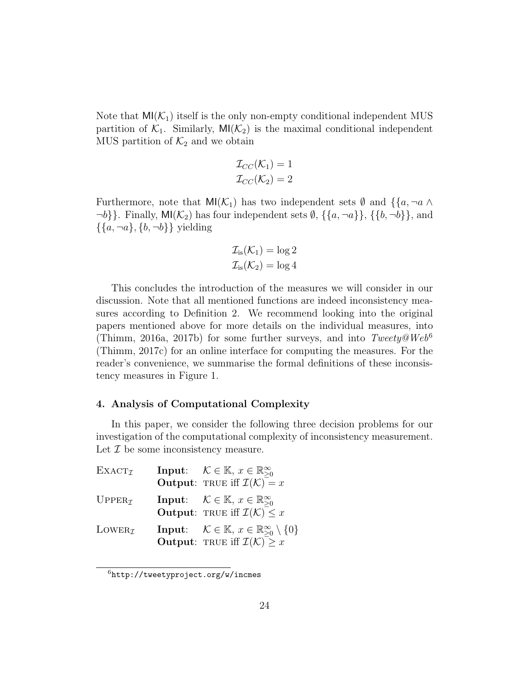Note that  $MI(\mathcal{K}_1)$  itself is the only non-empty conditional independent MUS partition of  $K_1$ . Similarly,  $\text{MI}(\mathcal{K}_2)$  is the maximal conditional independent MUS partition of  $\mathcal{K}_2$  and we obtain

$$
\mathcal{I}_{CC}(\mathcal{K}_1) = 1
$$
  

$$
\mathcal{I}_{CC}(\mathcal{K}_2) = 2
$$

Furthermore, note that  $\mathsf{MI}(\mathcal{K}_1)$  has two independent sets  $\emptyset$  and  $\{\{a, \neg a \wedge \varnothing\}$  $\neg b$ }. Finally, MI( $\mathcal{K}_2$ ) has four independent sets  $\emptyset$ ,  $\{\{a, \neg a\}\}\$ ,  $\{\{b, \neg b\}\}\$ , and  $\{\{a, \neg a\}, \{b, \neg b\}\}\$  yielding

$$
\mathcal{I}_{\text{is}}(\mathcal{K}_1) = \log 2
$$
  

$$
\mathcal{I}_{\text{is}}(\mathcal{K}_2) = \log 4
$$

This concludes the introduction of the measures we will consider in our discussion. Note that all mentioned functions are indeed inconsistency measures according to Definition 2. We recommend looking into the original papers mentioned above for more details on the individual measures, into (Thimm, 2016a, 2017b) for some further surveys, and into  $Tweety@Web^6$ (Thimm, 2017c) for an online interface for computing the measures. For the reader's convenience, we summarise the formal definitions of these inconsistency measures in Figure 1.

#### 4. Analysis of Computational Complexity

In this paper, we consider the following three decision problems for our investigation of the computational complexity of inconsistency measurement. Let  $\mathcal I$  be some inconsistency measure.

| $\text{EXACT}_{\mathcal{I}}$ | <b>Input:</b> $\mathcal{K} \in \mathbb{K}, x \in \mathbb{R}_{\geq 0}^{\infty}$<br><b>Output:</b> TRUE iff $\mathcal{I}(\mathcal{K}) = x$                      |
|------------------------------|---------------------------------------------------------------------------------------------------------------------------------------------------------------|
| $UPPER\tau$                  | <b>Input:</b> $\mathcal{K} \in \mathbb{K}$ , $x \in \mathbb{R}^{\infty}_{\geq 0}$<br><b>Output:</b> TRUE iff $\mathcal{I}(\mathcal{K}) \leq x$                |
| $L$ OWER $\tau$              | <b>Input:</b> $\mathcal{K} \in \mathbb{K}, x \in \mathbb{R}^{\infty}_{\geq 0} \setminus \{0\}$<br><b>Output:</b> TRUE iff $\mathcal{I}(\mathcal{K})$ $\geq x$ |

<sup>6</sup>http://tweetyproject.org/w/incmes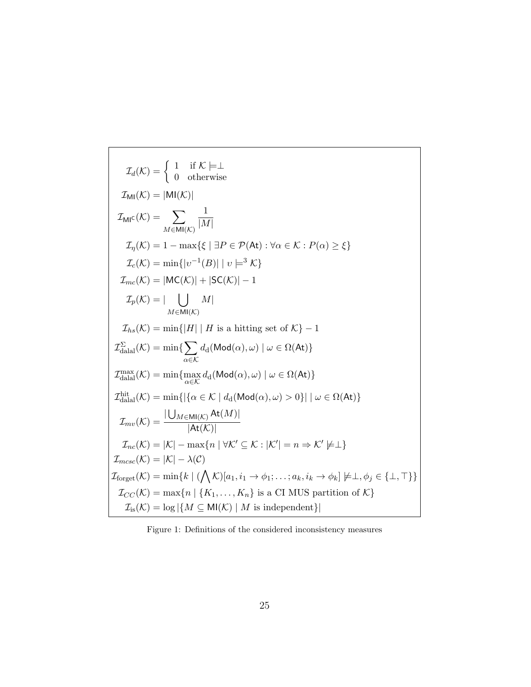$$
\mathcal{I}_d(\mathcal{K}) = \begin{cases}\n1 & \text{if } \mathcal{K} \models \bot \\
0 & \text{otherwise}\n\end{cases}
$$
\n
$$
\mathcal{I}_{\text{MI}}(\mathcal{K}) = |\text{MI}(\mathcal{K})|
$$
\n
$$
\mathcal{I}_{\text{MI}}(\mathcal{K}) = \sum_{M \in \text{MI}(\mathcal{K})} \frac{1}{|M|}
$$
\n
$$
\mathcal{I}_\eta(\mathcal{K}) = 1 - \max\{\xi \mid \exists P \in \mathcal{P}(\text{At}) : \forall \alpha \in \mathcal{K} : P(\alpha) \ge \xi\}
$$
\n
$$
\mathcal{I}_c(\mathcal{K}) = \min\{|v^{-1}(B)| \mid v \models^3 \mathcal{K}\}
$$
\n
$$
\mathcal{I}_{mc}(\mathcal{K}) = |\text{MC}(\mathcal{K})| + |\text{SC}(\mathcal{K})| - 1
$$
\n
$$
\mathcal{I}_p(\mathcal{K}) = |\bigcup_{M \in \text{MI}(\mathcal{K})} M|
$$
\n
$$
\mathcal{I}_{hs}(\mathcal{K}) = \min\{|H| \mid H \text{ is a hitting set of } \mathcal{K}\} - 1
$$
\n
$$
\mathcal{I}_{\text{dual}}^{\Sigma}(\mathcal{K}) = \min\{\sum_{\alpha \in \mathcal{K}} d_d(\text{Mod}(\alpha), \omega) \mid \omega \in \Omega(\text{At})\}
$$
\n
$$
\mathcal{I}_{\text{dual}}^{\text{max}}(\mathcal{K}) = \min\{\max_{\alpha \in \mathcal{K}} d_d(\text{Mod}(\alpha), \omega) \mid \omega \in \Omega(\text{At})\}
$$
\n
$$
\mathcal{I}_{\text{dual}}^{\text{hit}}(\mathcal{K}) = \min\{|\{\alpha \in \mathcal{K} \mid d_d(\text{Mod}(\alpha), \omega) > 0\}| \mid \omega \in \Omega(\text{At})\}
$$
\n
$$
\mathcal{I}_{mv}(\mathcal{K}) = \frac{|\bigcup_{M \in \text{MI}(\mathcal{K})} \text{At}(M)|}{|\text{At}(\mathcal{K})|}
$$
\n
$$
\mathcal{I}_{mc}(\mathcal{K}) = |\mathcal{K}| - \max\{n \mid \forall \mathcal{K}' \subseteq
$$

Figure 1: Definitions of the considered inconsistency measures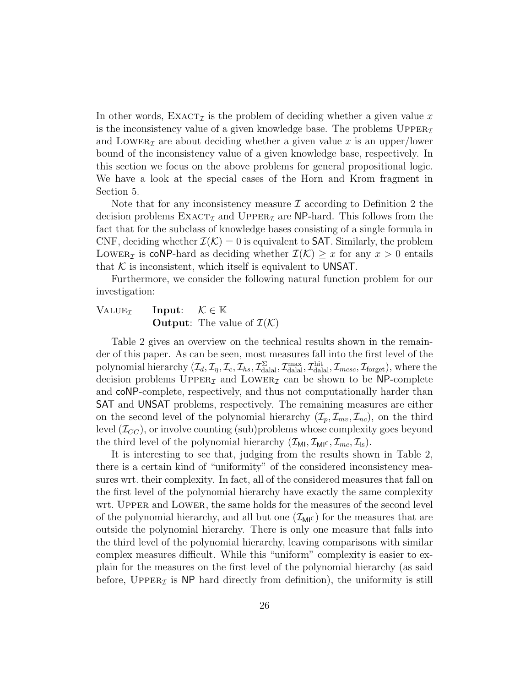In other words,  $\text{EXACT}_{\mathcal{I}}$  is the problem of deciding whether a given value x is the inconsistency value of a given knowledge base. The problems  $\text{Upper}_{\mathcal{I}}$ and LOWER<sub>Z</sub> are about deciding whether a given value x is an upper/lower bound of the inconsistency value of a given knowledge base, respectively. In this section we focus on the above problems for general propositional logic. We have a look at the special cases of the Horn and Krom fragment in Section 5.

Note that for any inconsistency measure  $\mathcal I$  according to Definition 2 the decision problems  $\text{EXACT}_{\mathcal{I}}$  and  $\text{UPPER}_{\mathcal{I}}$  are NP-hard. This follows from the fact that for the subclass of knowledge bases consisting of a single formula in CNF, deciding whether  $\mathcal{I}(\mathcal{K}) = 0$  is equivalent to **SAT**. Similarly, the problem LOWER<sub>I</sub> is coNP-hard as deciding whether  $\mathcal{I}(\mathcal{K}) \geq x$  for any  $x > 0$  entails that  $K$  is inconsistent, which itself is equivalent to UNSAT.

Furthermore, we consider the following natural function problem for our investigation:

### VALUE<sub> $I$ </sub> Input:  $K \in \mathbb{K}$ **Output:** The value of  $\mathcal{I}(\mathcal{K})$

Table 2 gives an overview on the technical results shown in the remainder of this paper. As can be seen, most measures fall into the first level of the polynomial hierarchy  $(\mathcal{I}_d, \mathcal{I}_\eta, \mathcal{I}_c, \mathcal{I}_{hs}, \mathcal{I}_{\text{dala}}^{\Sigma}, \mathcal{I}_{\text{dala}}^{\text{max}}, \mathcal{I}_{\text{dala}}^{\text{hit}}, \mathcal{I}_{mcsc}, \mathcal{I}_{\text{forget}})$ , where the decision problems  $\text{Upper}_{\mathcal{I}}$  and  $\text{Lower}_{\mathcal{I}}$  can be shown to be NP-complete and coNP-complete, respectively, and thus not computationally harder than SAT and UNSAT problems, respectively. The remaining measures are either on the second level of the polynomial hierarchy  $(\mathcal{I}_p, \mathcal{I}_{mv}, \mathcal{I}_{nc})$ , on the third level  $(\mathcal{I}_{CC})$ , or involve counting (sub)problems whose complexity goes beyond the third level of the polynomial hierarchy  $(\mathcal{I}_{\text{MI}}, \mathcal{I}_{\text{MI}}^{\text{max}}, \mathcal{I}_{\text{ins}}^{\text{max}}, \mathcal{I}_{\text{ins}}^{\text{max}})$ .

It is interesting to see that, judging from the results shown in Table 2, there is a certain kind of "uniformity" of the considered inconsistency measures wrt. their complexity. In fact, all of the considered measures that fall on the first level of the polynomial hierarchy have exactly the same complexity wrt. UPPER and LOWER, the same holds for the measures of the second level of the polynomial hierarchy, and all but one  $(\mathcal{I}_{MI}^{\mathcal{C}})$  for the measures that are outside the polynomial hierarchy. There is only one measure that falls into the third level of the polynomial hierarchy, leaving comparisons with similar complex measures difficult. While this "uniform" complexity is easier to explain for the measures on the first level of the polynomial hierarchy (as said before, UPPER $\tau$  is NP hard directly from definition), the uniformity is still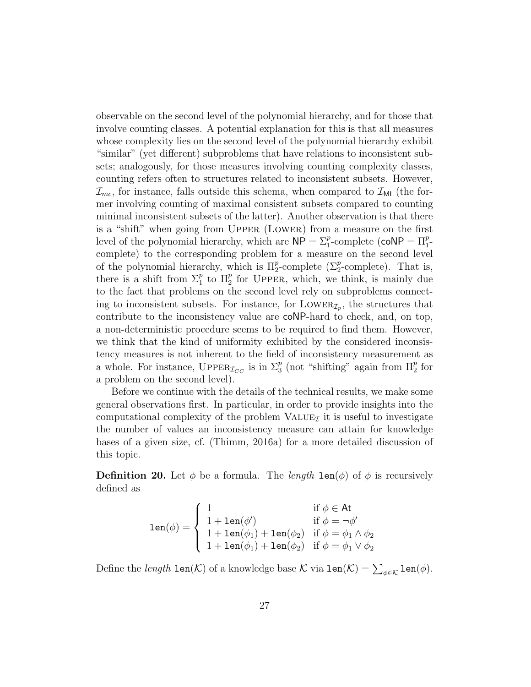observable on the second level of the polynomial hierarchy, and for those that involve counting classes. A potential explanation for this is that all measures whose complexity lies on the second level of the polynomial hierarchy exhibit "similar" (yet different) subproblems that have relations to inconsistent subsets; analogously, for those measures involving counting complexity classes, counting refers often to structures related to inconsistent subsets. However,  $\mathcal{I}_{mc}$ , for instance, falls outside this schema, when compared to  $\mathcal{I}_{ML}$  (the former involving counting of maximal consistent subsets compared to counting minimal inconsistent subsets of the latter). Another observation is that there is a "shift" when going from Upper (Lower) from a measure on the first level of the polynomial hierarchy, which are  $\mathsf{NP} = \sum_{1}^{p}$ -complete (co $\mathsf{NP} = \Pi_{1}^{p}$ complete) to the corresponding problem for a measure on the second level of the polynomial hierarchy, which is  $\Pi_2^p$ -complete ( $\Sigma_2^p$ -complete). That is, there is a shift from  $\Sigma_1^p$  to  $\Pi_2^p$  for UPPER, which, we think, is mainly due to the fact that problems on the second level rely on subproblems connecting to inconsistent subsets. For instance, for  $\text{Lower}_{\mathcal{I}_p}$ , the structures that contribute to the inconsistency value are coNP-hard to check, and, on top, a non-deterministic procedure seems to be required to find them. However, we think that the kind of uniformity exhibited by the considered inconsistency measures is not inherent to the field of inconsistency measurement as a whole. For instance,  $\text{Upper}_{\mathcal{I}_{CC}}$  is in  $\Sigma_3^p$  (not "shifting" again from  $\Pi_2^p$  for a problem on the second level).

Before we continue with the details of the technical results, we make some general observations first. In particular, in order to provide insights into the computational complexity of the problem  $VALUpsilon<sub>I</sub>$  it is useful to investigate the number of values an inconsistency measure can attain for knowledge bases of a given size, cf. (Thimm, 2016a) for a more detailed discussion of this topic.

**Definition 20.** Let  $\phi$  be a formula. The *length*  $\text{len}(\phi)$  of  $\phi$  is recursively defined as

$$
\text{len}(\phi) = \left\{ \begin{array}{ll} 1 & \text{if } \phi \in \text{At} \\ 1 + \text{len}(\phi') & \text{if } \phi = \neg \phi' \\ 1 + \text{len}(\phi_1) + \text{len}(\phi_2) & \text{if } \phi = \phi_1 \land \phi_2 \\ 1 + \text{len}(\phi_1) + \text{len}(\phi_2) & \text{if } \phi = \phi_1 \lor \phi_2 \end{array} \right.
$$

Define the *length*  $\texttt{len}(\mathcal{K})$  of a knowledge base  $\mathcal K$  via  $\texttt{len}(\mathcal{K}) = \sum_{\phi \in \mathcal K} \texttt{len}(\phi)$ .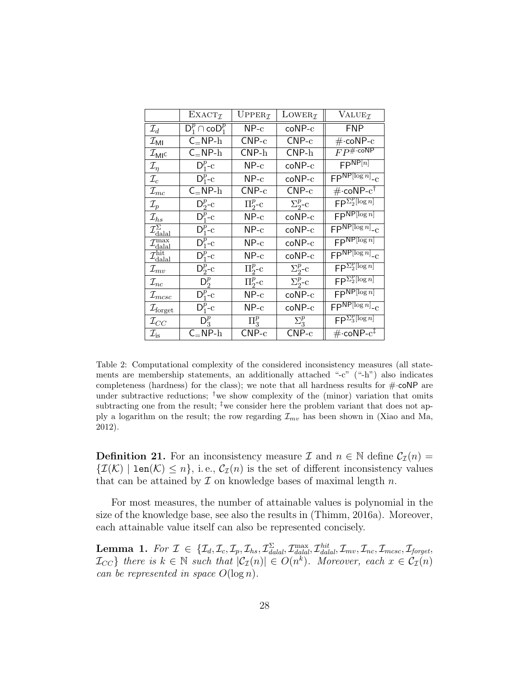|                                                 | EXACT <sub>Z</sub>                     | UPPER <sub>I</sub>               | LOWER <sub><math>I</math></sub> | VALUE <sub>I</sub>                               |
|-------------------------------------------------|----------------------------------------|----------------------------------|---------------------------------|--------------------------------------------------|
| $\mathcal{I}_d$                                 | $\mathsf{D}_1^p \cap \mathsf{coD}_1^p$ | $NP-c$                           | $coNP-c$                        | FNP.                                             |
| $\mathcal{I}_{\sf MI}$                          | $C_{=}NP-h$                            | $CNP-c$                          | $CNP-c$                         | $\#$ ·coNP- $c$                                  |
| $\mathcal{I}_{\mathsf{MI}^{\mathsf{C}}}$        | $C_$ NP-h                              | $CNP-h$                          | $CNP-h$                         | $FP^{\text{\#-coNP}}$                            |
| $\mathcal{I}_{\eta}$                            | $D_1^p$ -c                             | $NP-c$                           | $coNP-c$                        | $F$ P $N$ P $[n]$                                |
| $\mathcal{I}_c$                                 | $D_1^p$ -c                             | $NP-c$                           | $coNP-c$                        | $FP^{NP[log n]}-c$                               |
| $\mathcal{I}_{mc}$                              | $C_$ NP- $h$                           | ${\sf CNP\text{-}c}$             | $CNP-c$                         | $\#\cdot$ coNP- $c^{\dagger}$                    |
| $\mathcal{I}_p$                                 | $D_2^p$ -c                             | $\Pi^p_2$ -c                     | $\Sigma^p_{2^-}c$               | $FP^{\sum_{2}^{p}[\log n]}$                      |
| $\mathcal{I}_{hs}$                              | $D_{1}^{p}$ -c                         | $NP-c$                           | $coNP-c$                        | $F$ PNP[ $log n$ ]                               |
| $\overline{\mathcal{I}}_{\text{dala}}^{\Sigma}$ | $D_1^p$ -c                             | $NP-c$                           | $coNP-c$                        | $FP^{NP[log n]}-c$                               |
| $\mathcal{I}_{\text{dala}}^{\text{max}}$        | $D_1^p$ -c                             | $NP-c$                           | $coNP-c$                        | $FP^{NP[log n]}$                                 |
| $\mathcal{I}_{\rm dala l}^{\rm hit}$            | $D_1^p$ -c                             | $NP-c$                           | $coNP-c$                        | $FP^{NP[log n]}-c$                               |
| $\mathcal{I}_{mv}$                              | $D_2^p$ -c                             | $\Pi_{2}^{p}$ -c                 | $\Sigma^p_{2}$ -c               | $FP^{\sum_{2}^{p}[\log n]}$                      |
| $\mathcal{I}_{nc}$                              | $D_2^p$                                | $\Pi^p_2$ -c                     | $\Sigma^p_2$ -c                 | $FP^{\sum_{2}^{p}[\log n]}$                      |
| $\mathcal{I}_{m c s c}$                         | $D_1^p$ -c                             | $NP-c$                           | $coNP-c$                        | $F$ P $N$ P $\left[\log n\right]$                |
| $\mathcal{I}_{\text{forget}}$                   | $D_1^p$ -c                             | $NP-c$                           | $coNP-c$                        | $FP^{NP[log n]}-c$                               |
| $\mathcal{I}_{CC}$                              | $\mathsf{D}_3^p$                       | $\Pi^p_3$                        | $\Sigma_3^p$                    | $FP^{\sum_{3}^{p}[\log n]}$                      |
| $\mathcal{I}_{\text{is}}$                       | $C_$ NP- $h$                           | $\mathsf{CNP}\text{-}\mathrm{c}$ | $CNP-c$                         | $\#\cdot$ coN $\overline{P\text{-}c^{\ddagger}}$ |

Table 2: Computational complexity of the considered inconsistency measures (all statements are membership statements, an additionally attached "-c" ("-h") also indicates completeness (hardness) for the class); we note that all hardness results for  $\#$  coNP are under subtractive reductions; <sup>†</sup>we show complexity of the (minor) variation that omits subtracting one from the result;  $\frac{1}{4}$  we consider here the problem variant that does not apply a logarithm on the result; the row regarding  $\mathcal{I}_{mv}$  has been shown in (Xiao and Ma, 2012).

**Definition 21.** For an inconsistency measure I and  $n \in \mathbb{N}$  define  $C_{\mathcal{I}}(n)$  =  ${\mathcal{I}(\mathcal{K}) \mid \texttt{len}(\mathcal{K}) \leq n},$  i.e.,  $C_{\mathcal{I}}(n)$  is the set of different inconsistency values that can be attained by  $\mathcal I$  on knowledge bases of maximal length  $n$ .

For most measures, the number of attainable values is polynomial in the size of the knowledge base, see also the results in (Thimm, 2016a). Moreover, each attainable value itself can also be represented concisely.

 $\textbf{Lemma 1.} \ \ For \ \mathcal{I} \ \in \ \{\mathcal{I}_d, \mathcal{I}_c, \mathcal{I}_p, \mathcal{I}_{hs}, \mathcal{I}^{\Sigma}_{dala}, \mathcal{I}^{\max}_{dala l}, \mathcal{I}_{dala l}, \mathcal{I}_{mv}, \mathcal{I}_{nc}, \mathcal{I}_{m csc}, \mathcal{I}_{forget}, \}$  $\mathcal{I}_{CC}$  there is  $k \in \mathbb{N}$  such that  $|\mathcal{C}_{\mathcal{I}}(n)| \in O(n^k)$ . Moreover, each  $x \in \mathcal{C}_{\mathcal{I}}(n)$ can be represented in space  $O(\log n)$ .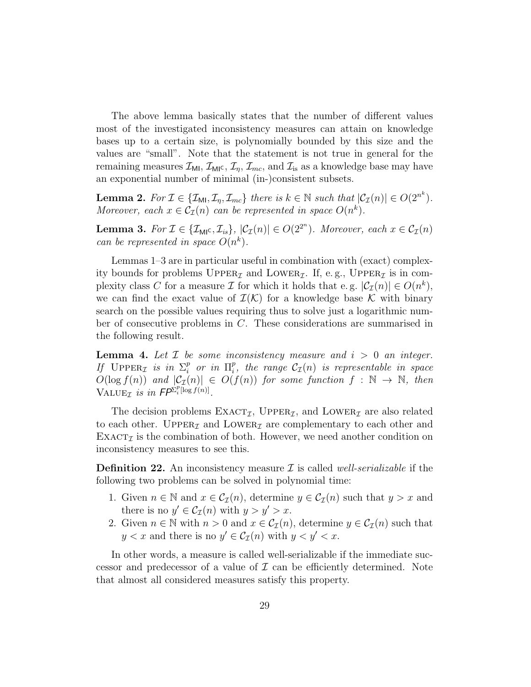The above lemma basically states that the number of different values most of the investigated inconsistency measures can attain on knowledge bases up to a certain size, is polynomially bounded by this size and the values are "small". Note that the statement is not true in general for the remaining measures  $\mathcal{I}_{\text{MI}}, \mathcal{I}_{\text{MI}^c}, \mathcal{I}_n, \mathcal{I}_{mc}$ , and  $\mathcal{I}_{\text{is}}$  as a knowledge base may have an exponential number of minimal (in-)consistent subsets.

**Lemma 2.** For  $\mathcal{I} \in \{ \mathcal{I}_{\mathsf{M1}}, \mathcal{I}_{\eta}, \mathcal{I}_{mc} \}$  there is  $k \in \mathbb{N}$  such that  $|\mathcal{C}_{\mathcal{I}}(n)| \in O(2^{n^k})$ . Moreover, each  $x \in C_{\mathcal{I}}(n)$  can be represented in space  $O(n^k)$ .

**Lemma 3.** For  $\mathcal{I} \in \{ \mathcal{I}_{\mathsf{M}^{\mathsf{C}}}, \mathcal{I}_{is} \},\ |\mathcal{C}_{\mathcal{I}}(n)| \in O(2^{2^n})$ . Moreover, each  $x \in \mathcal{C}_{\mathcal{I}}(n)$ can be represented in space  $O(n^k)$ .

Lemmas 1–3 are in particular useful in combination with (exact) complexity bounds for problems  $\text{Upper}_{\mathcal{I}}$  and  $\text{Lower}_{\mathcal{I}}$ . If, e.g.,  $\text{Upper}_{\mathcal{I}}$  is in complexity class C for a measure I for which it holds that e.g.  $|\mathcal{C}_{\mathcal{I}}(n)| \in O(n^k)$ , we can find the exact value of  $\mathcal{I}(\mathcal{K})$  for a knowledge base K with binary search on the possible values requiring thus to solve just a logarithmic number of consecutive problems in C. These considerations are summarised in the following result.

**Lemma 4.** Let  $\mathcal{I}$  be some inconsistency measure and  $i > 0$  an integer. If  $\text{UPPER}_{\mathcal{I}}$  is in  $\Sigma_i^p$  $\int_i^p$  or in  $\Pi_i^p$  $_{i}^{p},$  the range  $\mathcal{C}_{\mathcal{I}}(n)$  is representable in space  $O(\log f(n))$  and  $|\mathcal{C}_{\mathcal{I}}(n)| \in O(f(n))$  for some function  $f : \mathbb{N} \to \mathbb{N}$ , then VALUE<sub>T</sub> is in  $FP^{\sum_{i}^{p}[\log f(n)]}$ .

The decision problems  $\text{EXACT}_{\mathcal{I}}$ , UPPER<sub>*I*</sub>, and LOWER<sub>*I*</sub> are also related to each other. UPPER<sub>I</sub> and LOWER<sub>I</sub> are complementary to each other and  $\text{EXACT}_{\mathcal{I}}$  is the combination of both. However, we need another condition on inconsistency measures to see this.

**Definition 22.** An inconsistency measure  $\mathcal{I}$  is called *well-serializable* if the following two problems can be solved in polynomial time:

- 1. Given  $n \in \mathbb{N}$  and  $x \in \mathcal{C}_{\mathcal{I}}(n)$ , determine  $y \in \mathcal{C}_{\mathcal{I}}(n)$  such that  $y > x$  and there is no  $y' \in C_{\mathcal{I}}(n)$  with  $y > y' > x$ .
- 2. Given  $n \in \mathbb{N}$  with  $n > 0$  and  $x \in C_{\mathcal{I}}(n)$ , determine  $y \in C_{\mathcal{I}}(n)$  such that  $y < x$  and there is no  $y' \in C_{\mathcal{I}}(n)$  with  $y < y' < x$ .

In other words, a measure is called well-serializable if the immediate successor and predecessor of a value of  $\mathcal I$  can be efficiently determined. Note that almost all considered measures satisfy this property.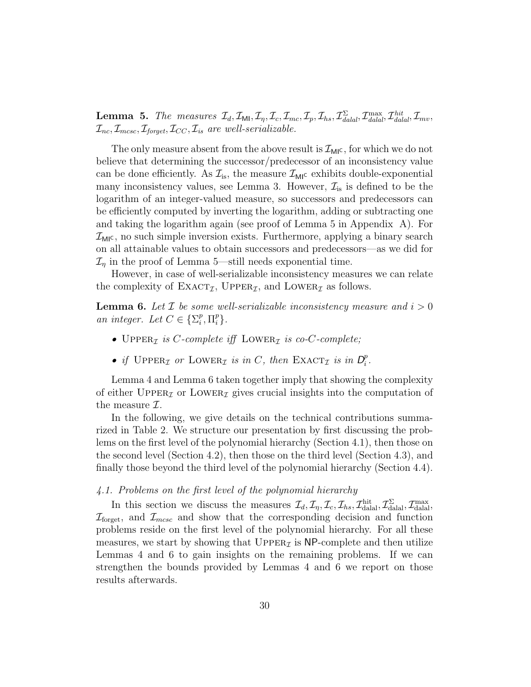**Lemma 5.** The measures  $\mathcal{I}_d$ ,  $\mathcal{I}_{\mathsf{Ml}}$ ,  $\mathcal{I}_\eta$ ,  $\mathcal{I}_c$ ,  $\mathcal{I}_{mc}$ ,  $\mathcal{I}_p$ ,  $\mathcal{I}_{hs}$ ,  $\mathcal{I}_{\text{d}alal}^{\Sigma}$ ,  $\mathcal{I}_{\text{d}alal}^{\text{max}}$ ,  $\mathcal{I}_{\text{d}alal}^{\text{hit}}$ ,  $\mathcal{I}_{mv}$ ,  $\mathcal{I}_{\text{nc}}, \mathcal{I}_{\text{mesc}}, \mathcal{I}_{\text{foroet}}, \mathcal{I}_{CC}, \mathcal{I}_{\text{is}}$  are well-serializable.

The only measure absent from the above result is  $\mathcal{I}_{\text{MI}}$ , for which we do not believe that determining the successor/predecessor of an inconsistency value can be done efficiently. As  $\mathcal{I}_{is}$ , the measure  $\mathcal{I}_{MI}$  exhibits double-exponential many inconsistency values, see Lemma 3. However,  $\mathcal{I}_{is}$  is defined to be the logarithm of an integer-valued measure, so successors and predecessors can be efficiently computed by inverting the logarithm, adding or subtracting one and taking the logarithm again (see proof of Lemma 5 in Appendix A). For  $\mathcal{I}_{\text{MI}}$ c, no such simple inversion exists. Furthermore, applying a binary search on all attainable values to obtain successors and predecessors—as we did for  $\mathcal{I}_n$  in the proof of Lemma 5—still needs exponential time.

However, in case of well-serializable inconsistency measures we can relate the complexity of  $\text{EXACT}_{\mathcal{I}}$ , UPPER<sub> $\mathcal{I}$ </sub>, and LOWER<sub> $\mathcal{I}$ </sub> as follows.

**Lemma 6.** Let  $\mathcal{I}$  be some well-serializable inconsistency measure and  $i > 0$ an integer. Let  $C \in \{\Sigma_i^p\}$  $_i^p$ ,  $\Pi_i^p$  $_i^p\}.$ 

- UPPER<sub>*T*</sub> is *C*-complete iff LOWER<sub>*T*</sub> is co-*C*-complete;
- if  $\text{Upper}_{\mathcal{I}}$  or  $\text{Lower}_{\mathcal{I}}$  is in C, then  $\text{Exact}_{\mathcal{I}}$  is in  $D_i^p$  $_i^p$ .

Lemma 4 and Lemma 6 taken together imply that showing the complexity of either UPPER<sub>I</sub> or LOWER<sub>I</sub> gives crucial insights into the computation of the measure  $\mathcal{I}.$ 

In the following, we give details on the technical contributions summarized in Table 2. We structure our presentation by first discussing the problems on the first level of the polynomial hierarchy (Section 4.1), then those on the second level (Section 4.2), then those on the third level (Section 4.3), and finally those beyond the third level of the polynomial hierarchy (Section 4.4).

### 4.1. Problems on the first level of the polynomial hierarchy

In this section we discuss the measures  $\mathcal{I}_d, \mathcal{I}_\eta, \mathcal{I}_c, \mathcal{I}_{hs}, \mathcal{I}_{\text{dala}}^{\text{hit}}, \mathcal{I}_{\text{dala}}^{\Sigma}, \mathcal{I}_{\text{dala}}^{\text{max}}$  $\mathcal{I}_{\text{forget}}$ , and  $\mathcal{I}_{mcsc}$  and show that the corresponding decision and function problems reside on the first level of the polynomial hierarchy. For all these measures, we start by showing that  $\text{Upper}_{\mathcal{I}}$  is NP-complete and then utilize Lemmas 4 and 6 to gain insights on the remaining problems. If we can strengthen the bounds provided by Lemmas 4 and 6 we report on those results afterwards.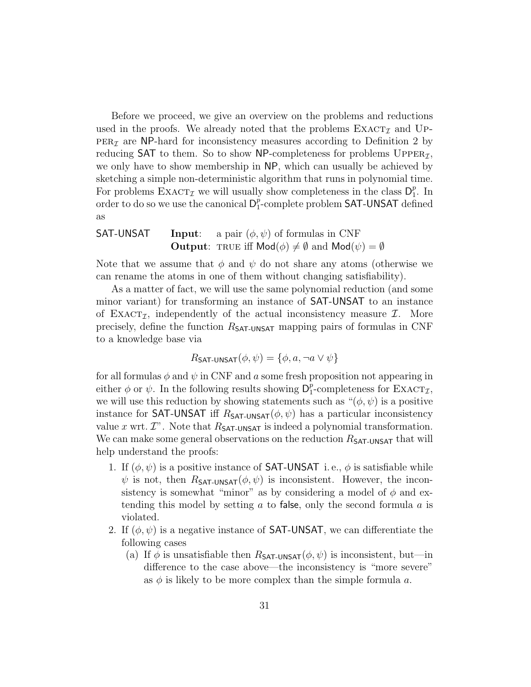Before we proceed, we give an overview on the problems and reductions used in the proofs. We already noted that the problems  $\text{EXACT}_{\mathcal{I}}$  and UP- $PER<sub>I</sub>$  are NP-hard for inconsistency measures according to Definition 2 by reducing SAT to them. So to show NP-completeness for problems  $\text{UPPER}_{\mathcal{I}}$ , we only have to show membership in NP, which can usually be achieved by sketching a simple non-deterministic algorithm that runs in polynomial time. For problems  $\text{EXACT}_{\mathcal{I}}$  we will usually show completeness in the class  $\mathsf{D}_1^p$  $_{1}^{p}$ . In order to do so we use the canonical  $D_1^p$  $\frac{p}{1}$ -complete problem <code>SAT-UNSAT</code> defined as

**SAT-UNSAT Input**: a pair 
$$
(\phi, \psi)
$$
 of formulas in CNF  
\n**Output**: TRUE iff Mod( $\phi$ )  $\neq \emptyset$  and Mod( $\psi$ ) =  $\emptyset$ 

Note that we assume that  $\phi$  and  $\psi$  do not share any atoms (otherwise we can rename the atoms in one of them without changing satisfiability).

As a matter of fact, we will use the same polynomial reduction (and some minor variant) for transforming an instance of SAT-UNSAT to an instance of EXACT<sub> $I$ </sub>, independently of the actual inconsistency measure  $I$ . More precisely, define the function  $R_{\text{SAT-UNSAT}}$  mapping pairs of formulas in CNF to a knowledge base via

$$
R_{\text{SAT-UNSAT}}(\phi, \psi) = \{\phi, a, \neg a \lor \psi\}
$$

for all formulas  $\phi$  and  $\psi$  in CNF and a some fresh proposition not appearing in either  $\phi$  or  $\psi$ . In the following results showing  $D_1^p$  $_{1}^{p}$ -completeness for EXACT<sub>*I*</sub>, we will use this reduction by showing statements such as " $(\phi, \psi)$  is a positive instance for SAT-UNSAT iff  $R_{SAT-UNSAT}(\phi, \psi)$  has a particular inconsistency value x wrt.  $\mathcal{I}$ ". Note that  $R_{\mathsf{SAT-UNSAT}}$  is indeed a polynomial transformation. We can make some general observations on the reduction  $R_{\text{SAT-UNSAT}}$  that will help understand the proofs:

- 1. If  $(\phi, \psi)$  is a positive instance of **SAT-UNSAT** i.e.,  $\phi$  is satisfiable while  $\psi$  is not, then  $R_{\text{SAT-UNSAT}}(\phi, \psi)$  is inconsistent. However, the inconsistency is somewhat "minor" as by considering a model of  $\phi$  and extending this model by setting  $a$  to false, only the second formula  $a$  is violated.
- 2. If  $(\phi, \psi)$  is a negative instance of **SAT-UNSAT**, we can differentiate the following cases
	- (a) If  $\phi$  is unsatisfiable then  $R_{\text{SAT-UNSAT}}(\phi, \psi)$  is inconsistent, but—in difference to the case above—the inconsistency is "more severe" as  $\phi$  is likely to be more complex than the simple formula a.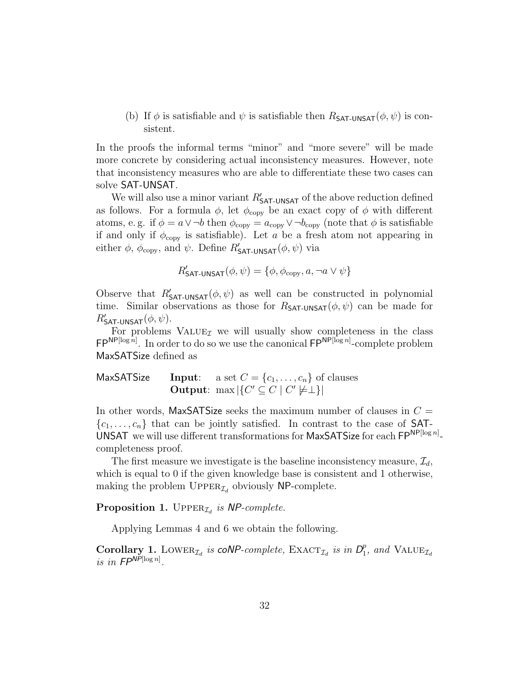(b) If  $\phi$  is satisfiable and  $\psi$  is satisfiable then  $R_{\text{SAT-UNSAT}}(\phi, \psi)$  is consistent.

In the proofs the informal terms "minor" and "more severe" will be made more concrete by considering actual inconsistency measures. However, note that inconsistency measures who are able to differentiate these two cases can solve SAT-UNSAT.

We will also use a minor variant  $R'_{\text{SAT-UNSAT}}$  of the above reduction defined as follows. For a formula  $\phi$ , let  $\phi_{\text{copy}}$  be an exact copy of  $\phi$  with different atoms, e.g. if  $\phi = a \vee \neg b$  then  $\phi_{\text{copy}} = a_{\text{copy}} \vee \neg b_{\text{copy}}$  (note that  $\phi$  is satisfiable if and only if  $\phi_{\text{copy}}$  is satisfiable). Let a be a fresh atom not appearing in either  $\phi$ ,  $\phi_{\text{copy}}$ , and  $\psi$ . Define  $R'_{\text{SAT-UNSAT}}(\phi, \psi)$  via

$$
R'_{\text{SAT-UNSAT}}(\phi, \psi) = \{ \phi, \phi_{\text{copy}}, a, \neg a \lor \psi \}
$$

Observe that  $R'_{\text{SAT-UNSAT}}(\phi, \psi)$  as well can be constructed in polynomial time. Similar observations as those for  $R_{\text{SAT-UNSAT}}(\phi, \psi)$  can be made for  $R'_{\mathsf{SAT-UNSAT}}(\phi, \psi).$ 

For problems  $VALUE_{\mathcal{I}}$  we will usually show completeness in the class  $\mathsf{FP}^{\mathsf{NP}[\log n]}$ . In order to do so we use the canonical  $\mathsf{FP}^{\mathsf{NP}[\log n]}$ -complete problem MaxSATSize defined as

MaxSATSize Input: a set  $C = \{c_1, \ldots, c_n\}$  of clauses Output:  $\max |\{C' \subseteq C \mid C' \not\models \perp\}|$ 

In other words, MaxSATSize seeks the maximum number of clauses in  $C =$  $\{c_1, \ldots, c_n\}$  that can be jointly satisfied. In contrast to the case of SAT-UNSAT we will use different transformations for MaxSATSize for each  $\mathsf{FP}^{\mathsf{NP}[\log n]}$ completeness proof.

The first measure we investigate is the baseline inconsistency measure,  $\mathcal{I}_d$ , which is equal to 0 if the given knowledge base is consistent and 1 otherwise, making the problem  $\text{Upper}_{\mathcal{I}_d}$  obviously NP-complete.

Proposition 1. UPPER<sub> $I_d$ </sub> is NP-complete.

Applying Lemmas 4 and 6 we obtain the following.

Corollary 1. LOWER<sub> $I_d$ </sub> is coNP-complete, EXACT<sub> $I_d$ </sub> is in  $D_1^p$  $_{1}^{p}$ , and VALUE<sub> $\mathcal{I}_d$ </sub> is in  $FP^{NP[\log n]}$ .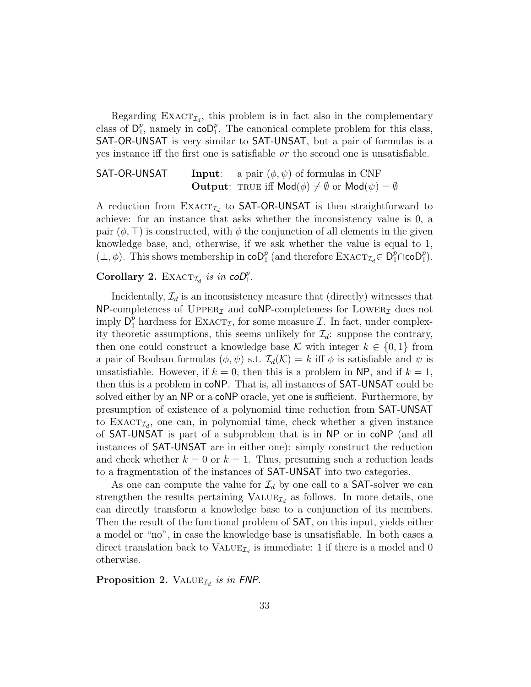Regarding  $\text{EXACT}_{\mathcal{I}_d}$ , this problem is in fact also in the complementary class of  $D_1^p$ <sup>p</sup><sub>1</sub>, namely in  $\overline{coD}_1^p$ . The canonical complete problem for this class, SAT-OR-UNSAT is very similar to SAT-UNSAT, but a pair of formulas is a yes instance iff the first one is satisfiable or the second one is unsatisfiable.

**SAT-OR-UNSAT** Input: a pair  $(\phi, \psi)$  of formulas in CNF **Output:** TRUE iff  $\mathsf{Mod}(\phi) \neq \emptyset$  or  $\mathsf{Mod}(\psi) = \emptyset$ 

A reduction from  $\text{EXACT}_{\mathcal{I}_d}$  to SAT-OR-UNSAT is then straightforward to achieve: for an instance that asks whether the inconsistency value is 0, a pair  $(\phi, \top)$  is constructed, with  $\phi$  the conjunction of all elements in the given knowledge base, and, otherwise, if we ask whether the value is equal to 1,  $(\perp, \phi)$ . This shows membership in  $\mathsf{coD}_1^p$  (and therefore  $\mathrm{EXACT}_{\mathcal{I}_d} \in D_1^p \cap \mathsf{coD}_1^p$ ).

## Corollary 2. EXACT<sub> $I_d$ </sub> is in  $coD_1^p$ .

Incidentally,  $\mathcal{I}_d$  is an inconsistency measure that (directly) witnesses that  $NP$ -completeness of UPPER<sub>I</sub> and coNP-completeness for LOWER<sub>I</sub> does not imply  $D_1^p$  hardness for  $\text{EXACT}_{\mathcal{I}}$ , for some measure  $\mathcal{I}$ . In fact, under complexity theoretic assumptions, this seems unlikely for  $\mathcal{I}_d$ : suppose the contrary, then one could construct a knowledge base K with integer  $k \in \{0,1\}$  from a pair of Boolean formulas  $(\phi, \psi)$  s.t.  $\mathcal{I}_d(\mathcal{K}) = k$  iff  $\phi$  is satisfiable and  $\psi$  is unsatisfiable. However, if  $k = 0$ , then this is a problem in NP, and if  $k = 1$ , then this is a problem in coNP. That is, all instances of SAT-UNSAT could be solved either by an NP or a coNP oracle, yet one is sufficient. Furthermore, by presumption of existence of a polynomial time reduction from SAT-UNSAT to  $\text{EXACT}_{\mathcal{I}_d}$ , one can, in polynomial time, check whether a given instance of SAT-UNSAT is part of a subproblem that is in NP or in coNP (and all instances of SAT-UNSAT are in either one): simply construct the reduction and check whether  $k = 0$  or  $k = 1$ . Thus, presuming such a reduction leads to a fragmentation of the instances of SAT-UNSAT into two categories.

As one can compute the value for  $\mathcal{I}_d$  by one call to a **SAT**-solver we can strengthen the results pertaining  $\text{VALUE}_{\mathcal{I}_d}$  as follows. In more details, one can directly transform a knowledge base to a conjunction of its members. Then the result of the functional problem of SAT, on this input, yields either a model or "no", in case the knowledge base is unsatisfiable. In both cases a direct translation back to  $\text{VALUE}_{\mathcal{I}_d}$  is immediate: 1 if there is a model and 0 otherwise.

Proposition 2. VALUE $_{\mathcal{I}_d}$  is in FNP.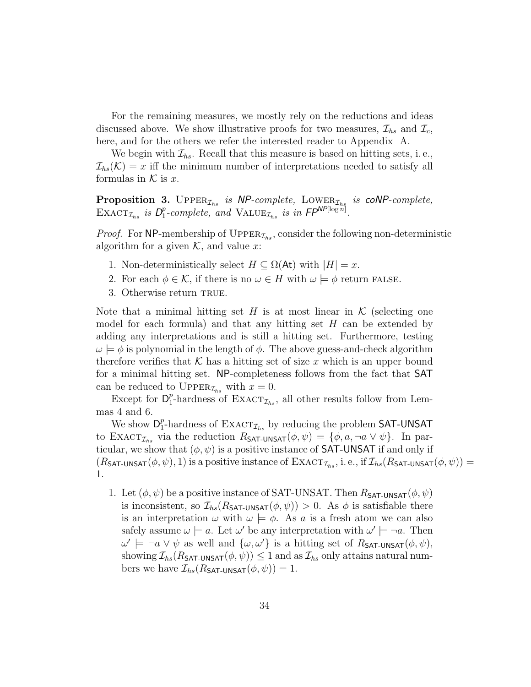For the remaining measures, we mostly rely on the reductions and ideas discussed above. We show illustrative proofs for two measures,  $\mathcal{I}_{hs}$  and  $\mathcal{I}_{c}$ , here, and for the others we refer the interested reader to Appendix A.

We begin with  $\mathcal{I}_{hs}$ . Recall that this measure is based on hitting sets, i.e.,  $\mathcal{I}_{hs}(\mathcal{K}) = x$  iff the minimum number of interpretations needed to satisfy all formulas in  $K$  is  $x$ .

**Proposition 3.** UPPER<sub> $\mathcal{I}_{hs}$  is NP-complete, LOWER<sub> $\mathcal{I}_{hs}$ </sub> is coNP-complete,</sub> EXACT<sub> $\mathcal{I}_{hs}$ </sub> is  $D_1^p$  $_{1}^{p}$ -complete, and VALUE<sub> $\mathcal{I}_{hs}$ </sub> is in  $\mathsf{FP}^{\mathsf{NP}[\log n]}$ .

*Proof.* For NP-membership of  $\text{UPPER}_{\mathcal{I}_{hs}}$ , consider the following non-deterministic algorithm for a given  $K$ , and value x:

- 1. Non-deterministically select  $H \subseteq \Omega(\mathsf{At})$  with  $|H| = x$ .
- 2. For each  $\phi \in \mathcal{K}$ , if there is no  $\omega \in H$  with  $\omega \models \phi$  return FALSE.
- 3. Otherwise return TRUE.

Note that a minimal hitting set H is at most linear in  $\mathcal K$  (selecting one model for each formula) and that any hitting set  $H$  can be extended by adding any interpretations and is still a hitting set. Furthermore, testing  $\omega \models \phi$  is polynomial in the length of  $\phi$ . The above guess-and-check algorithm therefore verifies that K has a hitting set of size x which is an upper bound for a minimal hitting set. NP-completeness follows from the fact that SAT can be reduced to UPPER<sub> $\mathcal{I}_{hs}$ </sub> with  $x = 0$ .

Except for  $D_1^p$ <sup>*p*</sup>-hardness of EXACT<sub>*I<sub>hs</sub>*</sub>, all other results follow from Lemmas 4 and 6.

We show  $\mathsf{D}_1^p$ <sup>*p*</sup>-hardness of EXACT<sub> $\mathcal{I}_{hs}$ </sub> by reducing the problem SAT-UNSAT to EXACT<sub> $\mathcal{I}_{hs}$ </sub> via the reduction  $R_{\text{SAT-UNSAT}}(\phi, \psi) = {\phi, a, \neg a \vee \psi}.$  In particular, we show that  $(\phi, \psi)$  is a positive instance of **SAT-UNSAT** if and only if  $(R_{\text{SAT-UNSAT}}(\phi, \psi), 1)$  is a positive instance of  $\text{EXACT}_{\mathcal{I}_{hs}}$ , i. e., if  $\mathcal{I}_{hs}(R_{\text{SAT-UNSAT}}(\phi, \psi))$  = 1.

1. Let  $(\phi, \psi)$  be a positive instance of SAT-UNSAT. Then  $R_{\text{SAT-UNSAT}}(\phi, \psi)$ is inconsistent, so  $\mathcal{I}_{hs}(R_{\text{SAT-UNSAT}}(\phi, \psi)) > 0$ . As  $\phi$  is satisfiable there is an interpretation  $\omega$  with  $\omega \models \phi$ . As a is a fresh atom we can also safely assume  $\omega \models a$ . Let  $\omega'$  be any interpretation with  $\omega' \models \neg a$ . Then  $\omega' \models \neg a \vee \psi$  as well and  $\{\omega, \omega'\}$  is a hitting set of  $R_{\mathsf{SAT-UNSAT}}(\phi, \psi)$ , showing  $\mathcal{I}_{hs}(R_{\mathsf{SAT-UNSAT}}(\phi, \psi)) \leq 1$  and as  $\mathcal{I}_{hs}$  only attains natural numbers we have  $\mathcal{I}_{hs}(R_{\text{SAT-UNSAT}}(\phi, \psi)) = 1$ .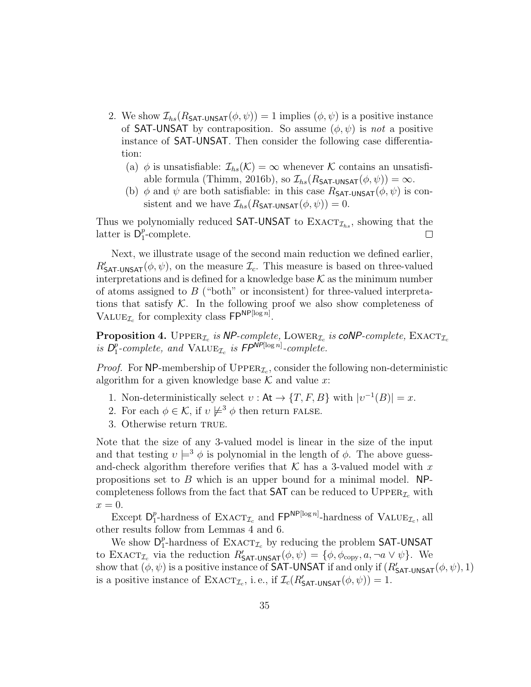- 2. We show  $\mathcal{I}_{hs}(R_{\text{SAT-UNSAT}}(\phi, \psi)) = 1$  implies  $(\phi, \psi)$  is a positive instance of **SAT-UNSAT** by contraposition. So assume  $(\phi, \psi)$  is not a positive instance of SAT-UNSAT. Then consider the following case differentiation:
	- (a)  $\phi$  is unsatisfiable:  $\mathcal{I}_{hs}(\mathcal{K}) = \infty$  whenever K contains an unsatisfiable formula (Thimm, 2016b), so  $\mathcal{I}_{hs}(R_{\text{SAT-UNSAT}}(\phi, \psi)) = \infty$ .
	- (b)  $\phi$  and  $\psi$  are both satisfiable: in this case  $R_{SAT-UNSAT}(\phi, \psi)$  is consistent and we have  $\mathcal{I}_{hs}(R_{\text{SAT-UNSAT}}(\phi, \psi)) = 0.$

Thus we polynomially reduced SAT-UNSAT to  $\text{EXACT}_{\mathcal{I}_{hs}}$ , showing that the latter is  $D_1^p$  $_{1}^{p}$ -complete.  $\Box$ 

Next, we illustrate usage of the second main reduction we defined earlier,  $R'_{\text{SAT-UNSAT}}(\phi, \psi)$ , on the measure  $\mathcal{I}_c$ . This measure is based on three-valued interpretations and is defined for a knowledge base  $K$  as the minimum number of atoms assigned to  $B$  ("both" or inconsistent) for three-valued interpretations that satisfy  $K$ . In the following proof we also show completeness of VALUE<sub> $I_c$ </sub> for complexity class  $\mathsf{FP}^{\mathsf{NP}[\log n]}$ .

**Proposition 4.** UPPER<sub>Ic</sub> is NP-complete, LOWER<sub>Ic</sub> is coNP-complete, EXACT<sub>Ic</sub> is  $D_1^p$  $\frac{p}{1}$ -complete, and  $\text{VALUE}_{\mathcal{I}_c}$  is  $\text{FP}^{\text{NP}[\log n]}$ -complete.

*Proof.* For NP-membership of  $\text{UpperR}_{\mathcal{I}_c}$ , consider the following non-deterministic algorithm for a given knowledge base  $K$  and value x:

- 1. Non-deterministically select  $v : \mathsf{At} \to \{T, F, B\}$  with  $|v^{-1}(B)| = x$ .
- 2. For each  $\phi \in \mathcal{K}$ , if  $v \not\models^3 \phi$  then return FALSE.
- 3. Otherwise return TRUE.

Note that the size of any 3-valued model is linear in the size of the input and that testing  $v \models^3 \phi$  is polynomial in the length of  $\phi$ . The above guessand-check algorithm therefore verifies that  $K$  has a 3-valued model with x propositions set to  $B$  which is an upper bound for a minimal model. NPcompleteness follows from the fact that **SAT** can be reduced to  $\text{Upper}_{\mathcal{I}_c}$  with  $x=0.$ 

Except  $D_1^p$ <sup>*p*</sup>-hardness of EXACT<sub>*L*</sub> and  $\mathsf{FP}^{\mathsf{NP}[\log n]}$ -hardness of VALUE<sub>*L*</sub>, all other results follow from Lemmas 4 and 6.

We show  $\mathsf{D}_1^p$ <sup>*p*</sup>-hardness of EXACT<sub>*L*</sub>, by reducing the problem SAT-UNSAT to  $\text{EXACT}_{\mathcal{I}_c}$  via the reduction  $R'_{\text{SAT-UNSAT}}(\phi, \psi) = {\phi, \phi_{\text{copy}}, a, \neg a \vee \psi}.$  We show that  $(\phi, \psi)$  is a positive instance of **SAT-UNSAT** if and only if  $(R'_{\text{SAT-UNSAT}}(\phi, \psi), 1)$ is a positive instance of  $\text{EXACT}_{\mathcal{I}_c}$ , i.e., if  $\mathcal{I}_c(R'_{\text{SAT-UNSAT}}(\phi, \psi)) = 1$ .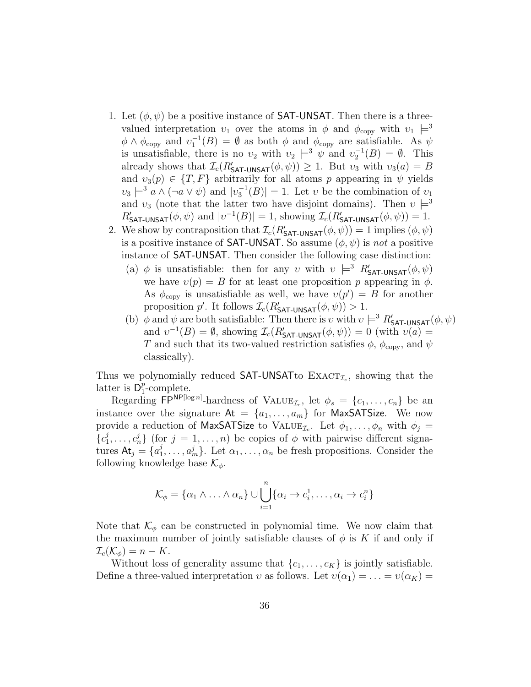- 1. Let  $(\phi, \psi)$  be a positive instance of **SAT-UNSAT**. Then there is a threevalued interpretation  $v_1$  over the atoms in  $\phi$  and  $\phi_{\text{copy}}$  with  $v_1 \models^3$  $\phi \wedge \phi_{\text{copy}}$  and  $v_1^{-1}(B) = \emptyset$  as both  $\phi$  and  $\phi_{\text{copy}}$  are satisfiable. As  $\psi$ is unsatisfiable, there is no  $v_2$  with  $v_2 \models^3 \psi$  and  $v_2^{-1}(B) = \emptyset$ . This already shows that  $\mathcal{I}_c(R'_{\text{SAT-UNSAT}}(\phi, \psi)) \geq 1$ . But  $v_3$  with  $v_3(a) = B$ and  $v_3(p) \in \{T, F\}$  arbitrarily for all atoms p appearing in  $\psi$  yields  $\nu_3 \models^3 a \wedge (\neg a \vee \psi)$  and  $|\nu_3^{-1}(B)| = 1$ . Let  $\nu$  be the combination of  $\nu_1$ and  $v_3$  (note that the latter two have disjoint domains). Then  $v \models^3$  $R'_{\text{SAT-UNSAT}}(\phi, \psi)$  and  $|v^{-1}(B)| = 1$ , showing  $\mathcal{I}_c(R'_{\text{SAT-UNSAT}}(\phi, \psi)) = 1$ .
- 2. We show by contraposition that  $\mathcal{I}_c(R'_{\text{SAT-UNSAT}}(\phi, \psi)) = 1$  implies  $(\phi, \psi)$ is a positive instance of **SAT-UNSAT**. So assume  $(\phi, \psi)$  is not a positive instance of SAT-UNSAT. Then consider the following case distinction:
	- (a)  $\phi$  is unsatisfiable: then for any v with  $v \models^3 R'_{\mathsf{SAT-UNSAT}}(\phi, \psi)$ we have  $v(p) = B$  for at least one proposition p appearing in  $\phi$ . As  $\phi_{\text{copy}}$  is unsatisfiable as well, we have  $v(p') = B$  for another proposition p'. It follows  $\mathcal{I}_c(R'_{\text{SAT-UNSAT}}(\phi, \psi)) > 1$ .
	- (b)  $\phi$  and  $\psi$  are both satisfiable: Then there is v with  $v \models^3 R'_{\mathsf{SAT-UNSAT}}(\phi, \psi)$ and  $v^{-1}(B) = \emptyset$ , showing  $\mathcal{I}_c(R'_{\text{SAT-UNSAT}}(\phi, \psi)) = 0$  (with  $v(a) =$ T and such that its two-valued restriction satisfies  $\phi$ ,  $\phi_{\text{copy}}$ , and  $\psi$ classically).

Thus we polynomially reduced  $SAT-UNSAT$ to  $EXACT_{\mathcal{I}_c}$ , showing that the latter is  $D_1^p$  $_{1}^{p}$ -complete.

Regarding  $\mathsf{FP}^{\mathsf{NP}[\log n]}$ -hardness of  $\text{VALUE}_{\mathcal{I}_c}$ , let  $\phi_s = \{c_1, \ldots, c_n\}$  be an instance over the signature  $At = \{a_1, \ldots, a_m\}$  for MaxSATSize. We now provide a reduction of MaxSATSize to  $\text{VALUE}_{\mathcal{I}_c}$ . Let  $\phi_1, \ldots, \phi_n$  with  $\phi_j =$  ${c_1^j}$  $\{a_1^j, \ldots, a_n^j\}$  (for  $j = 1, \ldots, n$ ) be copies of  $\phi$  with pairwise different signatures  $At_j = \{a_1^j\}$  $\{a_1^j, \ldots, a_m^j\}$ . Let  $\alpha_1, \ldots, \alpha_n$  be fresh propositions. Consider the following knowledge base  $\mathcal{K}_{\phi}$ .

$$
\mathcal{K}_{\phi} = {\alpha_1 \wedge \ldots \wedge \alpha_n} \cup \bigcup_{i=1}^n {\alpha_i \to c_i^1, \ldots, \alpha_i \to c_i^n}
$$

Note that  $\mathcal{K}_{\phi}$  can be constructed in polynomial time. We now claim that the maximum number of jointly satisfiable clauses of  $\phi$  is K if and only if  $\mathcal{I}_c(\mathcal{K}_{\phi}) = n - K.$ 

Without loss of generality assume that  $\{c_1, \ldots, c_K\}$  is jointly satisfiable. Define a three-valued interpretation v as follows. Let  $v(\alpha_1) = \ldots = v(\alpha_K) =$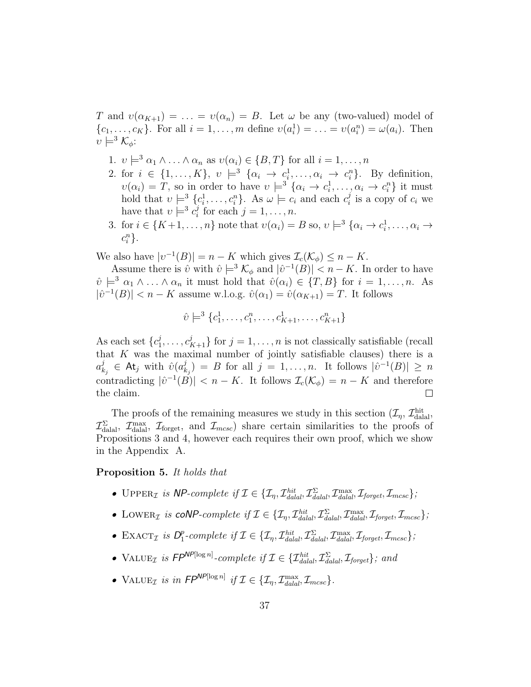T and  $v(\alpha_{K+1}) = \ldots = v(\alpha_n) = B$ . Let  $\omega$  be any (two-valued) model of  $\{c_1, \ldots, c_K\}$ . For all  $i = 1, \ldots, m$  define  $v(a_i^1) = \ldots = v(a_i^n) = \omega(a_i)$ . Then  $v \models^3 \mathcal{K}_\phi$ :

- 1.  $v \models^3 \alpha_1 \wedge \ldots \wedge \alpha_n$  as  $v(\alpha_i) \in \{B, T\}$  for all  $i = 1, \ldots, n$
- 2. for  $i \in \{1, ..., K\}$ ,  $v \models^3 \{\alpha_i \rightarrow c_i^1, ..., \alpha_i \rightarrow c_i^n\}$ . By definition,  $v(\alpha_i) = T$ , so in order to have  $v \models^3 {\{\alpha_i \to c_i^1, \ldots, \alpha_i \to c_i^n\}}$  it must hold that  $v \models^3 \{c_i^1, \ldots, c_i^n\}$ . As  $\omega \models c_i$  and each  $c_i^j$  $i_i^j$  is a copy of  $c_i$  we have that  $v \models^3 c_i^j$  $j_i$  for each  $j = 1, \ldots, n$ .
- 3. for  $i \in \{K+1,\ldots,n\}$  note that  $v(\alpha_i) = B$  so,  $v \models^3 \{\alpha_i \to c_i^1,\ldots,\alpha_i \to c_i^1, \ldots, c_i^N\}$  $c_i^n$ .

We also have  $|v^{-1}(B)| = n - K$  which gives  $\mathcal{I}_c(\mathcal{K}_{\phi}) \leq n - K$ .

Assume there is  $\hat{v}$  with  $\hat{v} \models^3 \mathcal{K}_{\phi}$  and  $|\hat{v}^{-1}(B)| < n - K$ . In order to have  $\hat{v} \models^3 \alpha_1 \wedge \ldots \wedge \alpha_n$  it must hold that  $\hat{v}(\alpha_i) \in \{T, B\}$  for  $i = 1, \ldots, n$ . As  $|\hat{v}^{-1}(B)| < n - K$  assume w.l.o.g.  $\hat{v}(\alpha_1) = \hat{v}(\alpha_{K+1}) = T$ . It follows

$$
\hat{v} \models^3 \{c_1^1, \dots, c_1^n, \dots, c_{K+1}^1, \dots, c_{K+1}^n\}
$$

As each set  $\{c_1^j\}$  $\{a_1^j, \ldots, c_{K+1}^j\}$  for  $j = 1, \ldots, n$  is not classically satisfiable (recall that  $K$  was the maximal number of jointly satisfiable clauses) there is a  $a_k^j$  $\hat{v}_{k_j}^j$   $\in$  At<sub>j</sub> with  $\hat{v}(a_k^j)$  $(k_j) = B$  for all  $j = 1, ..., n$ . It follows  $|\hat{v}^{-1}(B)| \geq n$ contradicting  $|\hat{v}^{-1}(B)| < n - K$ . It follows  $\mathcal{I}_{c}(\mathcal{K}_{\phi}) = n - K$  and therefore the claim.  $\Box$ 

The proofs of the remaining measures we study in this section  $(\mathcal{I}_{\eta}, \mathcal{I}_{\text{dala}}^{\text{hit}})$  $\mathcal{I}_{\text{dalal}}^{\Sigma}$ ,  $\mathcal{I}_{\text{fonget}}$ ,  $\mathcal{I}_{\text{forget}}$ , and  $\mathcal{I}_{mcsc}$ ) share certain similarities to the proofs of Propositions 3 and 4, however each requires their own proof, which we show in the Appendix A.

### Proposition 5. It holds that

- UPPER<sub>*I*</sub> is NP-complete if  $\mathcal{I} \in \{ \mathcal{I}_\eta, \mathcal{I}_{\text{d\nu}}^{\text{hit}}, \mathcal{I}_{\text{d\nu}}^{\Sigma}, \mathcal{I}_{\text{d\nu}}^{\text{max}}, \mathcal{I}_{\text{forget}}, \mathcal{I}_{\text{mcsc}} \};$
- LOWER<sub>*I*</sub> is coNP-complete if  $\mathcal{I} \in \{ \mathcal{I}_\eta, \mathcal{I}_{\text{d\nu}}^{\text{hit}} \mathcal{I}_{\text{d\nu}}^{\Sigma}, \mathcal{I}_{\text{d\nu}}^{\text{max}}, \mathcal{I}_{\text{forget}}, \mathcal{I}_{\text{mcsc}} \};$
- EXACT<sub>*I*</sub> is  $D_1^p$  $_{1}^{p}$ -complete if  $\mathcal{I} \in \{\mathcal{I}_{\eta}, \mathcal{I}_{dala}^{hit}, \mathcal{I}_{dala}^{\Sigma}, \mathcal{I}_{dala}^{max}, \mathcal{I}_{forget}, \mathcal{I}_{mcsc}\};$
- VALUE<sub>*I*</sub> is  $FP^{NP[log n]}$ -complete if  $\mathcal{I} \in \{\mathcal{I}_{\text{d\nu}}^{\text{hit}}, \mathcal{I}_{\text{d\nu}}^{\Sigma}, \mathcal{I}_{\text{forget}}\}$ ; and
- VALUE<sub>*I*</sub> is in  $FP^{NP[\log n]}$  if  $\mathcal{I} \in \{\mathcal{I}_\eta, \mathcal{I}_{dald}^{max}, \mathcal{I}_{mcsc}\}.$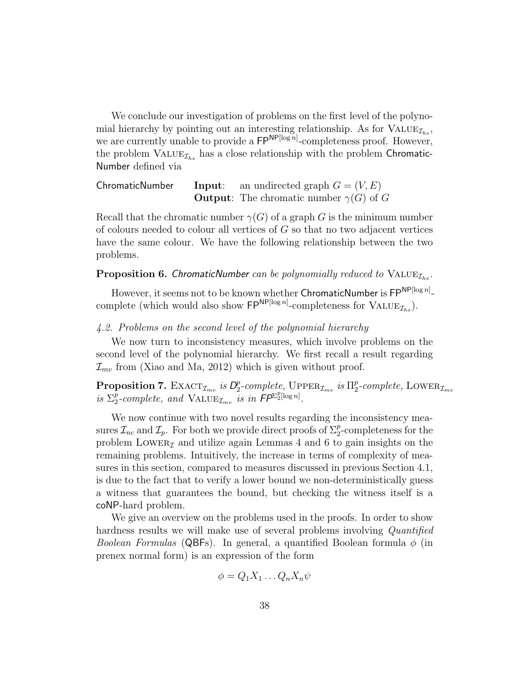We conclude our investigation of problems on the first level of the polynomial hierarchy by pointing out an interesting relationship. As for  $\text{VALUE}_{\mathcal{I}_{hs}}$ , we are currently unable to provide a  $\mathsf{FP}^{\mathsf{NP}[\log n]}$ -completeness proof. However, the problem  $\text{VALUE}_{\mathcal{I}_{hs}}$  has a close relationship with the problem Chromatic-Number defined via

ChromaticNumber Input: an undirected graph  $G = (V, E)$ **Output:** The chromatic number  $\gamma(G)$  of G

Recall that the chromatic number  $\gamma(G)$  of a graph G is the minimum number of colours needed to colour all vertices of  $G$  so that no two adjacent vertices have the same colour. We have the following relationship between the two problems.

### **Proposition 6. ChromaticNumber** can be polynomially reduced to  $VALUE_{\mathcal{I}_{hs}}$ .

However, it seems not to be known whether ChromaticNumber is  $\mathsf{FP}^{\mathsf{NP}[\log n]}$ complete (which would also show  $\mathsf{FP}^{\mathsf{NP}[\log n]}$ -completeness for  $\text{VALUE}_{\mathcal{I}_{hs}}$ ).

#### 4.2. Problems on the second level of the polynomial hierarchy

We now turn to inconsistency measures, which involve problems on the second level of the polynomial hierarchy. We first recall a result regarding  $\mathcal{I}_{mv}$  from (Xiao and Ma, 2012) which is given without proof.

Proposition 7.  $\text{EXACT}_{\mathcal{I}_{mv}}$  is  $D_2^p$ <sup>p</sup><sub>2</sub>-complete, UPPER<sub> $\mathcal{I}_{mv}$ </sub> is  $\Pi_2^p$  $_{2}^{p}$ -complete, LOWER $_{\mathcal{I}_{mv}}$ is  $\Sigma_2^p$  $\sum_{i=1}^{p}$ -complete, and  $\text{VALUE}_{\mathcal{I}_{mv}}$  is in  $\overline{FP^{\Sigma_{2}^{p}[\log n]}}$ .

We now continue with two novel results regarding the inconsistency measures  $\mathcal{I}_{nc}$  and  $\mathcal{I}_p$ . For both we provide direct proofs of  $\Sigma_2^p$ -completeness for the problem LOWER<sub>Z</sub> and utilize again Lemmas 4 and 6 to gain insights on the remaining problems. Intuitively, the increase in terms of complexity of measures in this section, compared to measures discussed in previous Section 4.1, is due to the fact that to verify a lower bound we non-deterministically guess a witness that guarantees the bound, but checking the witness itself is a coNP-hard problem.

We give an overview on the problems used in the proofs. In order to show hardness results we will make use of several problems involving *Quantified Boolean Formulas* (QBFs). In general, a quantified Boolean formula  $\phi$  (in prenex normal form) is an expression of the form

$$
\phi = Q_1 X_1 \dots Q_n X_n \psi
$$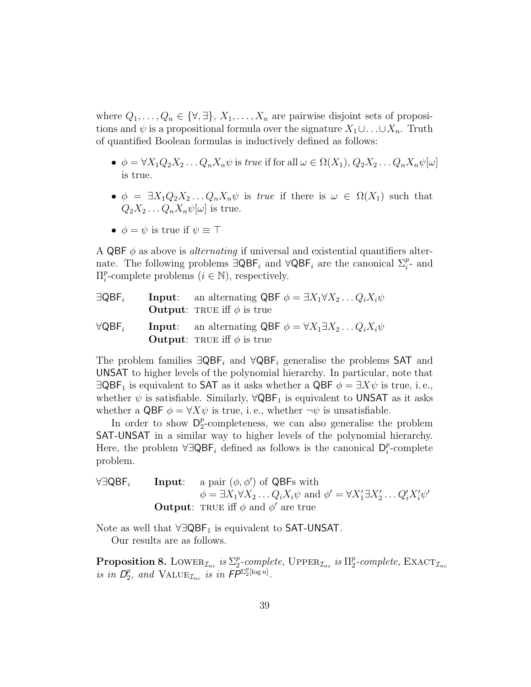where  $Q_1, \ldots, Q_n \in \{\forall, \exists\}, X_1, \ldots, X_n$  are pairwise disjoint sets of propositions and  $\psi$  is a propositional formula over the signature  $X_1 \cup \ldots \cup X_n$ . Truth of quantified Boolean formulas is inductively defined as follows:

- $\phi = \forall X_1 Q_2 X_2 \dots Q_n X_n \psi$  is true if for all  $\omega \in \Omega(X_1), Q_2 X_2 \dots Q_n X_n \psi[\omega]$ is true.
- $\phi = \exists X_1 Q_2 X_2 \dots Q_n X_n \psi$  is true if there is  $\omega \in \Omega(X_1)$  such that  $Q_2X_2 \ldots Q_nX_n\psi[\omega]$  is true.
- $\phi = \psi$  is true if  $\psi \equiv \top$

A QBF  $\phi$  as above is *alternating* if universal and existential quantifiers alternate. The following problems  $\exists \mathsf{QBF}_i$  and  $\forall \mathsf{QBF}_i$  are the canonical  $\Sigma_i^p$ - and  $\Pi_i^p$ <sup>*p*</sup>-complete problems ( $i \in \mathbb{N}$ ), respectively.

| $\exists \mathsf{QBF}_i$ | <b>Input:</b> an alternating QBF $\phi = \exists X_1 \forall X_2 \dots Q_i X_i \psi$<br><b>Output:</b> TRUE iff $\phi$ is true |
|--------------------------|--------------------------------------------------------------------------------------------------------------------------------|
| $\forall \mathsf{QBF}_i$ | <b>Input:</b> an alternating QBF $\phi = \forall X_1 \exists X_2 \dots Q_i X_i \psi$<br><b>Output:</b> TRUE iff $\phi$ is true |

The problem families  $\exists \mathsf{QBF}_i$  and  $\forall \mathsf{QBF}_i$  generalise the problems SAT and UNSAT to higher levels of the polynomial hierarchy. In particular, note that  $\exists \mathsf{QBF}_1$  is equivalent to SAT as it asks whether a  $\mathsf{QBF}\ \phi = \exists X\psi$  is true, i.e., whether  $\psi$  is satisfiable. Similarly,  $\forall \mathsf{QBF}_1$  is equivalent to UNSAT as it asks whether a QBF  $\phi = \forall X \psi$  is true, i.e., whether  $\neg \psi$  is unsatisfiable.

In order to show  $\mathsf{D}_2^p$  $_{2}^{p}$ -completeness, we can also generalise the problem SAT-UNSAT in a similar way to higher levels of the polynomial hierarchy. Here, the problem  $\forall \exists \mathsf{QBF}_i$  defined as follows is the canonical  $\mathsf{D}_i^p$  $i$ -complete problem.

 $\forall \exists \mathsf{QBF}_i$  Input: a pair  $(\phi, \phi')$  of  $\mathsf{QBF}_s$  with  $\phi = \exists X_1 \forall X_2 \dots Q_i X_i \psi$  and  $\phi' = \forall X_1' \exists X_2' \dots Q_i' X_i' \psi'$ **Output:** TRUE iff  $\phi$  and  $\phi'$  are true

Note as well that  $\forall \exists \mathsf{QBF}_1$  is equivalent to **SAT-UNSAT**. Our results are as follows.

Proposition 8. LOWER $_{\mathcal{I}_{nc}}$  is  $\Sigma_2^p$ <sup>p</sup><sub>2</sub>-complete, UPPER<sub>*Inc</sub>* is  $\Pi_2^p$ </sub>  $_{2}^{p}$ -complete,  $\text{EXACT}_{\mathcal{I}_{nc}}$ is in  $D_2^p$  $P_2$ , and VALUE<sub> $\mathcal{I}_{nc}$ </sub> is in  $\mathsf{FP}^{\Sigma_2^p[\log n]}.$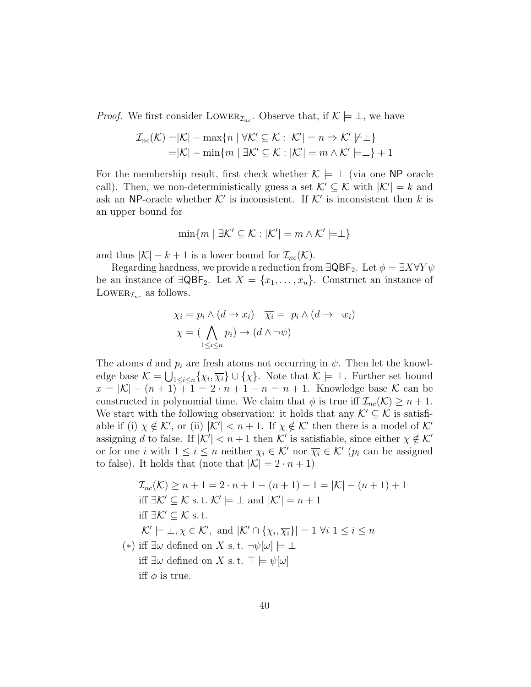*Proof.* We first consider LOWER<sub> $\mathcal{I}_{nc}$ </sub>. Observe that, if  $\mathcal{K} \models \bot$ , we have

$$
\mathcal{I}_{nc}(\mathcal{K}) = |\mathcal{K}| - \max\{n \mid \forall \mathcal{K}' \subseteq \mathcal{K} : |\mathcal{K}'| = n \Rightarrow \mathcal{K}' \not\models \perp\}
$$

$$
= |\mathcal{K}| - \min\{m \mid \exists \mathcal{K}' \subseteq \mathcal{K} : |\mathcal{K}'| = m \land \mathcal{K}' \models \perp\} + 1
$$

For the membership result, first check whether  $\mathcal{K} \models \bot$  (via one NP oracle call). Then, we non-deterministically guess a set  $\mathcal{K}' \subseteq \mathcal{K}$  with  $|\mathcal{K}'| = k$  and ask an NP-oracle whether  $K'$  is inconsistent. If  $K'$  is inconsistent then k is an upper bound for

$$
\min\{m \mid \exists \mathcal{K}' \subseteq \mathcal{K} : |\mathcal{K}'| = m \land \mathcal{K}' \models \perp\}
$$

and thus  $|\mathcal{K}| - k + 1$  is a lower bound for  $\mathcal{I}_{nc}(\mathcal{K})$ .

Regarding hardness, we provide a reduction from  $\exists \mathsf{QBF}_2$ . Let  $\phi = \exists X \forall Y \psi$ be an instance of  $\exists \text{QBF}_2$ . Let  $X = \{x_1, \ldots, x_n\}$ . Construct an instance of LOWER $_{\mathcal{I}_{nc}}$  as follows.

$$
\chi_i = p_i \wedge (d \to x_i) \quad \overline{\chi_i} = p_i \wedge (d \to \neg x_i)
$$

$$
\chi = (\bigwedge_{1 \leq i \leq n} p_i) \to (d \wedge \neg \psi)
$$

The atoms d and  $p_i$  are fresh atoms not occurring in  $\psi$ . Then let the knowledge base  $\mathcal{K} = \bigcup_{1 \leq i \leq n} \{\chi_i, \overline{\chi_i}\} \cup \{\chi\}$ . Note that  $\mathcal{K} \models \bot$ . Further set bound  $x = |\mathcal{K}| - (n+1) + 1 = 2 \cdot n + 1 - n = n+1$ . Knowledge base K can be constructed in polynomial time. We claim that  $\phi$  is true iff  $\mathcal{I}_{nc}(\mathcal{K}) \geq n+1$ . We start with the following observation: it holds that any  $\mathcal{K}' \subseteq \mathcal{K}$  is satisfiable if (i)  $\chi \notin \mathcal{K}'$ , or (ii)  $|\mathcal{K}'| < n+1$ . If  $\chi \notin \mathcal{K}'$  then there is a model of  $\mathcal{K}'$ assigning d to false. If  $|K'| < n+1$  then K' is satisfiable, since either  $\chi \notin \mathcal{K}'$ or for one *i* with  $1 \leq i \leq n$  neither  $\chi_i \in \mathcal{K}'$  nor  $\overline{\chi_i} \in \mathcal{K}'$  ( $p_i$  can be assigned to false). It holds that (note that  $|\mathcal{K}| = 2 \cdot n + 1$ )

$$
\mathcal{I}_{nc}(\mathcal{K}) \ge n + 1 = 2 \cdot n + 1 - (n + 1) + 1 = |\mathcal{K}| - (n + 1) + 1
$$
  
iff  $\exists \mathcal{K}' \subseteq \mathcal{K}$  s. t.  $\mathcal{K}' \models \bot$  and  $|\mathcal{K}'| = n + 1$   
iff  $\exists \mathcal{K}' \subseteq \mathcal{K}$  s. t.  
 $\mathcal{K}' \models \bot, \chi \in \mathcal{K}'$ , and  $|\mathcal{K}' \cap {\chi_i, \overline{\chi_i}}| = 1 \,\forall i \, 1 \le i \le n$   
(\*) iff  $\exists \omega$  defined on X s. t.  $\neg \psi[\omega] \models \bot$   
iff  $\exists \omega$  defined on X s. t.  $\top \models \psi[\omega]$   
iff  $\phi$  is true.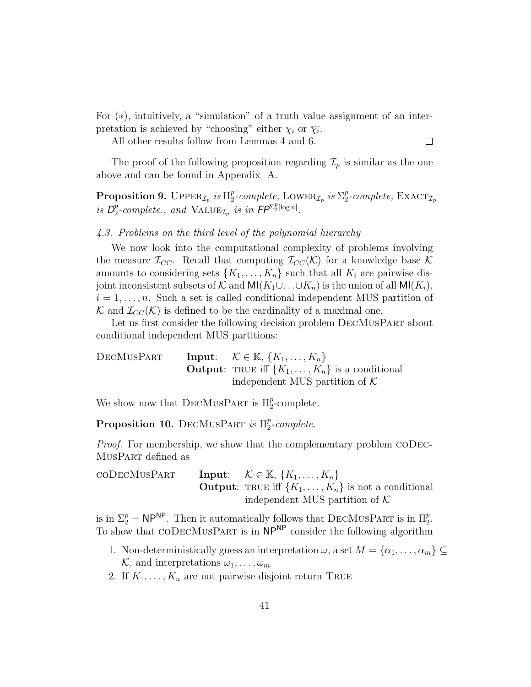For (∗), intuitively, a "simulation" of a truth value assignment of an interpretation is achieved by "choosing" either  $\chi_i$  or  $\overline{\chi_i}$ .

All other results follow from Lemmas 4 and 6.

 $\Box$ 

The proof of the following proposition regarding  $\mathcal{I}_p$  is similar as the one above and can be found in Appendix A.

 $\text{Proposition 9. } \text{Upper}_{\mathcal{I}_p} \text{ is } \Pi_2^p$  $_{2}^{p}$ -complete, LOWER<sub> $\mathcal{I}_{p}$ </sub> is  $\Sigma_{2}^{p}$  $_{2}^{p}$ -complete,  $\text{EXACT}_{\mathcal{I}_p}$ is  $D_2^p$  $_{2}^{p}$ -complete., and  $\widehat{\text{VALUE}_{\mathcal{I}_{p}}}$  is in  $\mathsf{FP}^{\Sigma_{2}^{p}[\log n]}$ .

#### 4.3. Problems on the third level of the polynomial hierarchy

We now look into the computational complexity of problems involving the measure  $\mathcal{I}_{CC}$ . Recall that computing  $\mathcal{I}_{CC}(\mathcal{K})$  for a knowledge base  $\mathcal K$ amounts to considering sets  $\{K_1, \ldots, K_n\}$  such that all  $K_i$  are pairwise disjoint inconsistent subsets of K and MI(K<sub>1</sub>∪...∪K<sub>n</sub>) is the union of all MI(K<sub>i</sub>),  $i = 1, \ldots, n$ . Such a set is called conditional independent MUS partition of K and  $\mathcal{I}_{CC}(\mathcal{K})$  is defined to be the cardinality of a maximal one.

Let us first consider the following decision problem  $DECMUSPART$  about conditional independent MUS partitions:

DECMUSPART Input:  $\mathcal{K} \in \mathbb{K}, \{K_1, \ldots, K_n\}$ **Output:** TRUE iff  $\{K_1, \ldots, K_n\}$  is a conditional independent MUS partition of  $K$ 

We show now that DECMUSPART is  $\Pi_2^p$ -complete.

Proposition 10. DECMUSPART is  $\Pi_2^p$  $_2^p$ -complete.

Proof. For membership, we show that the complementary problem CODEC-MusPart defined as

 $\text{coDecMusParam}$  Input:  $\mathcal{K} \in \mathbb{K}, \{K_1, \ldots, K_n\}$ **Output:** TRUE iff  $\{K_1, \ldots, K_n\}$  is not a conditional independent MUS partition of  $K$ 

is in  $\Sigma_2^p = \mathsf{NP}^{\mathsf{NP}}$ . Then it automatically follows that DECMUSPART is in  $\Pi_2^p$ . To show that CODECMUSPART is in  $NP^{NP}$  consider the following algorithm

- 1. Non-deterministically guess an interpretation  $\omega$ , a set  $M = {\alpha_1, \ldots, \alpha_m} \subseteq$  $\mathcal{K}$ , and interpretations  $\omega_1, \ldots, \omega_m$
- 2. If  $K_1, \ldots, K_n$  are not pairwise disjoint return TRUE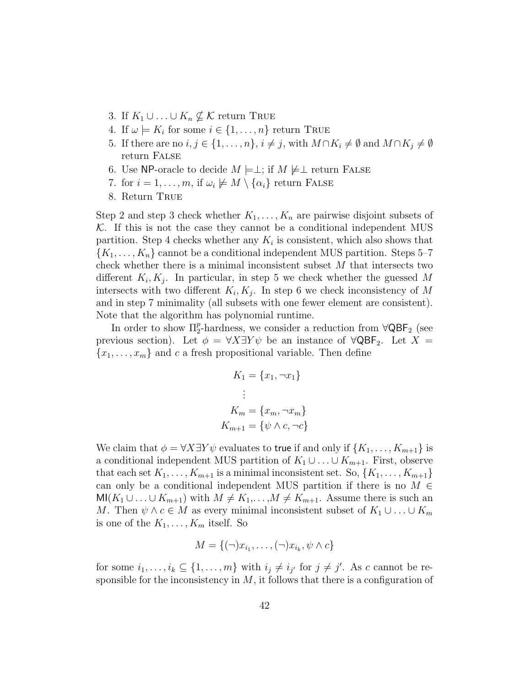- 3. If  $K_1 \cup \ldots \cup K_n \nsubseteq \mathcal{K}$  return TRUE
- 4. If  $\omega \models K_i$  for some  $i \in \{1, ..., n\}$  return TRUE
- 5. If there are no  $i, j \in \{1, \ldots, n\}, i \neq j$ , with  $M \cap K_i \neq \emptyset$  and  $M \cap K_j \neq \emptyset$ return False
- 6. Use NP-oracle to decide  $M \models \perp$ ; if  $M \not\models \perp$  return FALSE
- 7. for  $i = 1, \ldots, m$ , if  $\omega_i \not\models M \setminus {\alpha_i}$  return FALSE
- 8. Return True

Step 2 and step 3 check whether  $K_1, \ldots, K_n$  are pairwise disjoint subsets of  $K$ . If this is not the case they cannot be a conditional independent MUS partition. Step 4 checks whether any  $K_i$  is consistent, which also shows that  ${K_1, \ldots, K_n}$  cannot be a conditional independent MUS partition. Steps 5–7 check whether there is a minimal inconsistent subset  $M$  that intersects two different  $K_i, K_j$ . In particular, in step 5 we check whether the guessed M intersects with two different  $K_i, K_j$ . In step 6 we check inconsistency of M and in step 7 minimality (all subsets with one fewer element are consistent). Note that the algorithm has polynomial runtime.

In order to show  $\Pi_2^p$ -hardness, we consider a reduction from  $\forall \mathsf{QBF}_2$  (see previous section). Let  $\phi = \forall X \exists Y \psi$  be an instance of  $\forall \text{QBF}_2$ . Let  $X =$  ${x_1, \ldots, x_m}$  and c a fresh propositional variable. Then define

$$
K_1 = \{x_1, \neg x_1\}
$$

$$
\vdots
$$

$$
K_m = \{x_m, \neg x_m\}
$$

$$
K_{m+1} = \{\psi \land c, \neg c\}
$$

We claim that  $\phi = \forall X \exists Y \psi$  evaluates to true if and only if  $\{K_1, \ldots, K_{m+1}\}$  is a conditional independent MUS partition of  $K_1 \cup \ldots \cup K_{m+1}$ . First, observe that each set  $K_1, \ldots, K_{m+1}$  is a minimal inconsistent set. So,  $\{K_1, \ldots, K_{m+1}\}\$ can only be a conditional independent MUS partition if there is no  $M \in$  $\text{MI}(K_1 \cup \ldots \cup K_{m+1})$  with  $M \neq K_1, \ldots, M \neq K_{m+1}$ . Assume there is such an M. Then  $\psi \wedge c \in M$  as every minimal inconsistent subset of  $K_1 \cup ... \cup K_m$ is one of the  $K_1, \ldots, K_m$  itself. So

$$
M = \{ (\neg)x_{i_1}, \dots, (\neg)x_{i_k}, \psi \wedge c \}
$$

for some  $i_1, \ldots, i_k \subseteq \{1, \ldots, m\}$  with  $i_j \neq i_{j'}$  for  $j \neq j'$ . As c cannot be responsible for the inconsistency in  $M$ , it follows that there is a configuration of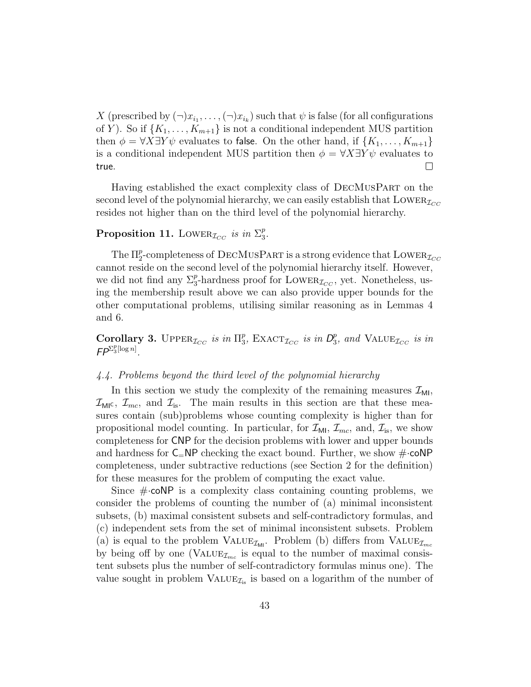X (prescribed by  $(\neg)x_{i_1}, \ldots, (\neg)x_{i_k}$ ) such that  $\psi$  is false (for all configurations of Y). So if  $\{K_1, \ldots, K_{m+1}\}\$ is not a conditional independent MUS partition then  $\phi = \forall X \exists Y \psi$  evaluates to false. On the other hand, if  $\{K_1, \ldots, K_{m+1}\}\$ is a conditional independent MUS partition then  $\phi = \forall X \exists Y \psi$  evaluates to  $\Box$ true.

Having established the exact complexity class of DecMusPart on the second level of the polynomial hierarchy, we can easily establish that  $\text{Lower}_{\mathcal{I}_{CC}}$ resides not higher than on the third level of the polynomial hierarchy.

#### Proposition 11. LOWER<sub> $\mathcal{I}_{CC}$ </sub> is in  $\Sigma_3^p$  $_3^p.$

The  $\Pi^p_2$ -completeness of DECMUSPART is a strong evidence that  $\operatorname{Lower}_{\mathcal{I}_{CC}}$ cannot reside on the second level of the polynomial hierarchy itself. However, we did not find any  $\Sigma_3^p$ -hardness proof for LOWER<sub> $\mathcal{I}_{CC}$ </sub>, yet. Nonetheless, using the membership result above we can also provide upper bounds for the other computational problems, utilising similar reasoning as in Lemmas 4 and 6.

Corollary 3. UPPER<sub> $\mathcal{I}_{CC}$ </sub> is in  $\Pi_3^p$ <sup>p</sup><sub>3</sub>, EXACT<sub>*Icc*</sub> is in  $D_3^p$  $_{3}^{p}$ , and VALUE<sub> $I_{CC}$ </sub> is in  $FP^{\sum_{3}^{p}[\log n]}$ .

# 4.4. Problems beyond the third level of the polynomial hierarchy

In this section we study the complexity of the remaining measures  $\mathcal{I}_{\text{MI}}$ ,  $\mathcal{I}_{\text{MI}}$ ,  $\mathcal{I}_{mc}$ , and  $\mathcal{I}_{is}$ . The main results in this section are that these measures contain (sub)problems whose counting complexity is higher than for propositional model counting. In particular, for  $\mathcal{I}_{ML}$ ,  $\mathcal{I}_{mc}$ , and,  $\mathcal{I}_{is}$ , we show completeness for CNP for the decision problems with lower and upper bounds and hardness for  $C=NP$  checking the exact bound. Further, we show  $\#\text{-coNP}$ completeness, under subtractive reductions (see Section 2 for the definition) for these measures for the problem of computing the exact value.

Since  $\#$  coNP is a complexity class containing counting problems, we consider the problems of counting the number of (a) minimal inconsistent subsets, (b) maximal consistent subsets and self-contradictory formulas, and (c) independent sets from the set of minimal inconsistent subsets. Problem (a) is equal to the problem VALUE<sub> $I_{\text{MI}}$ </sub>. Problem (b) differs from VALUE<sub> $I_{mc}$ </sub> by being off by one (VALUE<sub> $\mathcal{I}_{mc}$ </sub> is equal to the number of maximal consistent subsets plus the number of self-contradictory formulas minus one). The value sought in problem  $\text{VALUE}_{\mathcal{I}_{is}}$  is based on a logarithm of the number of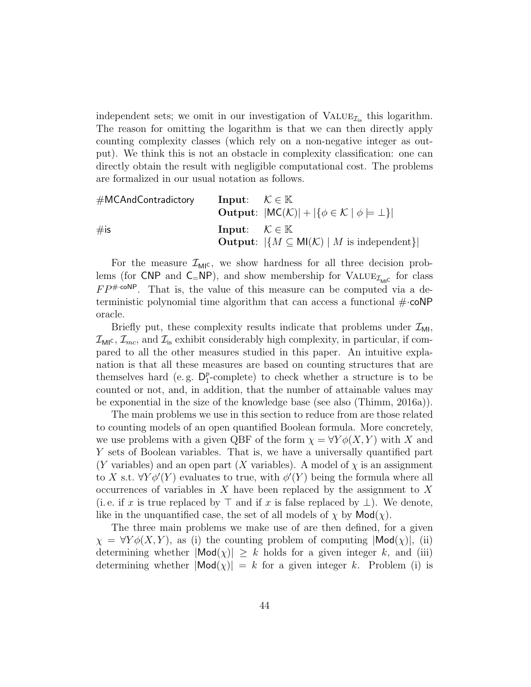independent sets; we omit in our investigation of  $\text{VALUE}_{\mathcal{I}_{is}}$  this logarithm. The reason for omitting the logarithm is that we can then directly apply counting complexity classes (which rely on a non-negative integer as output). We think this is not an obstacle in complexity classification: one can directly obtain the result with negligible computational cost. The problems are formalized in our usual notation as follows.

| #MCAndContractory                                            | Input: $K \in \mathbb{K}$ |
|--------------------------------------------------------------|---------------------------|
| Output: $ MC(K)  +  \{\phi \in K   \phi \models \bot\} $     |                           |
| #is                                                          | Input: $K \in \mathbb{K}$ |
| Output: $ \{M \subseteq MI(K)   M \text{ is independent}\} $ |                           |

For the measure  $\mathcal{I}_{MI}$ , we show hardness for all three decision problems (for CNP and  $C_N$ NP), and show membership for VALUE<sub> $\mathcal{I}_{ML}$ </sub> for class  $FP^{\# \cdot \text{coNP}}$ . That is, the value of this measure can be computed via a deterministic polynomial time algorithm that can access a functional  $\#\text{-coNP}$ oracle.

Briefly put, these complexity results indicate that problems under  $\mathcal{I}_{ML}$ ,  $\mathcal{I}_{\text{MI}}$ ,  $\mathcal{I}_{mc}$ , and  $\mathcal{I}_{is}$  exhibit considerably high complexity, in particular, if compared to all the other measures studied in this paper. An intuitive explanation is that all these measures are based on counting structures that are themselves hard (e.g.  $D_1^p$ )  $_{1}^{p}$ -complete) to check whether a structure is to be counted or not, and, in addition, that the number of attainable values may be exponential in the size of the knowledge base (see also (Thimm, 2016a)).

The main problems we use in this section to reduce from are those related to counting models of an open quantified Boolean formula. More concretely, we use problems with a given QBF of the form  $\chi = \forall Y \phi(X, Y)$  with X and Y sets of Boolean variables. That is, we have a universally quantified part (Y variables) and an open part (X variables). A model of  $\chi$  is an assignment to X s.t.  $\forall Y \phi'(Y)$  evaluates to true, with  $\phi'(Y)$  being the formula where all occurrences of variables in  $X$  have been replaced by the assignment to  $X$ (i.e. if x is true replaced by  $\top$  and if x is false replaced by  $\bot$ ). We denote, like in the unquantified case, the set of all models of  $\chi$  by  $\mathsf{Mod}(\chi)$ .

The three main problems we make use of are then defined, for a given  $\chi = \forall Y \phi(X, Y)$ , as (i) the counting problem of computing  $|\textsf{Mod}(\chi)|$ , (ii) determining whether  $|\text{Mod}(\chi)| \geq k$  holds for a given integer k, and (iii) determining whether  $|\text{Mod}(x)| = k$  for a given integer k. Problem (i) is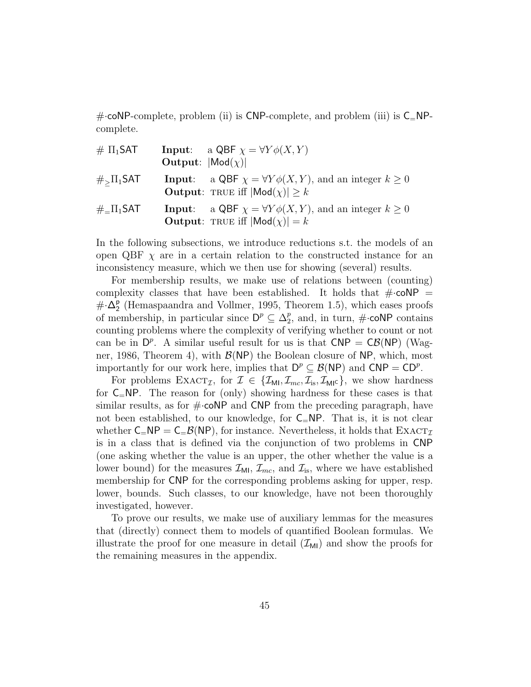$\#$  coNP-complete, problem (ii) is CNP-complete, and problem (iii) is  $C_{=}NP$ complete.

| $\# \Pi_1$ SAT     | <b>Output:</b> $ \text{Mod}(\chi) $ | <b>Input:</b> a QBF $\chi = \forall Y \phi(X, Y)$                                                                                 |
|--------------------|-------------------------------------|-----------------------------------------------------------------------------------------------------------------------------------|
| $\#_{>} \Pi_1$ SAT |                                     | <b>Input:</b> a QBF $\chi = \forall Y \phi(X, Y)$ , and an integer $k \geq 0$<br><b>Output:</b> TRUE iff $ \text{Mod}(x)  > k$    |
| $\#$ _ $\Pi_1$ SAT |                                     | <b>Input:</b> a QBF $\chi = \forall Y \phi(X, Y)$ , and an integer $k \geq 0$<br><b>Output:</b> TRUE iff $ \text{Mod}(\chi)  = k$ |

In the following subsections, we introduce reductions s.t. the models of an open QBF  $\chi$  are in a certain relation to the constructed instance for an inconsistency measure, which we then use for showing (several) results.

For membership results, we make use of relations between (counting) complexity classes that have been established. It holds that  $\#\text{-coNP}$  = #·∆ p 2 (Hemaspaandra and Vollmer, 1995, Theorem 1.5), which eases proofs of membership, in particular since  $\mathsf{D}^p \subseteq \Delta_2^p$  $2^p$ , and, in turn,  $\#\text{-}\mathsf{coNP}$  contains counting problems where the complexity of verifying whether to count or not can be in  $D^p$ . A similar useful result for us is that  $CNP = C\mathcal{B}(NP)$  (Wagner, 1986, Theorem 4), with  $\mathcal{B}(NP)$  the Boolean closure of NP, which, most importantly for our work here, implies that  $D^p \subseteq \mathcal{B}(NP)$  and  $CNP = CD^p$ .

For problems  $\text{EXACT}_{\mathcal{I}}$ , for  $\mathcal{I} \in \{\mathcal{I}_{\text{MI}}, \mathcal{I}_{\text{mc}}, \mathcal{I}_{\text{is}}, \mathcal{I}_{\text{MI}}\}$ , we show hardness for  $C=NP$ . The reason for (only) showing hardness for these cases is that similar results, as for  $\#\text{-coNP}$  and CNP from the preceding paragraph, have not been established, to our knowledge, for  $C=NP$ . That is, it is not clear whether  $C=NP = C_{\pm} \mathcal{B}(NP)$ , for instance. Nevertheless, it holds that  $\text{EXACT}_{\mathcal{I}}$ is in a class that is defined via the conjunction of two problems in CNP (one asking whether the value is an upper, the other whether the value is a lower bound) for the measures  $\mathcal{I}_{\text{MI}}$ ,  $\mathcal{I}_{mc}$ , and  $\mathcal{I}_{is}$ , where we have established membership for CNP for the corresponding problems asking for upper, resp. lower, bounds. Such classes, to our knowledge, have not been thoroughly investigated, however.

To prove our results, we make use of auxiliary lemmas for the measures that (directly) connect them to models of quantified Boolean formulas. We illustrate the proof for one measure in detail  $(\mathcal{I}_{ML})$  and show the proofs for the remaining measures in the appendix.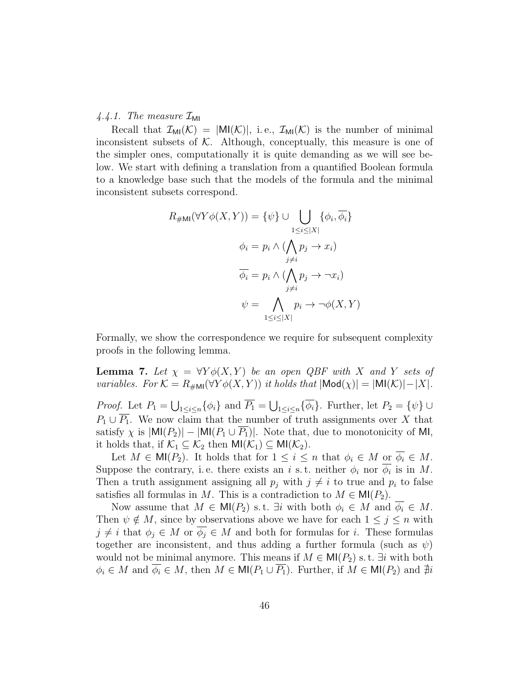# 4.4.1. The measure  $\mathcal{I}_{\text{MI}}$

Recall that  $\mathcal{I}_{\text{MI}}(\mathcal{K}) = |M(\mathcal{K})|$ , i.e.,  $\mathcal{I}_{\text{MI}}(\mathcal{K})$  is the number of minimal inconsistent subsets of  $K$ . Although, conceptually, this measure is one of the simpler ones, computationally it is quite demanding as we will see below. We start with defining a translation from a quantified Boolean formula to a knowledge base such that the models of the formula and the minimal inconsistent subsets correspond.

$$
R_{\# \mathsf{MI}}(\forall Y \phi(X, Y)) = \{\psi\} \cup \bigcup_{\substack{1 \leq i \leq |X| \\ j \neq i}} \{\phi_i, \overline{\phi_i}\}
$$

$$
\phi_i = p_i \land (\bigwedge_{\substack{j \neq i \\ j \neq i}} p_j \to x_i)
$$

$$
\overline{\phi_i} = p_i \land (\bigwedge_{\substack{j \neq i \\ j \neq i}} p_j \to \neg x_i)
$$

$$
\psi = \bigwedge_{\substack{1 \leq i \leq |X|}} p_i \to \neg \phi(X, Y)
$$

Formally, we show the correspondence we require for subsequent complexity proofs in the following lemma.

**Lemma 7.** Let  $\chi = \forall Y \phi(X, Y)$  be an open QBF with X and Y sets of variables. For  $\mathcal{K} = R_{\# \mathsf{MI}}(\forall Y \phi(X, Y))$  it holds that  $|\mathsf{Mod}(\chi)| = |\mathsf{MI}(\mathcal{K})| - |X|$ .

*Proof.* Let  $P_1 = \bigcup_{1 \leq i \leq n} \{\phi_i\}$  and  $\overline{P_1} = \bigcup_{1 \leq i \leq n} \{\phi_i\}$ . Further, let  $P_2 = \{\psi\} \cup$  $P_1 \cup \overline{P_1}$ . We now claim that the number of truth assignments over X that satisfy  $\chi$  is  $|M(P_2)| - |M(P_1 \cup \overline{P_1})|$ . Note that, due to monotonicity of MI, it holds that, if  $\mathcal{K}_1 \subseteq \mathcal{K}_2$  then  $\mathsf{MI}(\mathcal{K}_1) \subseteq \mathsf{MI}(\mathcal{K}_2)$ .

Let  $M \in \mathsf{MI}(P_2)$ . It holds that for  $1 \leq i \leq n$  that  $\phi_i \in M$  or  $\overline{\phi_i} \in M$ . Suppose the contrary, i.e. there exists an i s.t. neither  $\phi_i$  nor  $\phi_i$  is in M. Then a truth assignment assigning all  $p_j$  with  $j \neq i$  to true and  $p_i$  to false satisfies all formulas in M. This is a contradiction to  $M \in M(P_2)$ .

Now assume that  $M \in M(P_2)$  s.t.  $\exists i$  with both  $\phi_i \in M$  and  $\phi_i \in M$ . Then  $\psi \notin M$ , since by observations above we have for each  $1 \leq j \leq n$  with  $j \neq i$  that  $\phi_j \in M$  or  $\overline{\phi_j} \in M$  and both for formulas for i. These formulas together are inconsistent, and thus adding a further formula (such as  $\psi$ ) would not be minimal anymore. This means if  $M \in \mathsf{MI}(P_2)$  s. t.  $\exists i$  with both  $\phi_i \in M$  and  $\overline{\phi_i} \in M$ , then  $M \in \mathsf{MI}(P_1 \cup \overline{P_1})$ . Further, if  $M \in \mathsf{MI}(P_2)$  and  $\sharp i$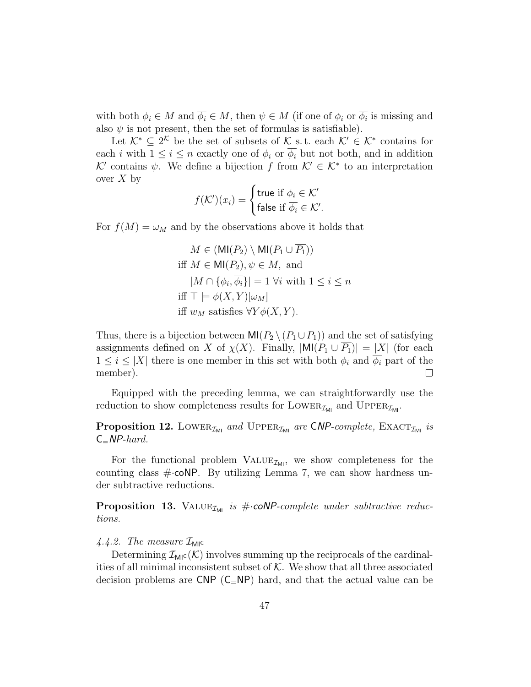with both  $\phi_i \in M$  and  $\phi_i \in M$ , then  $\psi \in M$  (if one of  $\phi_i$  or  $\phi_i$  is missing and also  $\psi$  is not present, then the set of formulas is satisfiable).

Let  $\mathcal{K}^* \subseteq 2^{\mathcal{K}}$  be the set of subsets of  $\mathcal{K}$  s.t. each  $\mathcal{K}' \in \mathcal{K}^*$  contains for each i with  $1 \leq i \leq n$  exactly one of  $\phi_i$  or  $\overline{\phi_i}$  but not both, and in addition K' contains  $\psi$ . We define a bijection f from  $\mathcal{K}' \in \mathcal{K}^*$  to an interpretation over  $X$  by

$$
f(\mathcal{K}')(x_i) = \begin{cases} \text{true if } \phi_i \in \mathcal{K}' \\ \text{false if } \overline{\phi_i} \in \mathcal{K}' . \end{cases}
$$

For  $f(M) = \omega_M$  and by the observations above it holds that

$$
M \in (\text{MI}(P_2) \setminus \text{MI}(P_1 \cup \overline{P_1}))
$$
  
iff  $M \in \text{MI}(P_2), \psi \in M$ , and  

$$
|M \cap \{\phi_i, \overline{\phi_i}\}| = 1 \,\forall i \text{ with } 1 \le i \le n
$$
  
iff  $\top \models \phi(X, Y)[\omega_M]$   
iff  $w_M$  satisfies  $\forall Y \phi(X, Y)$ .

Thus, there is a bijection between  $\text{MI}(P_2 \setminus (P_1 \cup \overline{P_1}))$  and the set of satisfying assignments defined on X of  $\chi(X)$ . Finally,  $|\text{MI}(P_1 \cup \overline{P_1})| = |X|$  (for each  $1 \leq i \leq |X|$  there is one member in this set with both  $\phi_i$  and  $\phi_i$  part of the member).  $\Box$ 

Equipped with the preceding lemma, we can straightforwardly use the reduction to show completeness results for LOWER<sub> $\mathcal{I}_{\text{MI}}$ </sub> and UPPER<sub> $\mathcal{I}_{\text{MI}}$ </sub>.

**Proposition 12.** LOWER<sub> $I_{ML}$ </sub> and UPPER<sub> $I_{ML}$ </sub> are CNP-complete, EXACT<sub> $I_{ML}$ </sub> is  $C=NP-hard$ .

For the functional problem  $\text{VALUE}_{\mathcal{I}_{\text{MI}}}$ , we show completeness for the counting class  $\#\text{-coNP}$ . By utilizing Lemma 7, we can show hardness under subtractive reductions.

**Proposition 13.** VALUE<sub>IMI</sub> is # $\cdot$ **coNP**-complete under subtractive reductions.

# 4.4.2. The measure  $\mathcal{I}_{\text{MIC}}$

Determining  $\mathcal{I}_{\text{MIC}}(\mathcal{K})$  involves summing up the reciprocals of the cardinalities of all minimal inconsistent subset of  $K$ . We show that all three associated decision problems are CNP  $(C=NP)$  hard, and that the actual value can be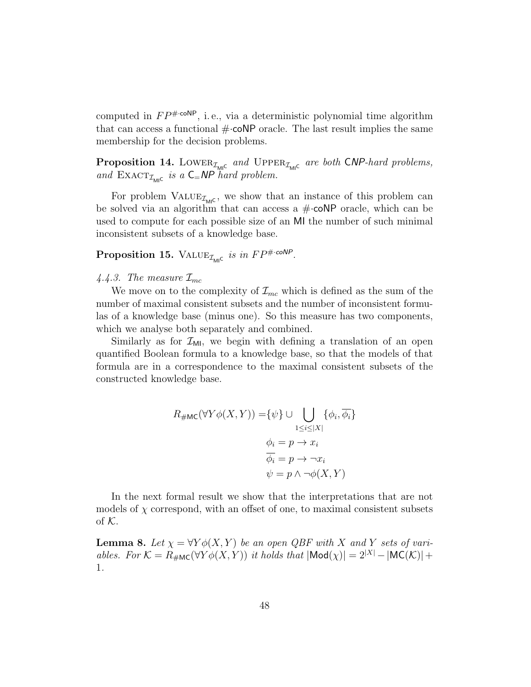computed in  $FP^{\# \cdot \text{coNP}}$ , i.e., via a deterministic polynomial time algorithm that can access a functional  $\#\text{-coNP}$  oracle. The last result implies the same membership for the decision problems.

**Proposition 14.** LOWER<sub> $I_{\text{MIC}}$ </sub> and UPPER<sub> $I_{\text{MIC}}$ </sub> are both CNP-hard problems, and  $\text{EXACT}_{\mathcal{I}_{\text{MIC}}}$  is a  $C=NP$  hard problem.

For problem  $\text{VALUE}_{\mathcal{I}_{\text{MI}C}}$ , we show that an instance of this problem can be solved via an algorithm that can access a  $\#$ -coNP oracle, which can be used to compute for each possible size of an MI the number of such minimal inconsistent subsets of a knowledge base.

# Proposition 15. VALUE<sub> $\mathcal{I}_{\text{MLC}}$ </sub> is in  $FP^{\# \cdot \text{coNP}}$ .

### 4.4.3. The measure  $\mathcal{I}_{mc}$

We move on to the complexity of  $\mathcal{I}_{mc}$  which is defined as the sum of the number of maximal consistent subsets and the number of inconsistent formulas of a knowledge base (minus one). So this measure has two components, which we analyse both separately and combined.

Similarly as for  $\mathcal{I}_{ML}$ , we begin with defining a translation of an open quantified Boolean formula to a knowledge base, so that the models of that formula are in a correspondence to the maximal consistent subsets of the constructed knowledge base.

$$
R_{\#MC}(\forall Y \phi(X, Y)) = \{\psi\} \cup \bigcup_{1 \le i \le |X|} \{\phi_i, \overline{\phi_i}\}
$$

$$
\phi_i = p \to x_i
$$

$$
\overline{\phi_i} = p \to \neg x_i
$$

$$
\psi = p \land \neg \phi(X, Y)
$$

In the next formal result we show that the interpretations that are not models of  $\chi$  correspond, with an offset of one, to maximal consistent subsets of  $K$ .

**Lemma 8.** Let  $\chi = \forall Y \phi(X, Y)$  be an open QBF with X and Y sets of variables. For  $\mathcal{K} = R_{\#MC}(\forall Y \phi(X, Y))$  it holds that  $|\text{Mod}(\chi)| = 2^{|X|} - |\text{MC}(\mathcal{K})| +$ 1.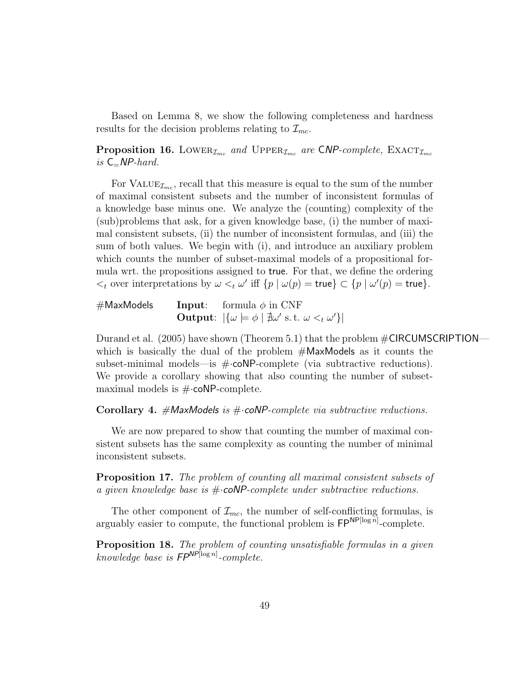Based on Lemma 8, we show the following completeness and hardness results for the decision problems relating to  $\mathcal{I}_{mc}$ .

**Proposition 16.** LOWER<sub> $I_{mc}$ </sub> and UPPER<sub> $I_{mc}$ </sub> are CNP-complete, EXACT<sub> $I_{mc}$ </sub> is  $C=NP$ -hard.

For VALUE<sub> $\mathcal{I}_{mc}$ </sub>, recall that this measure is equal to the sum of the number of maximal consistent subsets and the number of inconsistent formulas of a knowledge base minus one. We analyze the (counting) complexity of the (sub)problems that ask, for a given knowledge base, (i) the number of maximal consistent subsets, (ii) the number of inconsistent formulas, and (iii) the sum of both values. We begin with (i), and introduce an auxiliary problem which counts the number of subset-maximal models of a propositional formula wrt. the propositions assigned to true. For that, we define the ordering  $\lt_t$  over interpretations by  $\omega \lt_t \omega'$  iff  $\{p \mid \omega(p) = \text{true}\} \subset \{p \mid \omega'(p) = \text{true}\}.$ 

 $#$ MaxModels Input: formula  $\phi$  in CNF **Output:**  $|\{\omega \models \phi \mid \nexists \omega' \text{ s.t. } \omega \lt_t \omega'\}|$ 

Durand et al. (2005) have shown (Theorem 5.1) that the problem  $\#\text{CIRCUMSCRIPTION}$  which is basically the dual of the problem  $#Max$ Models as it counts the subset-minimal models—is  $\#\text{-coNP-complete}$  (via subtractive reductions). We provide a corollary showing that also counting the number of subsetmaximal models is  $\#\text{-coNP-complete.}$ 

Corollary 4.  $\#$ MaxModels is  $\#$ ·coNP-complete via subtractive reductions.

We are now prepared to show that counting the number of maximal consistent subsets has the same complexity as counting the number of minimal inconsistent subsets.

Proposition 17. The problem of counting all maximal consistent subsets of a given knowledge base is  $\#$  coNP-complete under subtractive reductions.

The other component of  $\mathcal{I}_{mc}$ , the number of self-conflicting formulas, is arguably easier to compute, the functional problem is  $\mathsf{FP}^{\mathsf{NP}[\log n]}$ -complete.

Proposition 18. The problem of counting unsatisfiable formulas in a given knowledge base is  $FP^{NP[\log n]}$ -complete.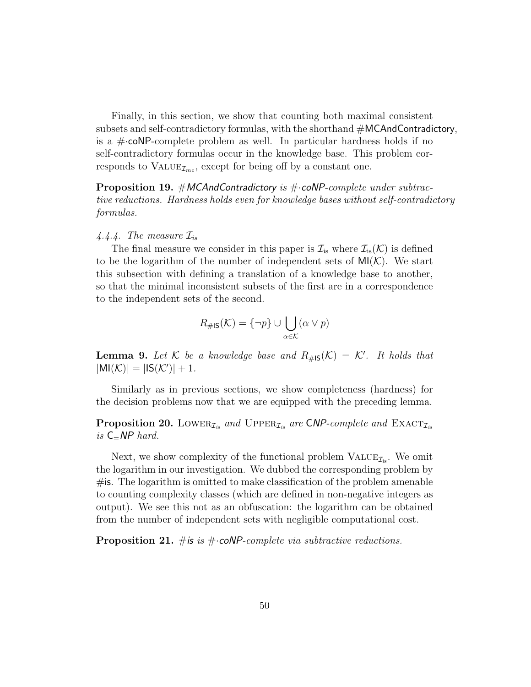Finally, in this section, we show that counting both maximal consistent subsets and self-contradictory formulas, with the shorthand #MCAndContradictory, is a  $\#$ -coNP-complete problem as well. In particular hardness holds if no self-contradictory formulas occur in the knowledge base. This problem corresponds to  $\text{VALUE}_{\mathcal{I}_{mc}}$ , except for being off by a constant one.

**Proposition 19.** #MCAndContradictory is # $\cdot$ coNP-complete under subtractive reductions. Hardness holds even for knowledge bases without self-contradictory formulas.

#### 4.4.4. The measure  $\mathcal{I}_{is}$

The final measure we consider in this paper is  $\mathcal{I}_{is}$  where  $\mathcal{I}_{is}(\mathcal{K})$  is defined to be the logarithm of the number of independent sets of  $MI(K)$ . We start this subsection with defining a translation of a knowledge base to another, so that the minimal inconsistent subsets of the first are in a correspondence to the independent sets of the second.

$$
R_{\# \mathsf{IS}}(\mathcal{K}) = \{\neg p\} \cup \bigcup_{\alpha \in \mathcal{K}} (\alpha \vee p)
$$

**Lemma 9.** Let K be a knowledge base and  $R_{\#1S}(\mathcal{K}) = \mathcal{K}'$ . It holds that  $|MI(\mathcal{K})| = |IS(\mathcal{K}')| + 1.$ 

Similarly as in previous sections, we show completeness (hardness) for the decision problems now that we are equipped with the preceding lemma.

**Proposition 20.** LOWER<sub> $I_{is}$ </sub> and UPPER<sub> $I_{is}$ </sub> are CNP-complete and EXACT<sub> $I_{is}$ </sub> is  $C=NP$  hard.

Next, we show complexity of the functional problem  $\text{VALUE}_{\mathcal{I}_{is}}$ . We omit the logarithm in our investigation. We dubbed the corresponding problem by  $\#$ is. The logarithm is omitted to make classification of the problem amenable to counting complexity classes (which are defined in non-negative integers as output). We see this not as an obfuscation: the logarithm can be obtained from the number of independent sets with negligible computational cost.

**Proposition 21.** # is is  $\#$  coNP-complete via subtractive reductions.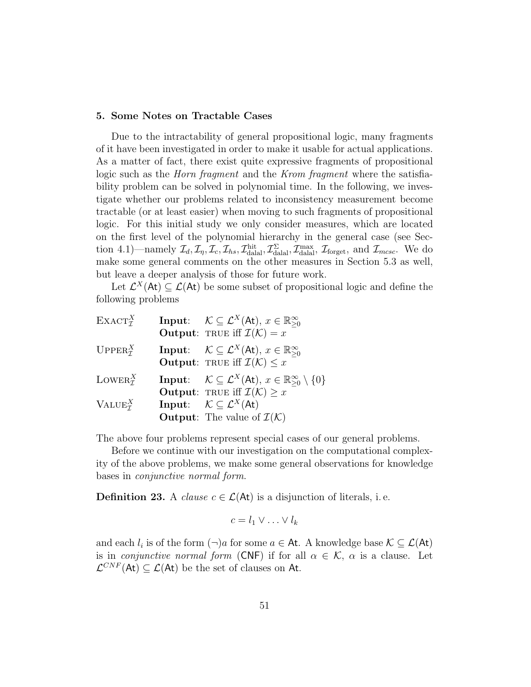#### 5. Some Notes on Tractable Cases

Due to the intractability of general propositional logic, many fragments of it have been investigated in order to make it usable for actual applications. As a matter of fact, there exist quite expressive fragments of propositional logic such as the *Horn fragment* and the *Krom fragment* where the satisfiability problem can be solved in polynomial time. In the following, we investigate whether our problems related to inconsistency measurement become tractable (or at least easier) when moving to such fragments of propositional logic. For this initial study we only consider measures, which are located on the first level of the polynomial hierarchy in the general case (see Section 4.1)—namely  $\mathcal{I}_d, \mathcal{I}_\eta, \mathcal{I}_c, \mathcal{I}_{hs}, \mathcal{I}_{\text{dala}}^{\text{hit}}, \mathcal{I}_{\text{dala}}^{\Sigma}, \mathcal{I}_{\text{dala}}^{\text{max}}, \mathcal{I}_{\text{forget}}, \text{ and } \mathcal{I}_{m\text{csc}}.$  We do make some general comments on the other measures in Section 5.3 as well, but leave a deeper analysis of those for future work.

Let  $\mathcal{L}^X(\mathsf{At}) \subseteq \mathcal{L}(\mathsf{At})$  be some subset of propositional logic and define the following problems

| $\text{EXACT}_{\tau}^X$               | <b>Input:</b> $\mathcal{K} \subseteq \mathcal{L}^X(\mathsf{At}), x \in \mathbb{R}_{>0}^{\infty}$<br><b>Output:</b> TRUE iff $\mathcal{I}(\mathcal{K}) = x$                                                                                                                                                      |
|---------------------------------------|-----------------------------------------------------------------------------------------------------------------------------------------------------------------------------------------------------------------------------------------------------------------------------------------------------------------|
| $UPPER^X_{\tau}$                      | <b>Input:</b> $\mathcal{K} \subseteq \mathcal{L}^X(\mathsf{At}), x \in \mathbb{R}_{\geq 0}^{\infty}$<br><b>Output:</b> TRUE iff $\mathcal{I}(\mathcal{K}) \leq x$                                                                                                                                               |
| LOWER $_{\tau}^X$<br>$VALUE_{\tau}^X$ | <b>Input:</b> $\mathcal{K} \subseteq \mathcal{L}^X(\mathsf{At}), x \in \mathbb{R}_{\geq 0}^{\infty} \setminus \{0\}$<br><b>Output:</b> TRUE iff $\mathcal{I}(\mathcal{K}) \geq x$<br><b>Input:</b> $\mathcal{K} \subseteq \mathcal{L}^X(\mathsf{At})$<br><b>Output:</b> The value of $\mathcal{I}(\mathcal{K})$ |

The above four problems represent special cases of our general problems.

Before we continue with our investigation on the computational complexity of the above problems, we make some general observations for knowledge bases in conjunctive normal form.

**Definition 23.** A *clause*  $c \in \mathcal{L}(At)$  is a disjunction of literals, i.e.

$$
c = l_1 \vee \ldots \vee l_k
$$

and each  $l_i$  is of the form  $(\neg)a$  for some  $a \in \mathsf{At}$ . A knowledge base  $\mathcal{K} \subseteq \mathcal{L}(\mathsf{At})$ is in *conjunctive normal form* (CNF) if for all  $\alpha \in \mathcal{K}$ ,  $\alpha$  is a clause. Let  $\mathcal{L}^{CNF}(\mathsf{At}) \subseteq \mathcal{L}(\mathsf{At})$  be the set of clauses on At.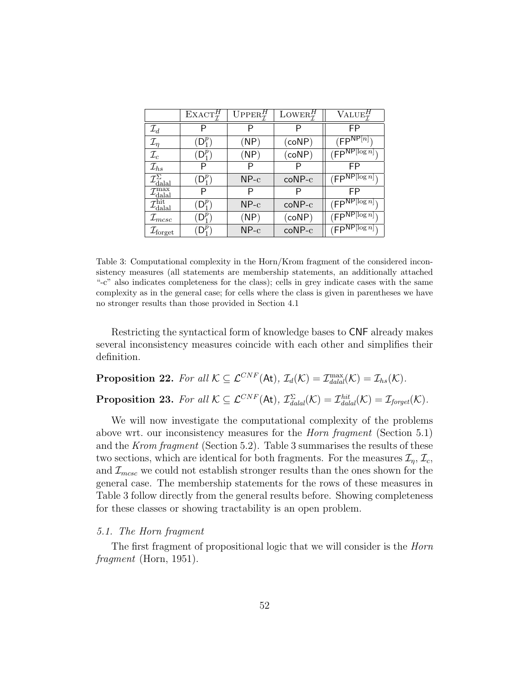|                                          | $\text{EXACT}_{\tau}^{H}$ | $UPPER^H$ | LOWER <sup>H</sup> | $\text{VALUE}_{\tau}^{H}$ |
|------------------------------------------|---------------------------|-----------|--------------------|---------------------------|
| $\mathcal{I}_d$                          | P                         | P         | P                  | FP                        |
| $\mathcal{I}_\eta$                       | $D_1^{\nu}$               | (NP)      | $(\mathsf{coNP})$  | $(FP^{NP[n]}$             |
| $\mathcal{I}_c$                          | $(D_1^P)$                 | (NP)      | $(\mathsf{coNP})$  | $(FP^{NP[log n]}$         |
| $\mathcal{I}_{hs}$                       |                           | Р         |                    | FP                        |
| $\mathcal{I}_{\text{dala}}^{\Sigma}$     | $(D_1^P)$                 | $NP-c$    | $coNP-c$           | $(FP^{NP[log n]}$         |
| $\mathcal{I}_{\text{dala}}^{\text{max}}$ | Р                         | Р         | Р                  | FP                        |
| $\mathcal{I}_{\text{dala}}^{\text{hit}}$ | $D_1^P$                   | $NP-c$    | $coNP-c$           | $(FP^{NP[log n]}$         |
| $\mathcal{I}_{m c s c}$                  |                           | (NP)      | $(\mathsf{coNP})$  | $(FP^{NP[log n]}$         |
| $\mathcal{I}_{\text{forget}}$            |                           | $NP-c$    | $coNP-c$           | $(FP^{NP[log n]}$         |

Table 3: Computational complexity in the Horn/Krom fragment of the considered inconsistency measures (all statements are membership statements, an additionally attached "-c" also indicates completeness for the class); cells in grey indicate cases with the same complexity as in the general case; for cells where the class is given in parentheses we have no stronger results than those provided in Section 4.1

Restricting the syntactical form of knowledge bases to CNF already makes several inconsistency measures coincide with each other and simplifies their definition.

**Proposition 22.** For all  $K \subseteq \mathcal{L}^{CNF}(\mathsf{At}), \mathcal{I}_d(\mathcal{K}) = \mathcal{I}_{\text{d}al}^{\text{max}}(\mathcal{K}) = \mathcal{I}_{\text{hs}}(\mathcal{K}).$ 

**Proposition 23.** For all  $K \subseteq \mathcal{L}^{CNF}(\mathsf{At}), \mathcal{I}_{\text{d\n }(\mathcal{K})}^{\Sigma} = \mathcal{I}_{\text{d\n }(\mathcal{K})}^{\text{hit}} = \mathcal{I}_{\text{forget}}(\mathcal{K}).$ 

We will now investigate the computational complexity of the problems above wrt. our inconsistency measures for the Horn fragment (Section 5.1) and the Krom fragment (Section 5.2). Table 3 summarises the results of these two sections, which are identical for both fragments. For the measures  $\mathcal{I}_n, \mathcal{I}_c$ , and  $\mathcal{I}_{mcsc}$  we could not establish stronger results than the ones shown for the general case. The membership statements for the rows of these measures in Table 3 follow directly from the general results before. Showing completeness for these classes or showing tractability is an open problem.

# 5.1. The Horn fragment

The first fragment of propositional logic that we will consider is the *Horn* fragment (Horn, 1951).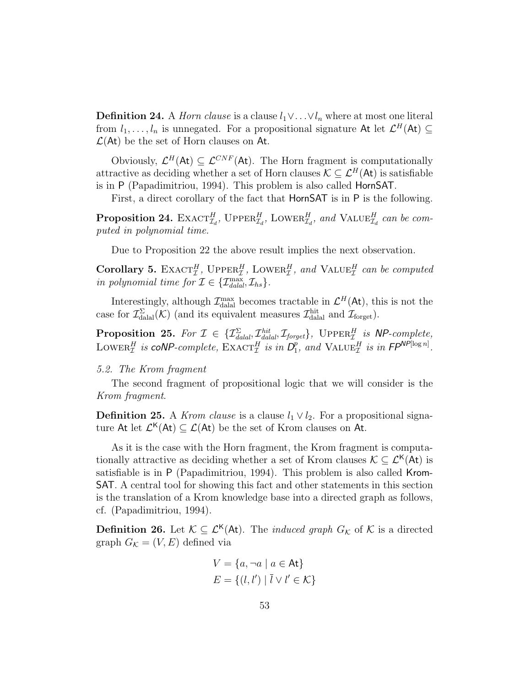**Definition 24.** A *Horn clause* is a clause  $l_1 \vee \ldots \vee l_n$  where at most one literal from  $l_1, \ldots, l_n$  is unnegated. For a propositional signature At let  $\mathcal{L}^H(\mathsf{At}) \subseteq$  $\mathcal{L}(\mathsf{At})$  be the set of Horn clauses on At.

Obviously,  $\mathcal{L}^H(\mathsf{At}) \subseteq \mathcal{L}^{CNF}(\mathsf{At})$ . The Horn fragment is computationally attractive as deciding whether a set of Horn clauses  $\mathcal{K} \subset \mathcal{L}^H(\mathsf{At})$  is satisfiable is in P (Papadimitriou, 1994). This problem is also called HornSAT.

First, a direct corollary of the fact that HornSAT is in P is the following.

**Proposition 24.** EXACT<sub> $I_d$ </sub>, UPPER<sub> $I_d$ </sub>, LOWER<sub> $I_d$ </sub>, and VALUE<sub> $I_d$ </sub> can be computed in polynomial time.

Due to Proposition 22 the above result implies the next observation.

Corollary 5. EXACT<sub>I</sub><sup>H</sup>, UPPER<sub>I</sub><sup>H</sup>, LOWER<sub>I</sub><sup>H</sup>, and VALUE<sub>I</sub><sup>H</sup> can be computed in polynomial time for  $\mathcal{I} \in \{ \mathcal{I}_{\text{dala}}^{\text{max}}, \mathcal{I}_{\text{hs}} \}.$ 

Interestingly, although  $\mathcal{I}_{\text{datal}}^{\text{max}}$  becomes tractable in  $\mathcal{L}^H(\mathsf{At})$ , this is not the case for  $\mathcal{I}_{\text{dala}}^{\Sigma}(\mathcal{K})$  (and its equivalent measures  $\mathcal{I}_{\text{dala}}^{\text{hit}}$  and  $\mathcal{I}_{\text{forget}}$ ).

**Proposition 25.** For  $\mathcal{I} \in \{ \mathcal{I}_{\text{dala}}^{\Sigma}, \mathcal{I}_{\text{dala}}^{\text{hit}}, \mathcal{I}_{\text{forget}} \}$ , UPPER $_{\mathcal{I}}^{H}$  is NP-complete, LOWER<sup>H</sup> is coNP-complete,  $\text{EXACT}_{\mathcal{I}}^H$  is in  $D_1^p$  $_{1}^{p}$ , and  $\text{VALUE}_{\mathcal{I}}^{H}$  is in  $\mathsf{FP}^{\mathsf{NP}[\log n]}$ .

#### 5.2. The Krom fragment

The second fragment of propositional logic that we will consider is the Krom fragment.

**Definition 25.** A *Krom clause* is a clause  $l_1 \vee l_2$ . For a propositional signature At let  $\mathcal{L}^{\mathsf{K}}(\mathsf{At}) \subseteq \mathcal{L}(\mathsf{At})$  be the set of Krom clauses on At.

As it is the case with the Horn fragment, the Krom fragment is computationally attractive as deciding whether a set of Krom clauses  $\mathcal{K} \subset \mathcal{L}^{\mathsf{K}}(\mathsf{At})$  is satisfiable is in P (Papadimitriou, 1994). This problem is also called Krom-SAT. A central tool for showing this fact and other statements in this section is the translation of a Krom knowledge base into a directed graph as follows, cf. (Papadimitriou, 1994).

**Definition 26.** Let  $K \subseteq \mathcal{L}^{\mathsf{K}}(A_t)$ . The *induced graph*  $G_K$  of K is a directed graph  $G_{\mathcal{K}} = (V, E)$  defined via

$$
V = \{a, \neg a \mid a \in \text{At}\}
$$

$$
E = \{(l, l') \mid \overline{l} \lor l' \in \mathcal{K}\}
$$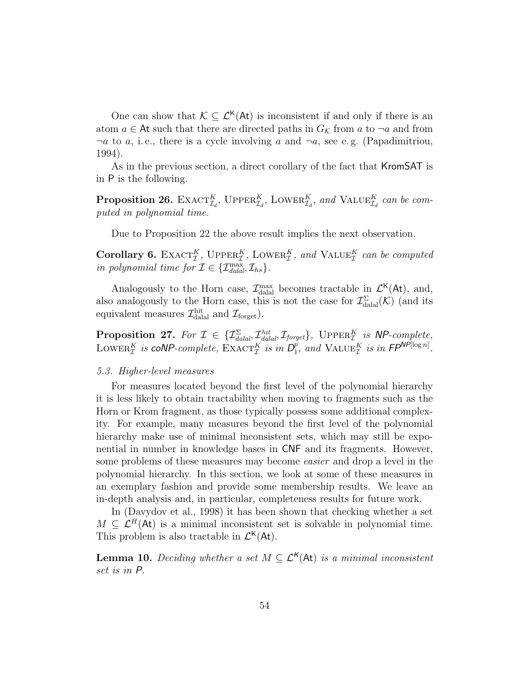One can show that  $\mathcal{K} \subseteq \mathcal{L}^{\mathsf{K}}(\mathsf{At})$  is inconsistent if and only if there is an atom  $a \in \mathsf{At}$  such that there are directed paths in  $G_{\mathcal{K}}$  from a to  $\neg a$  and from  $\neg a$  to a, i.e., there is a cycle involving a and  $\neg a$ , see e.g. (Papadimitriou, 1994).

As in the previous section, a direct corollary of the fact that KromSAT is in P is the following.

**Proposition 26.** EXACT<sup>K</sup><sub> $I_d$ </sub>, UPPER<sup>K</sup><sub> $I_d$ </sub>, LOWER<sup>K</sup><sub> $I_d$ </sub>, and VALUE<sup>K</sup><sub> $I_d$ </sub> can be computed in polynomial time.

Due to Proposition 22 the above result implies the next observation.

Corollary 6. EXACT<sub>L</sub><sup>K</sup>, UPPER<sub>L</sub><sup>K</sup>, LOWER<sub>L</sub><sup>K</sup>, and VALUE<sub>L</sub><sup>K</sup> can be computed in polynomial time for  $\mathcal{I} \in \{ \mathcal{I}_{\text{dala}}^{\text{max}}, \mathcal{I}_{\text{hs}} \}.$ 

Analogously to the Horn case,  $\mathcal{I}_{\text{dual}}^{\text{max}}$  becomes tractable in  $\mathcal{L}^{\mathsf{K}}(\mathsf{At})$ , and, also analogously to the Horn case, this is not the case for  $\mathcal{I}^{\Sigma}_{\text{dala}}(\mathcal{K})$  (and its equivalent measures  $\mathcal{I}_{\text{dala}}^{\text{hit}}$  and  $\mathcal{I}_{\text{forget}}$ ).

**Proposition 27.** For  $\mathcal{I} \in \{ \mathcal{I}_{\text{d\nu}}^{\Sigma} \mathcal{I}_{\text{d\nu}}^{\text{hit}}, \mathcal{I}_{\text{forget}} \}$ , UPPER $_{\mathcal{I}}^{K}$  is NP-complete, LOWER<sup>K</sup> is coNP-complete,  $\text{EXACT}_{\mathcal{I}}^{K}$  is in  $D_{1}^{p}$  $_{1}^{p}$ , and VALUE<sub>T</sub> is in FP<sup>NP[log n]</sup>.

#### 5.3. Higher-level measures

For measures located beyond the first level of the polynomial hierarchy it is less likely to obtain tractability when moving to fragments such as the Horn or Krom fragment, as those typically possess some additional complexity. For example, many measures beyond the first level of the polynomial hierarchy make use of minimal inconsistent sets, which may still be exponential in number in knowledge bases in CNF and its fragments. However, some problems of these measures may become easier and drop a level in the polynomial hierarchy. In this section, we look at some of these measures in an exemplary fashion and provide some membership results. We leave an in-depth analysis and, in particular, completeness results for future work.

In (Davydov et al., 1998) it has been shown that checking whether a set  $M \subseteq \mathcal{L}^H(\mathsf{At})$  is a minimal inconsistent set is solvable in polynomial time. This problem is also tractable in  $\mathcal{L}^{\mathsf{K}}(\mathsf{At})$ .

**Lemma 10.** Deciding whether a set  $M \subseteq \mathcal{L}^{\mathsf{K}}(\mathsf{At})$  is a minimal inconsistent set is in P.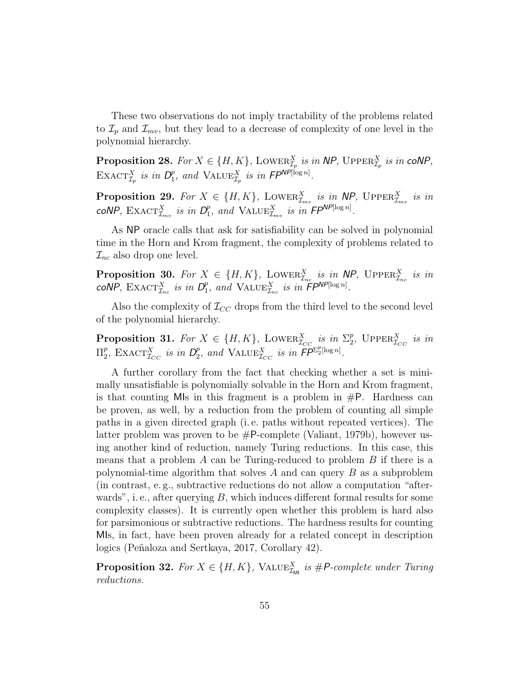These two observations do not imply tractability of the problems related to  $\mathcal{I}_p$  and  $\mathcal{I}_{mv}$ , but they lead to a decrease of complexity of one level in the polynomial hierarchy.

**Proposition 28.** For  $X \in \{H, K\}$ , LOWER $_{\mathcal{I}_p}^X$  is in NP, UPPER $_{\mathcal{I}_p}^X$  is in coNP, EXACT $^X_{\mathcal{I}_p}$  is in  $D_1^p$ <sup>p</sup><sub>1</sub>, and VALUE<sub> $\mathcal{I}_p$ </sub> is in  $\mathsf{FP}^{\mathsf{NP}[\log n]}$ .

**Proposition 29.** For  $X \in \{H, K\}$ , LOWER $_{\mathcal{I}_{mv}}^{X}$  is in NP, UPPER $_{\mathcal{I}_{mv}}^{X}$  is in coNP,  $\text{EXACT}_{\mathcal{I}_{mv}}^{X}$  is in  $D_{1}^{p}$  $_{1}^{p}$ , and VALUE $_{\mathcal{I}_{mv}}^{X}$  is in  $\mathsf{FP}^{\mathsf{NP}[\log n]}$ .

As NP oracle calls that ask for satisfiability can be solved in polynomial time in the Horn and Krom fragment, the complexity of problems related to  $\mathcal{I}_{nc}$  also drop one level.

**Proposition 30.** For  $X \in \{H, K\}$ , LOWER $_{\mathcal{I}_{nc}}^{X}$  is in NP, UPPER $_{\mathcal{I}_{nc}}^{X}$  is in  $coNP$ ,  $\text{EXACT}_{\mathcal{I}_{nc}}^{X}$  is in  $D_{1}^{p}$  $_{1}^{p}$ , and VALUE $_{\mathcal{I}_{nc}}^{X}$  is in  $FPP^{NP[\log n]}$ .

Also the complexity of  $\mathcal{I}_{CC}$  drops from the third level to the second level of the polynomial hierarchy.

**Proposition 31.** For  $X \in \{H, K\}$ , LOWER $_{\mathcal{I}_{CC}}^X$  is in  $\Sigma_2^p$ <sup>p</sup><sub>2</sub>, UPPER $_{\mathcal{I}_{CC}}^{X}$  is in  $\Pi_2^p$ <sup>p</sup><sub>2</sub>, EXACT<sub> $I_{CC}$ </sub> is in  $D_2^p$  $P_2$ , and VALUE $^X_{\mathcal{I}_{CC}}$  is in  $\widetilde{\mathsf{FP}}^{\Sigma_2^n[\log n]}.$ 

A further corollary from the fact that checking whether a set is minimally unsatisfiable is polynomially solvable in the Horn and Krom fragment, is that counting MIs in this fragment is a problem in  $\#P$ . Hardness can be proven, as well, by a reduction from the problem of counting all simple paths in a given directed graph (i. e. paths without repeated vertices). The latter problem was proven to be  $\#P$ -complete (Valiant, 1979b), however using another kind of reduction, namely Turing reductions. In this case, this means that a problem  $A$  can be Turing-reduced to problem  $B$  if there is a polynomial-time algorithm that solves  $A$  and can query  $B$  as a subproblem (in contrast, e. g., subtractive reductions do not allow a computation "afterwards", i.e., after querying  $B$ , which induces different formal results for some complexity classes). It is currently open whether this problem is hard also for parsimonious or subtractive reductions. The hardness results for counting MIs, in fact, have been proven already for a related concept in description logics (Peñaloza and Sertkaya, 2017, Corollary 42).

**Proposition 32.** For  $X \in \{H, K\}$ , VALUE<sub> $\mathcal{I}_{\text{ML}}$ </sub> is #P-complete under Turing reductions.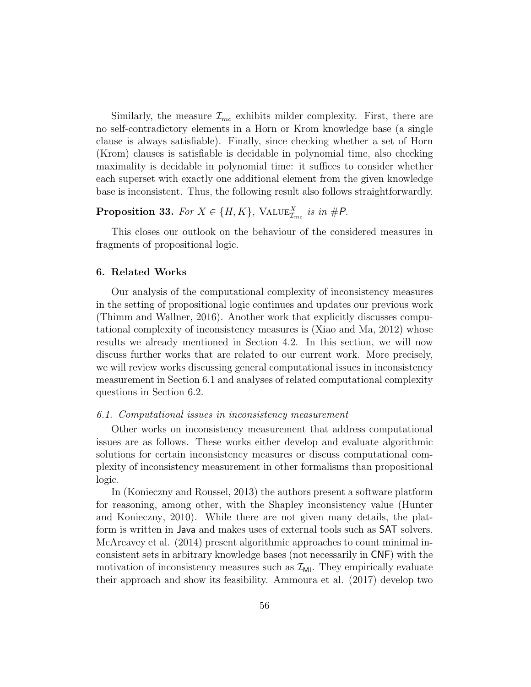Similarly, the measure  $\mathcal{I}_{mc}$  exhibits milder complexity. First, there are no self-contradictory elements in a Horn or Krom knowledge base (a single clause is always satisfiable). Finally, since checking whether a set of Horn (Krom) clauses is satisfiable is decidable in polynomial time, also checking maximality is decidable in polynomial time: it suffices to consider whether each superset with exactly one additional element from the given knowledge base is inconsistent. Thus, the following result also follows straightforwardly.

# **Proposition 33.** For  $X \in \{H, K\}$ , VALUE $_{\mathcal{I}_{mc}}^X$  is in #P.

This closes our outlook on the behaviour of the considered measures in fragments of propositional logic.

# 6. Related Works

Our analysis of the computational complexity of inconsistency measures in the setting of propositional logic continues and updates our previous work (Thimm and Wallner, 2016). Another work that explicitly discusses computational complexity of inconsistency measures is (Xiao and Ma, 2012) whose results we already mentioned in Section 4.2. In this section, we will now discuss further works that are related to our current work. More precisely, we will review works discussing general computational issues in inconsistency measurement in Section 6.1 and analyses of related computational complexity questions in Section 6.2.

# 6.1. Computational issues in inconsistency measurement

Other works on inconsistency measurement that address computational issues are as follows. These works either develop and evaluate algorithmic solutions for certain inconsistency measures or discuss computational complexity of inconsistency measurement in other formalisms than propositional logic.

In (Konieczny and Roussel, 2013) the authors present a software platform for reasoning, among other, with the Shapley inconsistency value (Hunter and Konieczny, 2010). While there are not given many details, the platform is written in Java and makes uses of external tools such as SAT solvers. McAreavey et al. (2014) present algorithmic approaches to count minimal inconsistent sets in arbitrary knowledge bases (not necessarily in CNF) with the motivation of inconsistency measures such as  $\mathcal{I}_{\text{MI}}$ . They empirically evaluate their approach and show its feasibility. Ammoura et al. (2017) develop two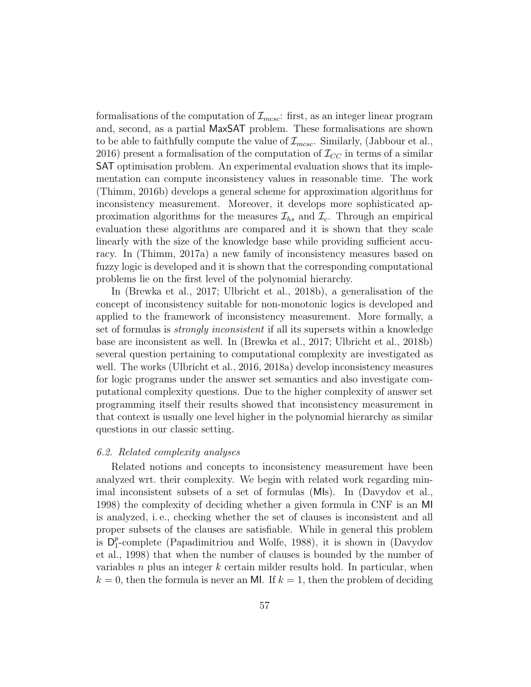formalisations of the computation of  $\mathcal{I}_{mcsc}$ : first, as an integer linear program and, second, as a partial MaxSAT problem. These formalisations are shown to be able to faithfully compute the value of  $\mathcal{I}_{m\text{csc}}$ . Similarly, (Jabbour et al., 2016) present a formalisation of the computation of  $\mathcal{I}_{CC}$  in terms of a similar SAT optimisation problem. An experimental evaluation shows that its implementation can compute inconsistency values in reasonable time. The work (Thimm, 2016b) develops a general scheme for approximation algorithms for inconsistency measurement. Moreover, it develops more sophisticated approximation algorithms for the measures  $\mathcal{I}_{hs}$  and  $\mathcal{I}_{c}$ . Through an empirical evaluation these algorithms are compared and it is shown that they scale linearly with the size of the knowledge base while providing sufficient accuracy. In (Thimm, 2017a) a new family of inconsistency measures based on fuzzy logic is developed and it is shown that the corresponding computational problems lie on the first level of the polynomial hierarchy.

In (Brewka et al., 2017; Ulbricht et al., 2018b), a generalisation of the concept of inconsistency suitable for non-monotonic logics is developed and applied to the framework of inconsistency measurement. More formally, a set of formulas is strongly inconsistent if all its supersets within a knowledge base are inconsistent as well. In (Brewka et al., 2017; Ulbricht et al., 2018b) several question pertaining to computational complexity are investigated as well. The works (Ulbricht et al., 2016, 2018a) develop inconsistency measures for logic programs under the answer set semantics and also investigate computational complexity questions. Due to the higher complexity of answer set programming itself their results showed that inconsistency measurement in that context is usually one level higher in the polynomial hierarchy as similar questions in our classic setting.

#### 6.2. Related complexity analyses

Related notions and concepts to inconsistency measurement have been analyzed wrt. their complexity. We begin with related work regarding minimal inconsistent subsets of a set of formulas (MIs). In (Davydov et al., 1998) the complexity of deciding whether a given formula in CNF is an MI is analyzed, i. e., checking whether the set of clauses is inconsistent and all proper subsets of the clauses are satisfiable. While in general this problem is  $D_1^p$  $_{1}^{p}$ -complete (Papadimitriou and Wolfe, 1988), it is shown in (Davydov et al., 1998) that when the number of clauses is bounded by the number of variables  $n$  plus an integer  $k$  certain milder results hold. In particular, when  $k = 0$ , then the formula is never an MI. If  $k = 1$ , then the problem of deciding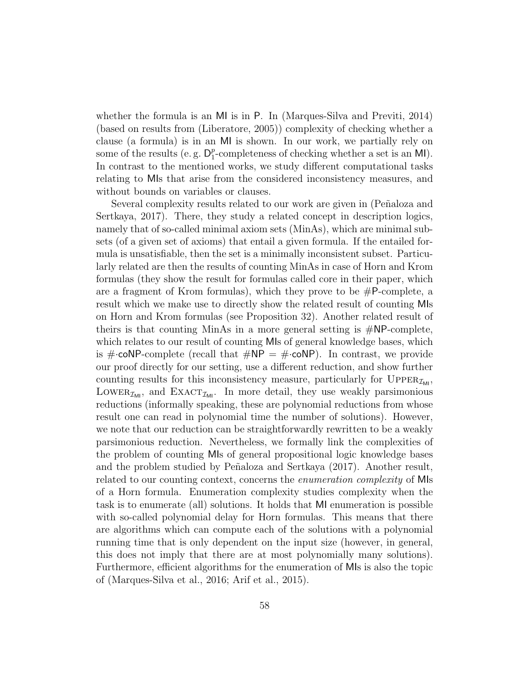whether the formula is an MI is in P. In (Marques-Silva and Previti, 2014) (based on results from (Liberatore, 2005)) complexity of checking whether a clause (a formula) is in an MI is shown. In our work, we partially rely on some of the results (e.g.  $D_1^p$  $_{1}^{p}$ -completeness of checking whether a set is an MI). In contrast to the mentioned works, we study different computational tasks relating to MIs that arise from the considered inconsistency measures, and without bounds on variables or clauses.

Several complexity results related to our work are given in (Peñaloza and Sertkaya, 2017). There, they study a related concept in description logics, namely that of so-called minimal axiom sets (MinAs), which are minimal subsets (of a given set of axioms) that entail a given formula. If the entailed formula is unsatisfiable, then the set is a minimally inconsistent subset. Particularly related are then the results of counting MinAs in case of Horn and Krom formulas (they show the result for formulas called core in their paper, which are a fragment of Krom formulas), which they prove to be  $#P$ -complete, a result which we make use to directly show the related result of counting MIs on Horn and Krom formulas (see Proposition 32). Another related result of theirs is that counting MinAs in a more general setting is  $\#NP$ -complete, which relates to our result of counting MIs of general knowledge bases, which is  $\#$ -coNP-complete (recall that  $\#NP = \#$ -coNP). In contrast, we provide our proof directly for our setting, use a different reduction, and show further counting results for this inconsistency measure, particularly for  $\text{Upper}_{\mathcal{I}_{\text{ML}}}$ , LOWER<sub> $\mathcal{I}_{\mathsf{M}}$ </sub>, and EXACT<sub> $\mathcal{I}_{\mathsf{M}}$ </sub>. In more detail, they use weakly parsimonious reductions (informally speaking, these are polynomial reductions from whose result one can read in polynomial time the number of solutions). However, we note that our reduction can be straightforwardly rewritten to be a weakly parsimonious reduction. Nevertheless, we formally link the complexities of the problem of counting MIs of general propositional logic knowledge bases and the problem studied by Peñaloza and Sertkaya (2017). Another result, related to our counting context, concerns the enumeration complexity of MIs of a Horn formula. Enumeration complexity studies complexity when the task is to enumerate (all) solutions. It holds that MI enumeration is possible with so-called polynomial delay for Horn formulas. This means that there are algorithms which can compute each of the solutions with a polynomial running time that is only dependent on the input size (however, in general, this does not imply that there are at most polynomially many solutions). Furthermore, efficient algorithms for the enumeration of MIs is also the topic of (Marques-Silva et al., 2016; Arif et al., 2015).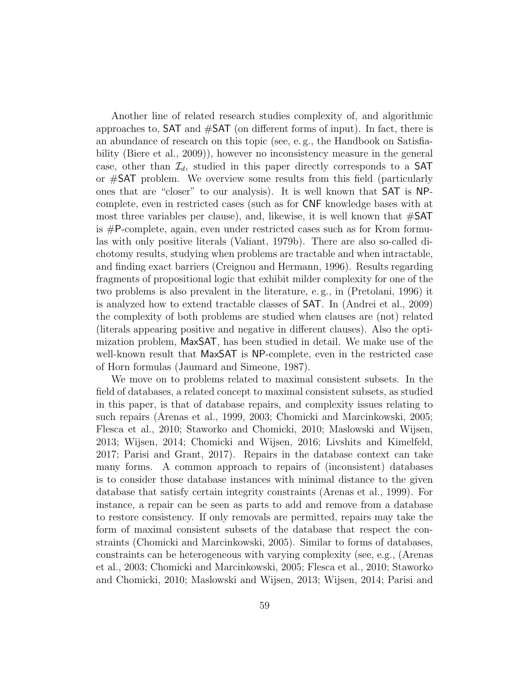Another line of related research studies complexity of, and algorithmic approaches to, SAT and #SAT (on different forms of input). In fact, there is an abundance of research on this topic (see, e. g., the Handbook on Satisfiability (Biere et al., 2009)), however no inconsistency measure in the general case, other than  $\mathcal{I}_d$ , studied in this paper directly corresponds to a SAT or #SAT problem. We overview some results from this field (particularly ones that are "closer" to our analysis). It is well known that SAT is NPcomplete, even in restricted cases (such as for CNF knowledge bases with at most three variables per clause), and, likewise, it is well known that  $\#\text{SAT}$ is #P-complete, again, even under restricted cases such as for Krom formulas with only positive literals (Valiant, 1979b). There are also so-called dichotomy results, studying when problems are tractable and when intractable, and finding exact barriers (Creignou and Hermann, 1996). Results regarding fragments of propositional logic that exhibit milder complexity for one of the two problems is also prevalent in the literature, e. g., in (Pretolani, 1996) it is analyzed how to extend tractable classes of SAT. In (Andrei et al., 2009) the complexity of both problems are studied when clauses are (not) related (literals appearing positive and negative in different clauses). Also the optimization problem, MaxSAT, has been studied in detail. We make use of the well-known result that MaxSAT is NP-complete, even in the restricted case of Horn formulas (Jaumard and Simeone, 1987).

We move on to problems related to maximal consistent subsets. In the field of databases, a related concept to maximal consistent subsets, as studied in this paper, is that of database repairs, and complexity issues relating to such repairs (Arenas et al., 1999, 2003; Chomicki and Marcinkowski, 2005; Flesca et al., 2010; Staworko and Chomicki, 2010; Maslowski and Wijsen, 2013; Wijsen, 2014; Chomicki and Wijsen, 2016; Livshits and Kimelfeld, 2017; Parisi and Grant, 2017). Repairs in the database context can take many forms. A common approach to repairs of (inconsistent) databases is to consider those database instances with minimal distance to the given database that satisfy certain integrity constraints (Arenas et al., 1999). For instance, a repair can be seen as parts to add and remove from a database to restore consistency. If only removals are permitted, repairs may take the form of maximal consistent subsets of the database that respect the constraints (Chomicki and Marcinkowski, 2005). Similar to forms of databases, constraints can be heterogeneous with varying complexity (see, e.g., (Arenas et al., 2003; Chomicki and Marcinkowski, 2005; Flesca et al., 2010; Staworko and Chomicki, 2010; Maslowski and Wijsen, 2013; Wijsen, 2014; Parisi and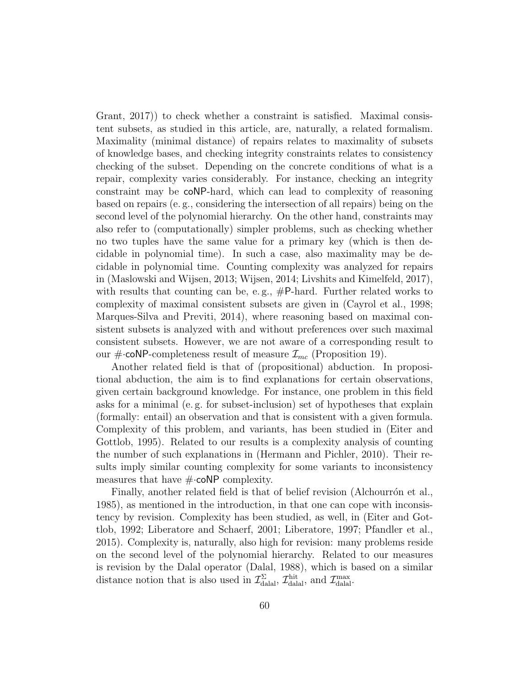Grant, 2017)) to check whether a constraint is satisfied. Maximal consistent subsets, as studied in this article, are, naturally, a related formalism. Maximality (minimal distance) of repairs relates to maximality of subsets of knowledge bases, and checking integrity constraints relates to consistency checking of the subset. Depending on the concrete conditions of what is a repair, complexity varies considerably. For instance, checking an integrity constraint may be coNP-hard, which can lead to complexity of reasoning based on repairs (e. g., considering the intersection of all repairs) being on the second level of the polynomial hierarchy. On the other hand, constraints may also refer to (computationally) simpler problems, such as checking whether no two tuples have the same value for a primary key (which is then decidable in polynomial time). In such a case, also maximality may be decidable in polynomial time. Counting complexity was analyzed for repairs in (Maslowski and Wijsen, 2013; Wijsen, 2014; Livshits and Kimelfeld, 2017), with results that counting can be, e.g.,  $\#P$ -hard. Further related works to complexity of maximal consistent subsets are given in (Cayrol et al., 1998; Marques-Silva and Previti, 2014), where reasoning based on maximal consistent subsets is analyzed with and without preferences over such maximal consistent subsets. However, we are not aware of a corresponding result to our  $\#\text{-coNP-completeness result of measure } \mathcal{I}_{mc}$  (Proposition 19).

Another related field is that of (propositional) abduction. In propositional abduction, the aim is to find explanations for certain observations, given certain background knowledge. For instance, one problem in this field asks for a minimal (e. g. for subset-inclusion) set of hypotheses that explain (formally: entail) an observation and that is consistent with a given formula. Complexity of this problem, and variants, has been studied in (Eiter and Gottlob, 1995). Related to our results is a complexity analysis of counting the number of such explanations in (Hermann and Pichler, 2010). Their results imply similar counting complexity for some variants to inconsistency measures that have  $\#\text{-coNP complexity}$ .

Finally, another related field is that of belief revision (Alchourron et al., 1985), as mentioned in the introduction, in that one can cope with inconsistency by revision. Complexity has been studied, as well, in (Eiter and Gottlob, 1992; Liberatore and Schaerf, 2001; Liberatore, 1997; Pfandler et al., 2015). Complexity is, naturally, also high for revision: many problems reside on the second level of the polynomial hierarchy. Related to our measures is revision by the Dalal operator (Dalal, 1988), which is based on a similar distance notion that is also used in  $\mathcal{I}_{\text{dala}}^{\Sigma}$ ,  $\mathcal{I}_{\text{dala}}^{\text{hit}}$ , and  $\mathcal{I}_{\text{dala}}^{\max}$ .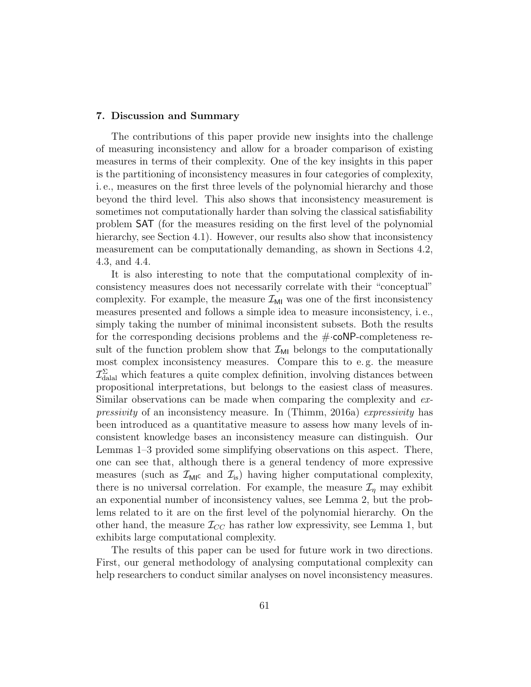#### 7. Discussion and Summary

The contributions of this paper provide new insights into the challenge of measuring inconsistency and allow for a broader comparison of existing measures in terms of their complexity. One of the key insights in this paper is the partitioning of inconsistency measures in four categories of complexity, i. e., measures on the first three levels of the polynomial hierarchy and those beyond the third level. This also shows that inconsistency measurement is sometimes not computationally harder than solving the classical satisfiability problem SAT (for the measures residing on the first level of the polynomial hierarchy, see Section 4.1). However, our results also show that inconsistency measurement can be computationally demanding, as shown in Sections 4.2, 4.3, and 4.4.

It is also interesting to note that the computational complexity of inconsistency measures does not necessarily correlate with their "conceptual" complexity. For example, the measure  $\mathcal{I}_{\text{MI}}$  was one of the first inconsistency measures presented and follows a simple idea to measure inconsistency, i. e., simply taking the number of minimal inconsistent subsets. Both the results for the corresponding decisions problems and the  $\#\text{-}\text{coNP-completeness}$  result of the function problem show that  $\mathcal{I}_{MI}$  belongs to the computationally most complex inconsistency measures. Compare this to e. g. the measure  $\mathcal{I}^{\Sigma}_{\text{datal}}$  which features a quite complex definition, involving distances between propositional interpretations, but belongs to the easiest class of measures. Similar observations can be made when comparing the complexity and expressivity of an inconsistency measure. In (Thimm, 2016a) expressivity has been introduced as a quantitative measure to assess how many levels of inconsistent knowledge bases an inconsistency measure can distinguish. Our Lemmas 1–3 provided some simplifying observations on this aspect. There, one can see that, although there is a general tendency of more expressive measures (such as  $\mathcal{I}_{\text{MI}}$ c and  $\mathcal{I}_{\text{is}}$ ) having higher computational complexity, there is no universal correlation. For example, the measure  $\mathcal{I}_n$  may exhibit an exponential number of inconsistency values, see Lemma 2, but the problems related to it are on the first level of the polynomial hierarchy. On the other hand, the measure  $\mathcal{I}_{CC}$  has rather low expressivity, see Lemma 1, but exhibits large computational complexity.

The results of this paper can be used for future work in two directions. First, our general methodology of analysing computational complexity can help researchers to conduct similar analyses on novel inconsistency measures.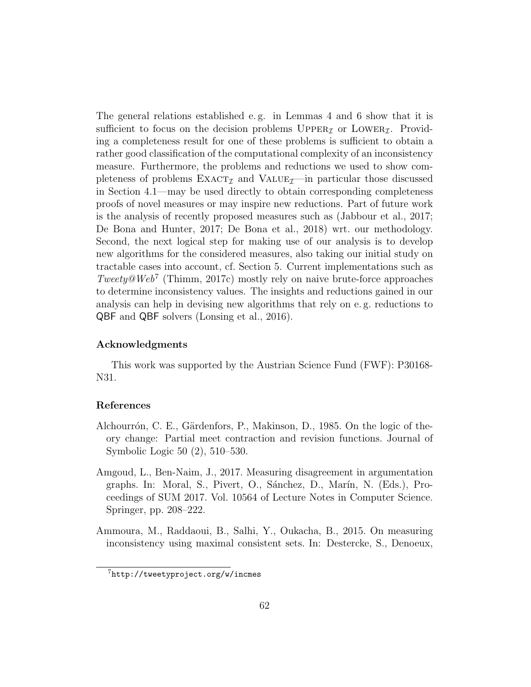The general relations established e. g. in Lemmas 4 and 6 show that it is sufficient to focus on the decision problems  $\text{UPPER}_{\mathcal{I}}$  or LOWER<sub> $\mathcal{I}$ </sub>. Providing a completeness result for one of these problems is sufficient to obtain a rather good classification of the computational complexity of an inconsistency measure. Furthermore, the problems and reductions we used to show completeness of problems  $\text{EXACT}_{\mathcal{I}}$  and  $\text{VALUE}_{\mathcal{I}}$ —in particular those discussed in Section 4.1—may be used directly to obtain corresponding completeness proofs of novel measures or may inspire new reductions. Part of future work is the analysis of recently proposed measures such as (Jabbour et al., 2017; De Bona and Hunter, 2017; De Bona et al., 2018) wrt. our methodology. Second, the next logical step for making use of our analysis is to develop new algorithms for the considered measures, also taking our initial study on tractable cases into account, cf. Section 5. Current implementations such as  $Tweety@Web^7$  (Thimm, 2017c) mostly rely on naive brute-force approaches to determine inconsistency values. The insights and reductions gained in our analysis can help in devising new algorithms that rely on e. g. reductions to QBF and QBF solvers (Lonsing et al., 2016).

# Acknowledgments

This work was supported by the Austrian Science Fund (FWF): P30168- N31.

# References

- Alchourrón, C. E., Gärdenfors, P., Makinson, D., 1985. On the logic of theory change: Partial meet contraction and revision functions. Journal of Symbolic Logic 50 (2), 510–530.
- Amgoud, L., Ben-Naim, J., 2017. Measuring disagreement in argumentation graphs. In: Moral, S., Pivert, O., Sánchez, D., Marín, N. (Eds.), Proceedings of SUM 2017. Vol. 10564 of Lecture Notes in Computer Science. Springer, pp. 208–222.
- Ammoura, M., Raddaoui, B., Salhi, Y., Oukacha, B., 2015. On measuring inconsistency using maximal consistent sets. In: Destercke, S., Denoeux,

<sup>7</sup>http://tweetyproject.org/w/incmes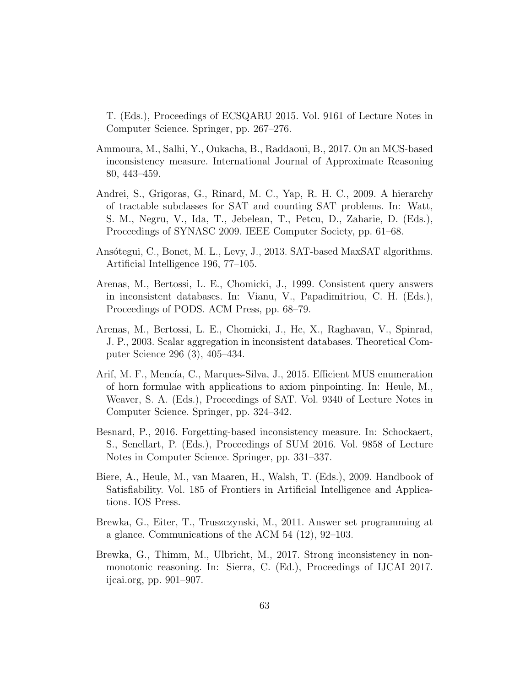T. (Eds.), Proceedings of ECSQARU 2015. Vol. 9161 of Lecture Notes in Computer Science. Springer, pp. 267–276.

- Ammoura, M., Salhi, Y., Oukacha, B., Raddaoui, B., 2017. On an MCS-based inconsistency measure. International Journal of Approximate Reasoning 80, 443–459.
- Andrei, S., Grigoras, G., Rinard, M. C., Yap, R. H. C., 2009. A hierarchy of tractable subclasses for SAT and counting SAT problems. In: Watt, S. M., Negru, V., Ida, T., Jebelean, T., Petcu, D., Zaharie, D. (Eds.), Proceedings of SYNASC 2009. IEEE Computer Society, pp. 61–68.
- Ansótegui, C., Bonet, M. L., Levy, J., 2013. SAT-based MaxSAT algorithms. Artificial Intelligence 196, 77–105.
- Arenas, M., Bertossi, L. E., Chomicki, J., 1999. Consistent query answers in inconsistent databases. In: Vianu, V., Papadimitriou, C. H. (Eds.), Proceedings of PODS. ACM Press, pp. 68–79.
- Arenas, M., Bertossi, L. E., Chomicki, J., He, X., Raghavan, V., Spinrad, J. P., 2003. Scalar aggregation in inconsistent databases. Theoretical Computer Science 296 (3), 405–434.
- Arif, M. F., Mencía, C., Marques-Silva, J., 2015. Efficient MUS enumeration of horn formulae with applications to axiom pinpointing. In: Heule, M., Weaver, S. A. (Eds.), Proceedings of SAT. Vol. 9340 of Lecture Notes in Computer Science. Springer, pp. 324–342.
- Besnard, P., 2016. Forgetting-based inconsistency measure. In: Schockaert, S., Senellart, P. (Eds.), Proceedings of SUM 2016. Vol. 9858 of Lecture Notes in Computer Science. Springer, pp. 331–337.
- Biere, A., Heule, M., van Maaren, H., Walsh, T. (Eds.), 2009. Handbook of Satisfiability. Vol. 185 of Frontiers in Artificial Intelligence and Applications. IOS Press.
- Brewka, G., Eiter, T., Truszczynski, M., 2011. Answer set programming at a glance. Communications of the ACM 54 (12), 92–103.
- Brewka, G., Thimm, M., Ulbricht, M., 2017. Strong inconsistency in nonmonotonic reasoning. In: Sierra, C. (Ed.), Proceedings of IJCAI 2017. ijcai.org, pp. 901–907.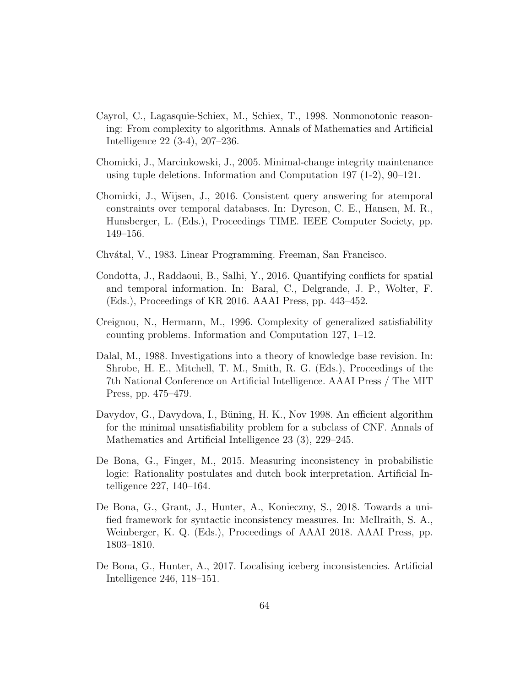- Cayrol, C., Lagasquie-Schiex, M., Schiex, T., 1998. Nonmonotonic reasoning: From complexity to algorithms. Annals of Mathematics and Artificial Intelligence 22 (3-4), 207–236.
- Chomicki, J., Marcinkowski, J., 2005. Minimal-change integrity maintenance using tuple deletions. Information and Computation 197 (1-2), 90–121.
- Chomicki, J., Wijsen, J., 2016. Consistent query answering for atemporal constraints over temporal databases. In: Dyreson, C. E., Hansen, M. R., Hunsberger, L. (Eds.), Proceedings TIME. IEEE Computer Society, pp. 149–156.
- Chv´atal, V., 1983. Linear Programming. Freeman, San Francisco.
- Condotta, J., Raddaoui, B., Salhi, Y., 2016. Quantifying conflicts for spatial and temporal information. In: Baral, C., Delgrande, J. P., Wolter, F. (Eds.), Proceedings of KR 2016. AAAI Press, pp. 443–452.
- Creignou, N., Hermann, M., 1996. Complexity of generalized satisfiability counting problems. Information and Computation 127, 1–12.
- Dalal, M., 1988. Investigations into a theory of knowledge base revision. In: Shrobe, H. E., Mitchell, T. M., Smith, R. G. (Eds.), Proceedings of the 7th National Conference on Artificial Intelligence. AAAI Press / The MIT Press, pp. 475–479.
- Davydov, G., Davydova, I., Büning, H. K., Nov 1998. An efficient algorithm for the minimal unsatisfiability problem for a subclass of CNF. Annals of Mathematics and Artificial Intelligence 23 (3), 229–245.
- De Bona, G., Finger, M., 2015. Measuring inconsistency in probabilistic logic: Rationality postulates and dutch book interpretation. Artificial Intelligence 227, 140–164.
- De Bona, G., Grant, J., Hunter, A., Konieczny, S., 2018. Towards a unified framework for syntactic inconsistency measures. In: McIlraith, S. A., Weinberger, K. Q. (Eds.), Proceedings of AAAI 2018. AAAI Press, pp. 1803–1810.
- De Bona, G., Hunter, A., 2017. Localising iceberg inconsistencies. Artificial Intelligence 246, 118–151.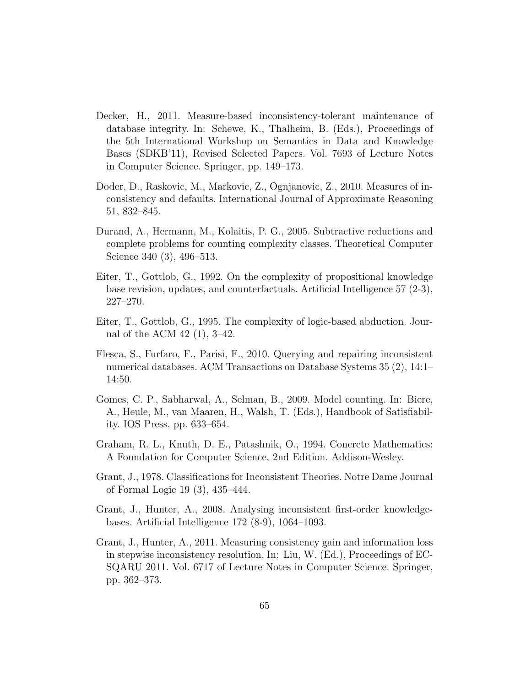- Decker, H., 2011. Measure-based inconsistency-tolerant maintenance of database integrity. In: Schewe, K., Thalheim, B. (Eds.), Proceedings of the 5th International Workshop on Semantics in Data and Knowledge Bases (SDKB'11), Revised Selected Papers. Vol. 7693 of Lecture Notes in Computer Science. Springer, pp. 149–173.
- Doder, D., Raskovic, M., Markovic, Z., Ognjanovic, Z., 2010. Measures of inconsistency and defaults. International Journal of Approximate Reasoning 51, 832–845.
- Durand, A., Hermann, M., Kolaitis, P. G., 2005. Subtractive reductions and complete problems for counting complexity classes. Theoretical Computer Science 340 (3), 496–513.
- Eiter, T., Gottlob, G., 1992. On the complexity of propositional knowledge base revision, updates, and counterfactuals. Artificial Intelligence 57 (2-3), 227–270.
- Eiter, T., Gottlob, G., 1995. The complexity of logic-based abduction. Journal of the ACM 42 (1), 3–42.
- Flesca, S., Furfaro, F., Parisi, F., 2010. Querying and repairing inconsistent numerical databases. ACM Transactions on Database Systems 35 (2), 14:1– 14:50.
- Gomes, C. P., Sabharwal, A., Selman, B., 2009. Model counting. In: Biere, A., Heule, M., van Maaren, H., Walsh, T. (Eds.), Handbook of Satisfiability. IOS Press, pp. 633–654.
- Graham, R. L., Knuth, D. E., Patashnik, O., 1994. Concrete Mathematics: A Foundation for Computer Science, 2nd Edition. Addison-Wesley.
- Grant, J., 1978. Classifications for Inconsistent Theories. Notre Dame Journal of Formal Logic 19 (3), 435–444.
- Grant, J., Hunter, A., 2008. Analysing inconsistent first-order knowledgebases. Artificial Intelligence 172 (8-9), 1064–1093.
- Grant, J., Hunter, A., 2011. Measuring consistency gain and information loss in stepwise inconsistency resolution. In: Liu, W. (Ed.), Proceedings of EC-SQARU 2011. Vol. 6717 of Lecture Notes in Computer Science. Springer, pp. 362–373.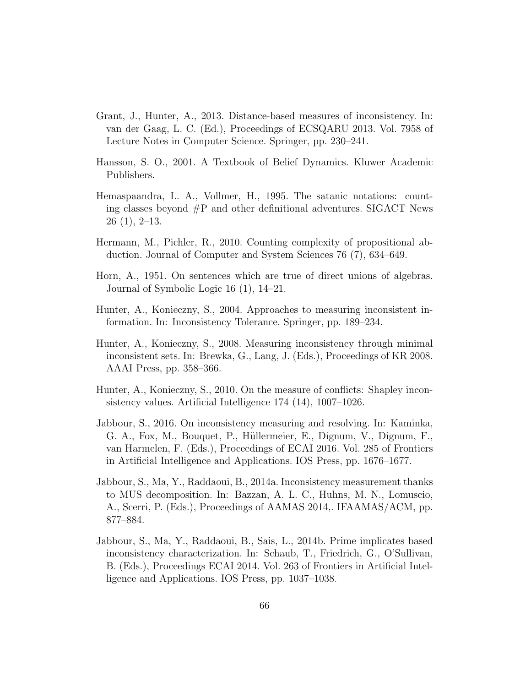- Grant, J., Hunter, A., 2013. Distance-based measures of inconsistency. In: van der Gaag, L. C. (Ed.), Proceedings of ECSQARU 2013. Vol. 7958 of Lecture Notes in Computer Science. Springer, pp. 230–241.
- Hansson, S. O., 2001. A Textbook of Belief Dynamics. Kluwer Academic Publishers.
- Hemaspaandra, L. A., Vollmer, H., 1995. The satanic notations: counting classes beyond  $\#P$  and other definitional adventures. SIGACT News 26 (1), 2–13.
- Hermann, M., Pichler, R., 2010. Counting complexity of propositional abduction. Journal of Computer and System Sciences 76 (7), 634–649.
- Horn, A., 1951. On sentences which are true of direct unions of algebras. Journal of Symbolic Logic 16 (1), 14–21.
- Hunter, A., Konieczny, S., 2004. Approaches to measuring inconsistent information. In: Inconsistency Tolerance. Springer, pp. 189–234.
- Hunter, A., Konieczny, S., 2008. Measuring inconsistency through minimal inconsistent sets. In: Brewka, G., Lang, J. (Eds.), Proceedings of KR 2008. AAAI Press, pp. 358–366.
- Hunter, A., Konieczny, S., 2010. On the measure of conflicts: Shapley inconsistency values. Artificial Intelligence 174 (14), 1007–1026.
- Jabbour, S., 2016. On inconsistency measuring and resolving. In: Kaminka, G. A., Fox, M., Bouquet, P., Hüllermeier, E., Dignum, V., Dignum, F., van Harmelen, F. (Eds.), Proceedings of ECAI 2016. Vol. 285 of Frontiers in Artificial Intelligence and Applications. IOS Press, pp. 1676–1677.
- Jabbour, S., Ma, Y., Raddaoui, B., 2014a. Inconsistency measurement thanks to MUS decomposition. In: Bazzan, A. L. C., Huhns, M. N., Lomuscio, A., Scerri, P. (Eds.), Proceedings of AAMAS 2014,. IFAAMAS/ACM, pp. 877–884.
- Jabbour, S., Ma, Y., Raddaoui, B., Sais, L., 2014b. Prime implicates based inconsistency characterization. In: Schaub, T., Friedrich, G., O'Sullivan, B. (Eds.), Proceedings ECAI 2014. Vol. 263 of Frontiers in Artificial Intelligence and Applications. IOS Press, pp. 1037–1038.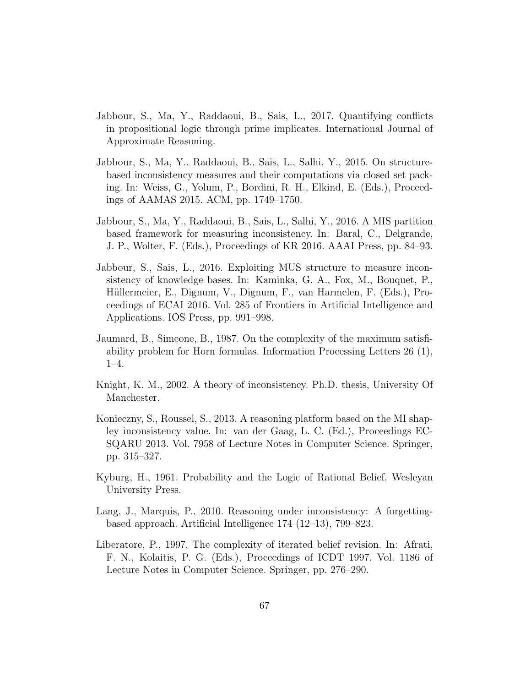- Jabbour, S., Ma, Y., Raddaoui, B., Sais, L., 2017. Quantifying conflicts in propositional logic through prime implicates. International Journal of Approximate Reasoning.
- Jabbour, S., Ma, Y., Raddaoui, B., Sais, L., Salhi, Y., 2015. On structurebased inconsistency measures and their computations via closed set packing. In: Weiss, G., Yolum, P., Bordini, R. H., Elkind, E. (Eds.), Proceedings of AAMAS 2015. ACM, pp. 1749–1750.
- Jabbour, S., Ma, Y., Raddaoui, B., Sais, L., Salhi, Y., 2016. A MIS partition based framework for measuring inconsistency. In: Baral, C., Delgrande, J. P., Wolter, F. (Eds.), Proceedings of KR 2016. AAAI Press, pp. 84–93.
- Jabbour, S., Sais, L., 2016. Exploiting MUS structure to measure inconsistency of knowledge bases. In: Kaminka, G. A., Fox, M., Bouquet, P., Hüllermeier, E., Dignum, V., Dignum, F., van Harmelen, F. (Eds.), Proceedings of ECAI 2016. Vol. 285 of Frontiers in Artificial Intelligence and Applications. IOS Press, pp. 991–998.
- Jaumard, B., Simeone, B., 1987. On the complexity of the maximum satisfiability problem for Horn formulas. Information Processing Letters 26 (1), 1–4.
- Knight, K. M., 2002. A theory of inconsistency. Ph.D. thesis, University Of Manchester.
- Konieczny, S., Roussel, S., 2013. A reasoning platform based on the MI shapley inconsistency value. In: van der Gaag, L. C. (Ed.), Proceedings EC-SQARU 2013. Vol. 7958 of Lecture Notes in Computer Science. Springer, pp. 315–327.
- Kyburg, H., 1961. Probability and the Logic of Rational Belief. Wesleyan University Press.
- Lang, J., Marquis, P., 2010. Reasoning under inconsistency: A forgettingbased approach. Artificial Intelligence 174 (12–13), 799–823.
- Liberatore, P., 1997. The complexity of iterated belief revision. In: Afrati, F. N., Kolaitis, P. G. (Eds.), Proceedings of ICDT 1997. Vol. 1186 of Lecture Notes in Computer Science. Springer, pp. 276–290.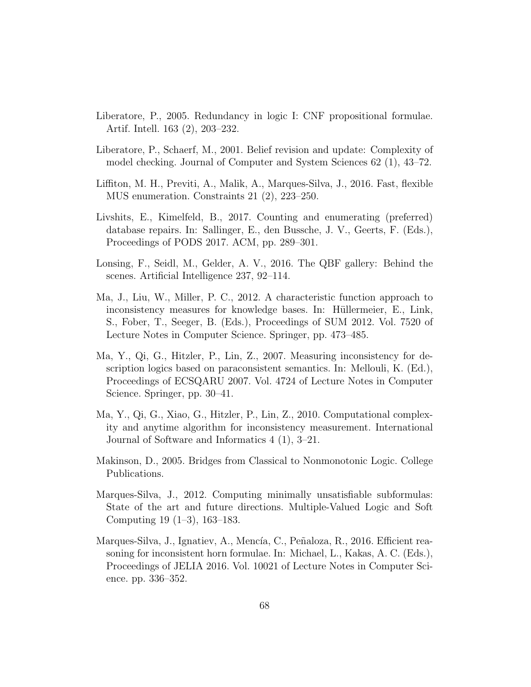- Liberatore, P., 2005. Redundancy in logic I: CNF propositional formulae. Artif. Intell. 163 (2), 203–232.
- Liberatore, P., Schaerf, M., 2001. Belief revision and update: Complexity of model checking. Journal of Computer and System Sciences 62 (1), 43–72.
- Liffiton, M. H., Previti, A., Malik, A., Marques-Silva, J., 2016. Fast, flexible MUS enumeration. Constraints 21 (2), 223–250.
- Livshits, E., Kimelfeld, B., 2017. Counting and enumerating (preferred) database repairs. In: Sallinger, E., den Bussche, J. V., Geerts, F. (Eds.), Proceedings of PODS 2017. ACM, pp. 289–301.
- Lonsing, F., Seidl, M., Gelder, A. V., 2016. The QBF gallery: Behind the scenes. Artificial Intelligence 237, 92–114.
- Ma, J., Liu, W., Miller, P. C., 2012. A characteristic function approach to inconsistency measures for knowledge bases. In: Hüllermeier, E., Link, S., Fober, T., Seeger, B. (Eds.), Proceedings of SUM 2012. Vol. 7520 of Lecture Notes in Computer Science. Springer, pp. 473–485.
- Ma, Y., Qi, G., Hitzler, P., Lin, Z., 2007. Measuring inconsistency for description logics based on paraconsistent semantics. In: Mellouli, K. (Ed.), Proceedings of ECSQARU 2007. Vol. 4724 of Lecture Notes in Computer Science. Springer, pp. 30–41.
- Ma, Y., Qi, G., Xiao, G., Hitzler, P., Lin, Z., 2010. Computational complexity and anytime algorithm for inconsistency measurement. International Journal of Software and Informatics 4 (1), 3–21.
- Makinson, D., 2005. Bridges from Classical to Nonmonotonic Logic. College Publications.
- Marques-Silva, J., 2012. Computing minimally unsatisfiable subformulas: State of the art and future directions. Multiple-Valued Logic and Soft Computing 19 (1–3), 163–183.
- Marques-Silva, J., Ignatiev, A., Mencía, C., Peñaloza, R., 2016. Efficient reasoning for inconsistent horn formulae. In: Michael, L., Kakas, A. C. (Eds.), Proceedings of JELIA 2016. Vol. 10021 of Lecture Notes in Computer Science. pp. 336–352.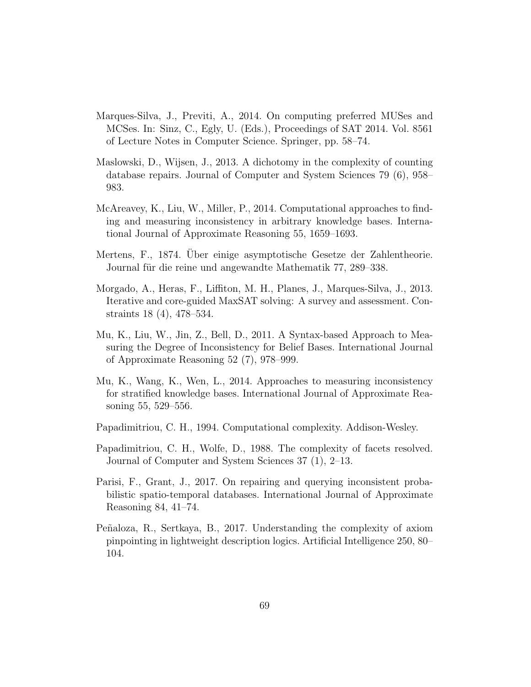- Marques-Silva, J., Previti, A., 2014. On computing preferred MUSes and MCSes. In: Sinz, C., Egly, U. (Eds.), Proceedings of SAT 2014. Vol. 8561 of Lecture Notes in Computer Science. Springer, pp. 58–74.
- Maslowski, D., Wijsen, J., 2013. A dichotomy in the complexity of counting database repairs. Journal of Computer and System Sciences 79 (6), 958– 983.
- McAreavey, K., Liu, W., Miller, P., 2014. Computational approaches to finding and measuring inconsistency in arbitrary knowledge bases. International Journal of Approximate Reasoning 55, 1659–1693.
- Mertens, F., 1874. Uber einige asymptotische Gesetze der Zahlentheorie. ¨ Journal für die reine und angewandte Mathematik 77, 289–338.
- Morgado, A., Heras, F., Liffiton, M. H., Planes, J., Marques-Silva, J., 2013. Iterative and core-guided MaxSAT solving: A survey and assessment. Constraints 18 (4), 478–534.
- Mu, K., Liu, W., Jin, Z., Bell, D., 2011. A Syntax-based Approach to Measuring the Degree of Inconsistency for Belief Bases. International Journal of Approximate Reasoning 52 (7), 978–999.
- Mu, K., Wang, K., Wen, L., 2014. Approaches to measuring inconsistency for stratified knowledge bases. International Journal of Approximate Reasoning 55, 529–556.
- Papadimitriou, C. H., 1994. Computational complexity. Addison-Wesley.
- Papadimitriou, C. H., Wolfe, D., 1988. The complexity of facets resolved. Journal of Computer and System Sciences 37 (1), 2–13.
- Parisi, F., Grant, J., 2017. On repairing and querying inconsistent probabilistic spatio-temporal databases. International Journal of Approximate Reasoning 84, 41–74.
- Pe˜naloza, R., Sertkaya, B., 2017. Understanding the complexity of axiom pinpointing in lightweight description logics. Artificial Intelligence 250, 80– 104.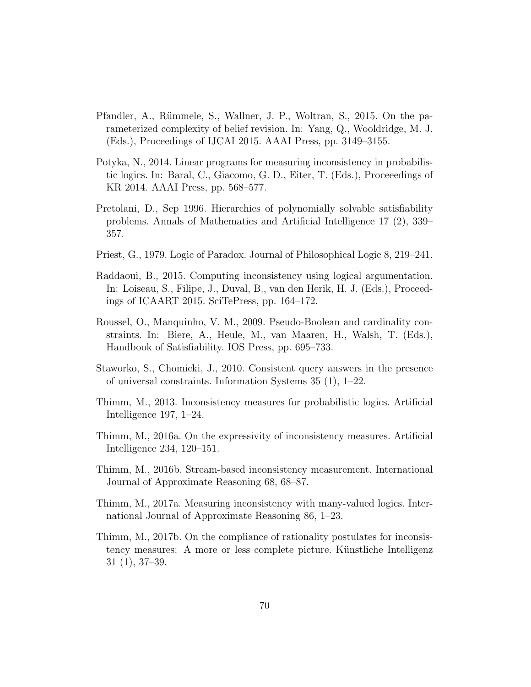- Pfandler, A., Rümmele, S., Wallner, J. P., Woltran, S., 2015. On the parameterized complexity of belief revision. In: Yang, Q., Wooldridge, M. J. (Eds.), Proceedings of IJCAI 2015. AAAI Press, pp. 3149–3155.
- Potyka, N., 2014. Linear programs for measuring inconsistency in probabilistic logics. In: Baral, C., Giacomo, G. D., Eiter, T. (Eds.), Proceeedings of KR 2014. AAAI Press, pp. 568–577.
- Pretolani, D., Sep 1996. Hierarchies of polynomially solvable satisfiability problems. Annals of Mathematics and Artificial Intelligence 17 (2), 339– 357.
- Priest, G., 1979. Logic of Paradox. Journal of Philosophical Logic 8, 219–241.
- Raddaoui, B., 2015. Computing inconsistency using logical argumentation. In: Loiseau, S., Filipe, J., Duval, B., van den Herik, H. J. (Eds.), Proceedings of ICAART 2015. SciTePress, pp. 164–172.
- Roussel, O., Manquinho, V. M., 2009. Pseudo-Boolean and cardinality constraints. In: Biere, A., Heule, M., van Maaren, H., Walsh, T. (Eds.), Handbook of Satisfiability. IOS Press, pp. 695–733.
- Staworko, S., Chomicki, J., 2010. Consistent query answers in the presence of universal constraints. Information Systems 35 (1), 1–22.
- Thimm, M., 2013. Inconsistency measures for probabilistic logics. Artificial Intelligence 197, 1–24.
- Thimm, M., 2016a. On the expressivity of inconsistency measures. Artificial Intelligence 234, 120–151.
- Thimm, M., 2016b. Stream-based inconsistency measurement. International Journal of Approximate Reasoning 68, 68–87.
- Thimm, M., 2017a. Measuring inconsistency with many-valued logics. International Journal of Approximate Reasoning 86, 1–23.
- Thimm, M., 2017b. On the compliance of rationality postulates for inconsistency measures: A more or less complete picture. Künstliche Intelligenz 31 (1), 37–39.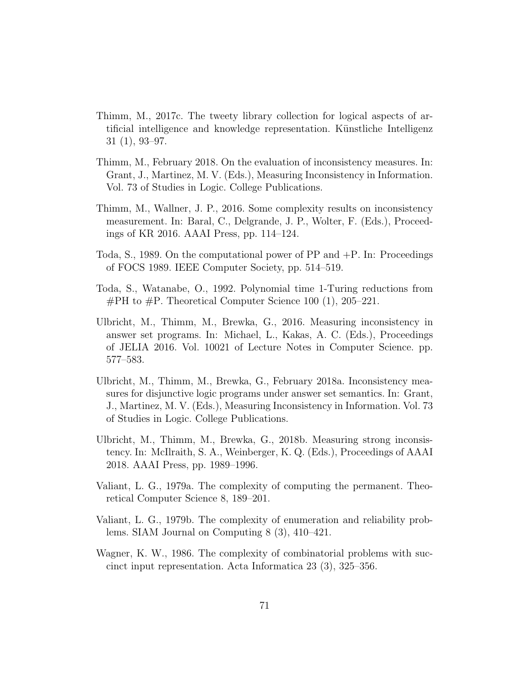- Thimm, M., 2017c. The tweety library collection for logical aspects of artificial intelligence and knowledge representation. Künstliche Intelligenz 31 (1), 93–97.
- Thimm, M., February 2018. On the evaluation of inconsistency measures. In: Grant, J., Martinez, M. V. (Eds.), Measuring Inconsistency in Information. Vol. 73 of Studies in Logic. College Publications.
- Thimm, M., Wallner, J. P., 2016. Some complexity results on inconsistency measurement. In: Baral, C., Delgrande, J. P., Wolter, F. (Eds.), Proceedings of KR 2016. AAAI Press, pp. 114–124.
- Toda, S., 1989. On the computational power of  $PP$  and  $+P$ . In: Proceedings of FOCS 1989. IEEE Computer Society, pp. 514–519.
- Toda, S., Watanabe, O., 1992. Polynomial time 1-Turing reductions from  $\#PH$  to  $\#P$ . Theoretical Computer Science 100 (1), 205–221.
- Ulbricht, M., Thimm, M., Brewka, G., 2016. Measuring inconsistency in answer set programs. In: Michael, L., Kakas, A. C. (Eds.), Proceedings of JELIA 2016. Vol. 10021 of Lecture Notes in Computer Science. pp. 577–583.
- Ulbricht, M., Thimm, M., Brewka, G., February 2018a. Inconsistency measures for disjunctive logic programs under answer set semantics. In: Grant, J., Martinez, M. V. (Eds.), Measuring Inconsistency in Information. Vol. 73 of Studies in Logic. College Publications.
- Ulbricht, M., Thimm, M., Brewka, G., 2018b. Measuring strong inconsistency. In: McIlraith, S. A., Weinberger, K. Q. (Eds.), Proceedings of AAAI 2018. AAAI Press, pp. 1989–1996.
- Valiant, L. G., 1979a. The complexity of computing the permanent. Theoretical Computer Science 8, 189–201.
- Valiant, L. G., 1979b. The complexity of enumeration and reliability problems. SIAM Journal on Computing 8 (3), 410–421.
- Wagner, K. W., 1986. The complexity of combinatorial problems with succinct input representation. Acta Informatica 23 (3), 325–356.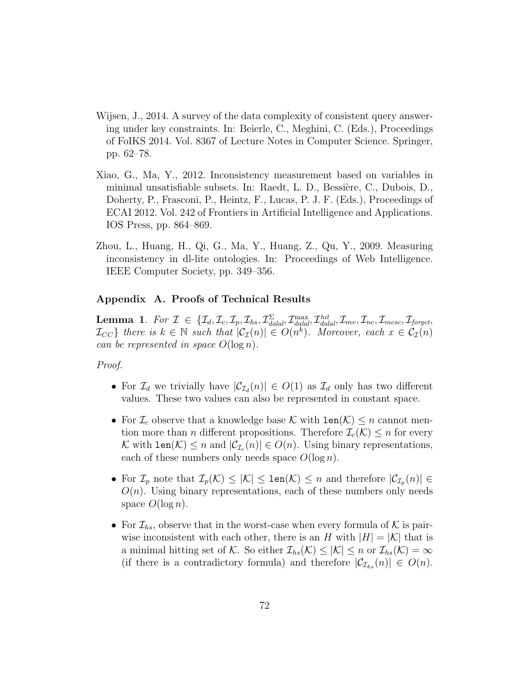- Wijsen, J., 2014. A survey of the data complexity of consistent query answering under key constraints. In: Beierle, C., Meghini, C. (Eds.), Proceedings of FoIKS 2014. Vol. 8367 of Lecture Notes in Computer Science. Springer, pp. 62–78.
- Xiao, G., Ma, Y., 2012. Inconsistency measurement based on variables in minimal unsatisfiable subsets. In: Raedt, L. D., Bessière, C., Dubois, D., Doherty, P., Frasconi, P., Heintz, F., Lucas, P. J. F. (Eds.), Proceedings of ECAI 2012. Vol. 242 of Frontiers in Artificial Intelligence and Applications. IOS Press, pp. 864–869.
- Zhou, L., Huang, H., Qi, G., Ma, Y., Huang, Z., Qu, Y., 2009. Measuring inconsistency in dl-lite ontologies. In: Proceedings of Web Intelligence. IEEE Computer Society, pp. 349–356.

# Appendix A. Proofs of Technical Results

**Lemma 1.** For  $\mathcal{I} \in \{ \mathcal{I}_d, \mathcal{I}_c, \mathcal{I}_p, \mathcal{I}_{hs}, \mathcal{I}_{d\n }^\Sigma, \mathcal{I}_{d\n }^\text{max}, \mathcal{I}_{d\n }^\text{hit}, \mathcal{I}_{mv}, \mathcal{I}_{nc}, \mathcal{I}_{m\text{csc}}, \mathcal{I}_{\text{forget}}, \}$  $\mathcal{I}_{CC}$  there is  $k \in \mathbb{N}$  such that  $|\mathcal{C}_{\mathcal{I}}(n)| \in O(n^k)$ . Moreover, each  $x \in \mathcal{C}_{\mathcal{I}}(n)$ can be represented in space  $O(\log n)$ .

# Proof.

- For  $\mathcal{I}_d$  we trivially have  $|\mathcal{C}_{\mathcal{I}_d}(n)| \in O(1)$  as  $\mathcal{I}_d$  only has two different values. These two values can also be represented in constant space.
- For  $\mathcal{I}_c$  observe that a knowledge base K with  $\text{len}(\mathcal{K}) \leq n$  cannot mention more than *n* different propositions. Therefore  $\mathcal{I}_c(\mathcal{K}) \leq n$  for every K with  $\text{len}(\mathcal{K}) \leq n$  and  $|\mathcal{C}_{\mathcal{I}_c}(n)| \in O(n)$ . Using binary representations, each of these numbers only needs space  $O(\log n)$ .
- For  $\mathcal{I}_p$  note that  $\mathcal{I}_p(\mathcal{K}) \leq |\mathcal{K}| \leq \text{len}(\mathcal{K}) \leq n$  and therefore  $|\mathcal{C}_{\mathcal{I}_p}(n)| \in$  $O(n)$ . Using binary representations, each of these numbers only needs space  $O(\log n)$ .
- For  $\mathcal{I}_{hs}$ , observe that in the worst-case when every formula of K is pairwise inconsistent with each other, there is an H with  $|H| = |\mathcal{K}|$  that is a minimal hitting set of K. So either  $\mathcal{I}_{hs}(\mathcal{K}) \leq |\mathcal{K}| \leq n$  or  $\mathcal{I}_{hs}(\mathcal{K}) = \infty$ (if there is a contradictory formula) and therefore  $|\mathcal{C}_{\mathcal{I}_{hs}}(n)| \in O(n)$ .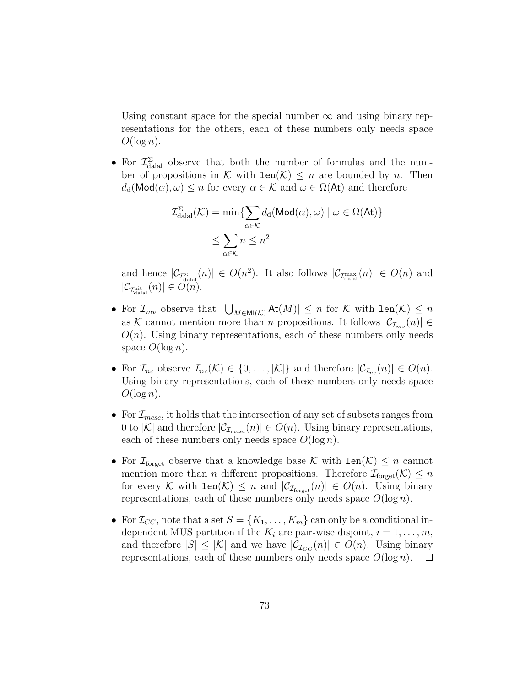Using constant space for the special number  $\infty$  and using binary representations for the others, each of these numbers only needs space  $O(\log n)$ .

• For  $\mathcal{I}_{\text{dala}}^{\Sigma}$  observe that both the number of formulas and the number of propositions in K with  $len(K) \leq n$  are bounded by n. Then  $d_d(\text{Mod}(\alpha), \omega) \leq n$  for every  $\alpha \in \mathcal{K}$  and  $\omega \in \Omega(\mathsf{At})$  and therefore

$$
\mathcal{I}_{\text{dala}}^{\Sigma}(\mathcal{K}) = \min \{ \sum_{\alpha \in \mathcal{K}} d_{\text{d}}(\text{Mod}(\alpha), \omega) \mid \omega \in \Omega(\text{At}) \}
$$

$$
\leq \sum_{\alpha \in \mathcal{K}} n \leq n^2
$$

and hence  $|\mathcal{C}_{\mathcal{I}_{\text{dual}}^{\Sigma}}(n)| \in O(n^2)$ . It also follows  $|\mathcal{C}_{\mathcal{I}_{\text{dual}}^{\max}}(n)| \in O(n)$  and  $|\mathcal{C}_{\mathcal{I}^{\text{hit}}_{\text{datal}}}(n)| \in O(n).$ 

- For  $\mathcal{I}_{mv}$  observe that  $|\bigcup_{M\in\mathsf{MI}(\mathcal{K})}\mathsf{At}(M)|\leq n$  for  $\mathcal K$  with  $\mathsf{len}(\mathcal K)\leq n$ as K cannot mention more than n propositions. It follows  $|\mathcal{C}_{\mathcal{I}_{mv}}(n)| \in$  $O(n)$ . Using binary representations, each of these numbers only needs space  $O(\log n)$ .
- For  $\mathcal{I}_{nc}$  observe  $\mathcal{I}_{nc}(\mathcal{K}) \in \{0, \ldots, |\mathcal{K}|\}$  and therefore  $|\mathcal{C}_{\mathcal{I}_{nc}}(n)| \in O(n)$ . Using binary representations, each of these numbers only needs space  $O(\log n)$ .
- For  $\mathcal{I}_{mcsc}$ , it holds that the intersection of any set of subsets ranges from 0 to |K| and therefore  $|\mathcal{C}_{\mathcal{I}_{mcsc}}(n)| \in O(n)$ . Using binary representations, each of these numbers only needs space  $O(\log n)$ .
- For  $\mathcal{I}_{\text{forget}}$  observe that a knowledge base K with  $\text{len}(\mathcal{K}) \leq n$  cannot mention more than *n* different propositions. Therefore  $\mathcal{I}_{\text{forget}}(\mathcal{K}) \leq n$ for every K with  $len(K) \leq n$  and  $|\mathcal{C}_{\mathcal{I}_{forget}}(n)| \in O(n)$ . Using binary representations, each of these numbers only needs space  $O(\log n)$ .
- For  $\mathcal{I}_{CC}$ , note that a set  $S = \{K_1, \ldots, K_m\}$  can only be a conditional independent MUS partition if the  $K_i$  are pair-wise disjoint,  $i = 1, \ldots, m$ , and therefore  $|S| \leq |\mathcal{K}|$  and we have  $|\mathcal{C}_{\mathcal{I}_{CC}}(n)| \in O(n)$ . Using binary representations, each of these numbers only needs space  $O(\log n)$ .  $\mathbb{R}^n$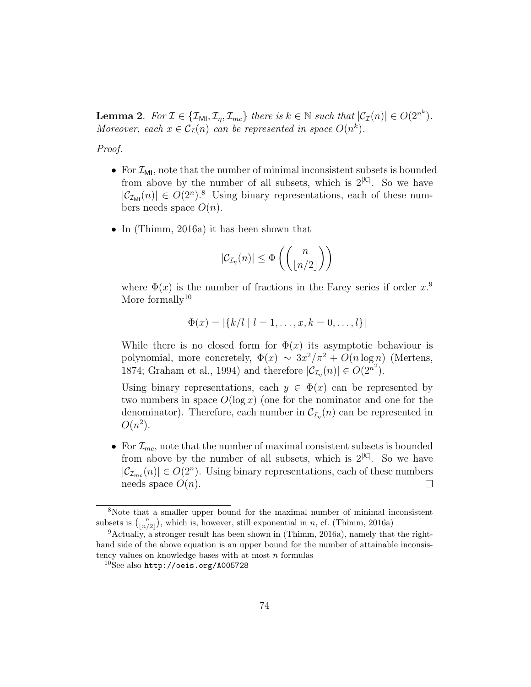**Lemma 2.** For  $\mathcal{I} \in \{ \mathcal{I}_{\mathsf{M}} , \mathcal{I}_{\eta}, \mathcal{I}_{mc} \}$  there is  $k \in \mathbb{N}$  such that  $|\mathcal{C}_{\mathcal{I}}(n)| \in O(2^{n^k})$ . Moreover, each  $x \in C_{\mathcal{I}}(n)$  can be represented in space  $O(n^k)$ .

Proof.

- For  $\mathcal{I}_{\mathsf{M1}}$ , note that the number of minimal inconsistent subsets is bounded from above by the number of all subsets, which is  $2^{\vert \mathcal{K} \vert}$ . So we have  $|\mathcal{C}_{\mathcal{I}_{\mathsf{M}1}}(n)| \in O(2^n).$ <sup>8</sup> Using binary representations, each of these numbers needs space  $O(n)$ .
- In (Thimm, 2016a) it has been shown that

$$
|\mathcal{C}_{\mathcal{I}_{\eta}}(n)| \leq \Phi\left(\binom{n}{\lfloor n/2 \rfloor}\right)
$$

where  $\Phi(x)$  is the number of fractions in the Farey series if order  $x$ <sup>9</sup> More formally<sup>10</sup>

$$
\Phi(x) = |\{k/l \mid l = 1, \dots, x, k = 0, \dots, l\}|
$$

While there is no closed form for  $\Phi(x)$  its asymptotic behaviour is polynomial, more concretely,  $\Phi(x) \sim 3x^2/\pi^2 + O(n \log n)$  (Mertens, 1874; Graham et al., 1994) and therefore  $|\mathcal{C}_{\mathcal{I}_n}(n)| \in O(2^{n^2})$ .

Using binary representations, each  $y \in \Phi(x)$  can be represented by two numbers in space  $O(\log x)$  (one for the nominator and one for the denominator). Therefore, each number in  $\mathcal{C}_{\mathcal{I}_{\eta}}(n)$  can be represented in  $O(n^2)$ .

• For  $\mathcal{I}_{mc}$ , note that the number of maximal consistent subsets is bounded from above by the number of all subsets, which is  $2^{\vert \mathcal{K} \vert}$ . So we have  $|\mathcal{C}_{\mathcal{I}_{mc}}(n)| \in O(2^n)$ . Using binary representations, each of these numbers needs space  $O(n)$ .  $\Box$ 

<sup>8</sup>Note that a smaller upper bound for the maximal number of minimal inconsistent subsets is  $\binom{n}{\lfloor n/2 \rfloor}$ , which is, however, still exponential in n, cf. (Thimm, 2016a)

<sup>9</sup>Actually, a stronger result has been shown in (Thimm, 2016a), namely that the righthand side of the above equation is an upper bound for the number of attainable inconsistency values on knowledge bases with at most  $n$  formulas

 $10$ See also http://oeis.org/A005728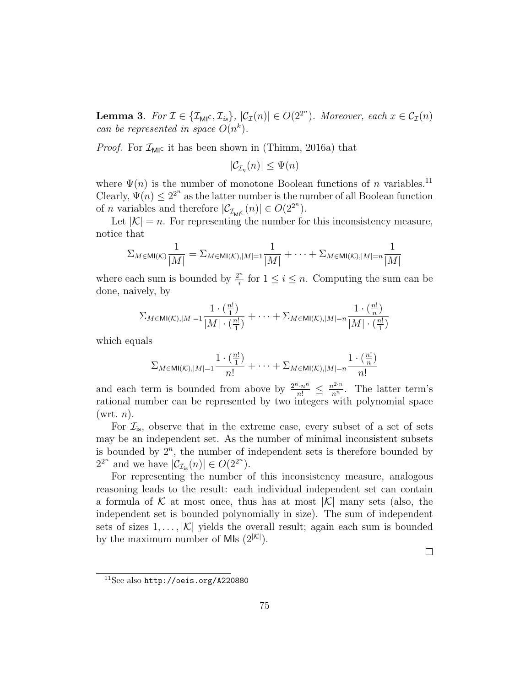**Lemma 3.** For  $\mathcal{I} \in \{ \mathcal{I}_{\mathsf{MI}}(C, \mathcal{I}_{is}), |\mathcal{C}_{\mathcal{I}}(n)| \in O(2^{2^n})\$ . Moreover, each  $x \in \mathcal{C}_{\mathcal{I}}(n)$ can be represented in space  $O(n^k)$ .

*Proof.* For  $\mathcal{I}_{\text{MIC}}$  it has been shown in (Thimm, 2016a) that

$$
|\mathcal{C}_{\mathcal{I}_{\eta}}(n)| \leq \Psi(n)
$$

where  $\Psi(n)$  is the number of monotone Boolean functions of n variables.<sup>11</sup> Clearly,  $\Psi(n) \leq 2^{2^n}$  as the latter number is the number of all Boolean function of *n* variables and therefore  $|\mathcal{C}_{\mathcal{I}_{\text{MIC}}}(n)| \in O(2^{2^n}).$ 

Let  $|K| = n$ . For representing the number for this inconsistency measure, notice that

$$
\Sigma_{M \in \mathsf{MI}(\mathcal{K})} \frac{1}{|M|} = \Sigma_{M \in \mathsf{MI}(\mathcal{K}), |M|=1} \frac{1}{|M|} + \cdots + \Sigma_{M \in \mathsf{MI}(\mathcal{K}), |M|=n} \frac{1}{|M|}
$$

where each sum is bounded by  $\frac{2^n}{i}$  $\frac{n}{i}$  for  $1 \leq i \leq n$ . Computing the sum can be done, naively, by

$$
\Sigma_{M \in \mathsf{MI}(\mathcal{K}), |M| = 1} \frac{1 \cdot (\frac{n!}{1})}{|M| \cdot (\frac{n!}{1})} + \dots + \Sigma_{M \in \mathsf{MI}(\mathcal{K}), |M| = n} \frac{1 \cdot (\frac{n!}{n})}{|M| \cdot (\frac{n!}{1})}
$$

which equals

$$
\Sigma_{M \in \mathsf{MI}(\mathcal{K}), |M|=1} \frac{1 \cdot (\frac{n!}{1})}{n!} + \cdots + \Sigma_{M \in \mathsf{MI}(\mathcal{K}), |M|=n} \frac{1 \cdot (\frac{n!}{n})}{n!}
$$

and each term is bounded from above by  $\frac{2^n \cdot n^n}{n!} \leq \frac{n^{2^n} \cdot n}{n^n}$ . The latter term's rational number can be represented by two integers with polynomial space  $(\text{wrt. } n).$ 

For  $\mathcal{I}_{is}$ , observe that in the extreme case, every subset of a set of sets may be an independent set. As the number of minimal inconsistent subsets is bounded by  $2^n$ , the number of independent sets is therefore bounded by  $2^{2^n}$  and we have  $|\mathcal{C}_{\mathcal{I}_{is}}(n)| \in O(2^{2^n}).$ 

For representing the number of this inconsistency measure, analogous reasoning leads to the result: each individual independent set can contain a formula of K at most once, thus has at most  $|K|$  many sets (also, the independent set is bounded polynomially in size). The sum of independent sets of sizes  $1, \ldots, |\mathcal{K}|$  yields the overall result; again each sum is bounded by the maximum number of MIs  $(2^{|{\cal K}|})$ .

 $\Box$ 

<sup>11</sup>See also http://oeis.org/A220880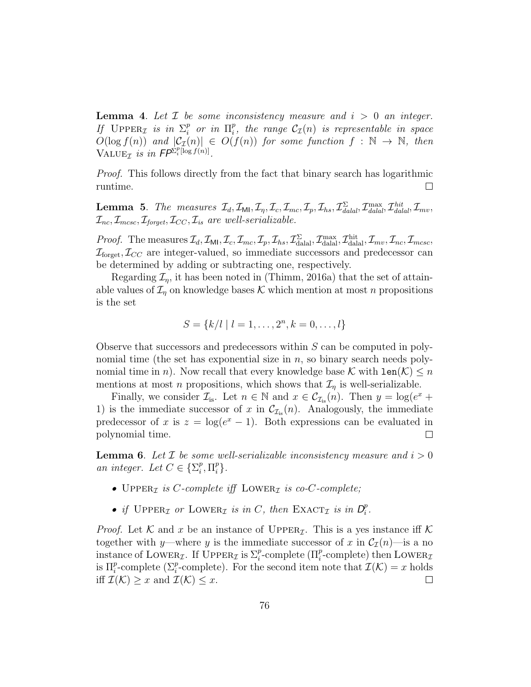**Lemma 4.** Let  $\mathcal{I}$  be some inconsistency measure and  $i > 0$  an integer. If  $\text{UPPER}_{\mathcal{I}}$  is in  $\Sigma_i^p$  $\int_i^p$  or in  $\Pi_i^p$  $_{i}^{p},$  the range  $\mathcal{C}_{\mathcal{I}}(n)$  is representable in space  $O(\log f(n))$  and  $|\mathcal{C}_{\mathcal{I}}(n)| \in O(f(n))$  for some function  $f : \mathbb{N} \to \mathbb{N}$ , then VALUE<sub>T</sub> is in  $FP^{\sum_{i}^{p}[\log f(n)]}$ .

Proof. This follows directly from the fact that binary search has logarithmic  $\Box$ runtime.

**Lemma 5.** The measures  $\mathcal{I}_d$ ,  $\mathcal{I}_{\mathsf{Ml}}$ ,  $\mathcal{I}_\eta$ ,  $\mathcal{I}_c$ ,  $\mathcal{I}_{mc}$ ,  $\mathcal{I}_p$ ,  $\mathcal{I}_{hs}$ ,  $\mathcal{I}_{\text{d}alal}^{\Sigma}$ ,  $\mathcal{I}_{\text{d}alal}^{\text{max}}$ ,  $\mathcal{I}_{\text{d}alal}^{\text{hit}}$ ,  $\mathcal{I}_{mv}$ ,  $\mathcal{I}_{\text{nc}}, \mathcal{I}_{\text{mcsc}}, \mathcal{I}_{\text{foroet}}, \mathcal{I}_{CC}, \mathcal{I}_{\text{is}}$  are well-serializable.

*Proof.* The measures  $\mathcal{I}_d$ ,  $\mathcal{I}_{\text{MI}}$ ,  $\mathcal{I}_c$ ,  $\mathcal{I}_{mc}$ ,  $\mathcal{I}_p$ ,  $\mathcal{I}_{hs}$ ,  $\mathcal{I}_{\text{d.}}^{\Sigma}$ ,  $\mathcal{I}_{\text{m.}}^{\text{max}}$ ,  $\mathcal{I}_{\text{m.}}^{\text{hit}}$ ,  $\mathcal{I}_{mv}$ ,  $\mathcal{I}_{mc}$ ,  $\mathcal{I}_{mcsc}$ ,  $\mathcal{I}_{\text{forest}}, \mathcal{I}_{CC}$  are integer-valued, so immediate successors and predecessor can be determined by adding or subtracting one, respectively.

Regarding  $\mathcal{I}_n$ , it has been noted in (Thimm, 2016a) that the set of attainable values of  $\mathcal{I}_\eta$  on knowledge bases K which mention at most n propositions is the set

$$
S = \{k/l \mid l = 1, \dots, 2^n, k = 0, \dots, l\}
$$

Observe that successors and predecessors within S can be computed in polynomial time (the set has exponential size in  $n$ , so binary search needs polynomial time in n). Now recall that every knowledge base K with  $len(K) \leq n$ mentions at most *n* propositions, which shows that  $\mathcal{I}_{\eta}$  is well-serializable.

Finally, we consider  $\mathcal{I}_{is}$ . Let  $n \in \mathbb{N}$  and  $x \in \mathcal{C}_{\mathcal{I}_{is}}(n)$ . Then  $y = \log(e^x +$ 1) is the immediate successor of x in  $\mathcal{C}_{\mathcal{I}_{is}}(n)$ . Analogously, the immediate predecessor of x is  $z = \log(e^x - 1)$ . Both expressions can be evaluated in polynomial time.  $\Box$ 

**Lemma 6.** Let  $\mathcal{I}$  be some well-serializable inconsistency measure and  $i > 0$ an integer. Let  $C \in \{\Sigma_i^p\}$  $_i^p$ ,  $\Pi_i^p$  $_i^p\}.$ 

- UPPER<sub>I</sub> is *C*-complete iff LOWER<sub>I</sub> is co-*C*-complete;
- if UPPER<sub>I</sub> or LOWER<sub>I</sub> is in C, then EXACT<sub>I</sub> is in  $D_i^p$  $\frac{p}{i}$  .

*Proof.* Let K and x be an instance of UPPER<sub>L</sub>. This is a yes instance iff K together with y—where y is the immediate successor of x in  $\mathcal{C}_{\mathcal{I}}(n)$ —is a no instance of LOWER<sub>*I*</sub>. If  $\text{Upper}$  is  $\Sigma_i^p$ -complete ( $\Pi_i^p$ -complete) then LOWER<sub>*I*</sub> is  $\Pi_i^p$ -complete ( $\Sigma_i^p$ -complete). For the second item note that  $\mathcal{I}(\mathcal{K})=x$  holds iff  $\mathcal{I}(\mathcal{K}) \geq x$  and  $\mathcal{I}(\mathcal{K}) \leq x$ .  $\Box$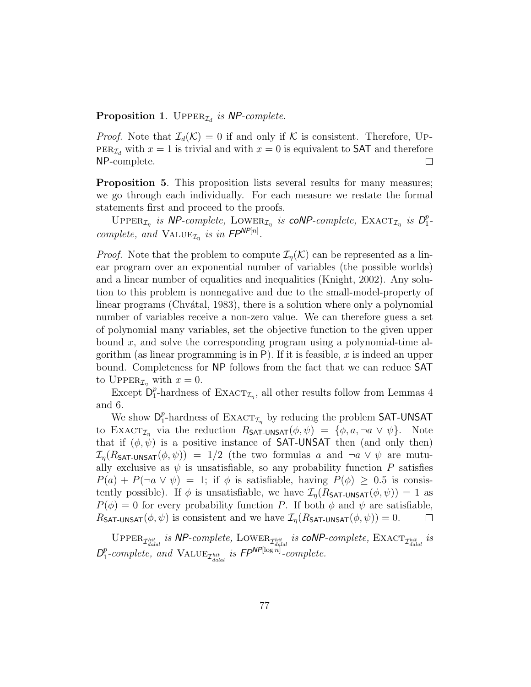## **Proposition 1.** UPPER<sub> $I_d$ </sub> is NP-complete.

*Proof.* Note that  $\mathcal{I}_d(\mathcal{K}) = 0$  if and only if  $\mathcal K$  is consistent. Therefore, UP- $PER_{\mathcal{I}_d}$  with  $x = 1$  is trivial and with  $x = 0$  is equivalent to SAT and therefore NP-complete.  $\Box$ 

Proposition 5. This proposition lists several results for many measures; we go through each individually. For each measure we restate the formal statements first and proceed to the proofs.

UPPER<sub>I<sub>n</sub></sub> is NP-complete, LOWER<sub>I<sub>n</sub></sub> is coNP-complete, EXACT<sub>I<sub>n</sub></sub> is  $D_1^p$  $\frac{p}{1}$ complete, and VALUE<sub> $\mathcal{I}_n$ </sub> is in  $FP^{NP[n]}$ .

*Proof.* Note that the problem to compute  $\mathcal{I}_n(\mathcal{K})$  can be represented as a linear program over an exponential number of variables (the possible worlds) and a linear number of equalities and inequalities (Knight, 2002). Any solution to this problem is nonnegative and due to the small-model-property of linear programs (Chvátal, 1983), there is a solution where only a polynomial number of variables receive a non-zero value. We can therefore guess a set of polynomial many variables, set the objective function to the given upper bound  $x$ , and solve the corresponding program using a polynomial-time algorithm (as linear programming is in  $P$ ). If it is feasible, x is indeed an upper bound. Completeness for NP follows from the fact that we can reduce SAT to UPPER<sub> $I_n$ </sub> with  $x = 0$ .

Except  $D_1^p$ <sup>*p*</sup>-hardness of EXACT<sub>*L*</sub></sub>, all other results follow from Lemmas 4 and 6.

We show  $\mathsf{D}_1^p$ <sup>*p*</sup>-hardness of EXACT<sub>*I<sub>n</sub>*</sub> by reducing the problem SAT-UNSAT to EXACT<sub>In</sub> via the reduction  $R_{\text{SAT-UNSAT}}(\phi, \psi) = {\phi, a, \neg a \lor \psi}.$  Note that if  $(\phi, \psi)$  is a positive instance of **SAT-UNSAT** then (and only then)  $\mathcal{I}_n(R_{\text{SAT-UNSAT}}(\phi, \psi)) = 1/2$  (the two formulas a and  $\neg a \vee \psi$  are mutually exclusive as  $\psi$  is unsatisfiable, so any probability function P satisfies  $P(a) + P(\neg a \lor \psi) = 1$ ; if  $\phi$  is satisfiable, having  $P(\phi) \geq 0.5$  is consistently possible). If  $\phi$  is unsatisfiable, we have  $\mathcal{I}_{\eta}(R_{\text{SAT-UNSAT}}(\phi, \psi)) = 1$  as  $P(\phi) = 0$  for every probability function P. If both  $\phi$  and  $\psi$  are satisfiable,  $R_{\text{SAT-UNSAT}}(\phi, \psi)$  is consistent and we have  $\mathcal{I}_n(R_{\text{SAT-UNSAT}}(\phi, \psi)) = 0$ .  $\Box$ 

UPPER<sub>*Thit is* NP-complete, LOWER<sub>*Thit</sub> is* coNP-complete, EXACT<sub>*Thit is* is</sub></sub></sub>  $D_1^p$  $_{1}^{p}$ -complete, and VALUE<sub>Thiti</sub> is  $FP^{NP[\log n]}$ -complete.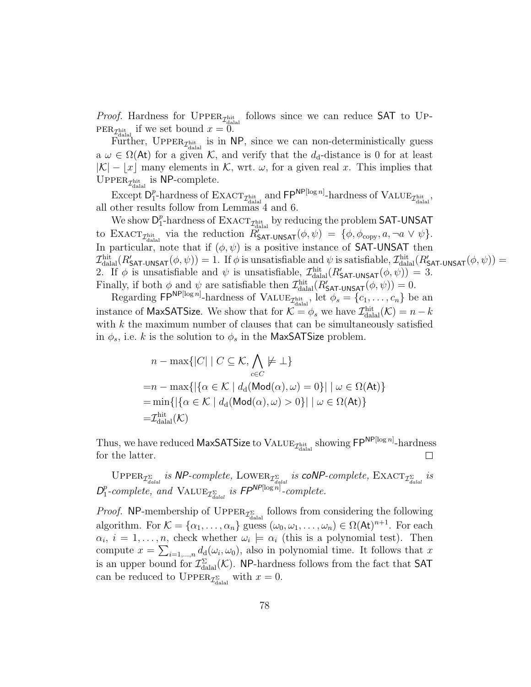*Proof.* Hardness for  $UPPER_{\mathcal{I}_{\text{dala}}}$  follows since we can reduce SAT to UP- $PER_{\mathcal{I}_{\text{dual}}^{\text{hit}}}$  if we set bound  $x = 0$ .

Further, UPPER<sub> $\mathcal{I}_{\text{dala}}^{\text{hit}}$  is in NP, since we can non-deterministically guess</sub> a  $\omega \in \Omega(\mathsf{At})$  for a given K, and verify that the  $d_d$ -distance is 0 for at least  $|K| - |x|$  many elements in K, wrt.  $\omega$ , for a given real x. This implies that UPPER<sub> $\mathcal{I}_{\text{dual}}^{\text{hit}}$  is NP-complete.</sub>

Except  $D_1^p$ <sup>p</sup>-hardness of  $\text{EXACT}_{\mathcal{I}^{\text{hit}}_{\text{dala}}}$  and  $\textsf{FP}^{\textsf{NP}[\log n]}$ -hardness of  $\text{VALUE}_{\mathcal{I}^{\text{hit}}_{\text{dala}}}$ all other results follow from Lemmas 4 and 6.

We show  $\mathsf{D}_1^p$  $\frac{p}{1}$ -hardness of  $\text{EXACT}_{\mathcal{I}^{\text{hit}}_{\text{dala}}}$  by reducing the problem <code>SAT-UNSAT</code> to EXACT<sub>*T*hit</sub> via the reduction  $R_{\text{SAT-UNSAT}}^{(d)}(\phi, \psi) = {\phi, \phi_{\text{copy}}, a, \neg a \vee \psi}.$ In particular, note that if  $(\phi, \psi)$  is a positive instance of **SAT-UNSAT** then  $\mathcal{I}^{\text{hit}}_{\text{dala}}(R'_{\text{SAT-UNSAT}}(\phi, \psi)) = 1.$  If  $\phi$  is unsatisfiable and  $\psi$  is satisfiable,  $\mathcal{I}^{\text{hit}}_{\text{dala}}(R'_{\text{SAT-UNSAT}}(\phi, \psi)) =$ 2. If  $\phi$  is unsatisfiable and  $\psi$  is unsatisfiable,  $\mathcal{I}^{\text{hit}}_{\text{datal}}(R'_{\text{SAT-UNSAT}}(\phi, \psi)) = 3$ . Finally, if both  $\phi$  and  $\psi$  are satisfiable then  $\mathcal{I}^{\text{hit}}_{\text{datal}}(R'_{\text{SAT-UNSAT}}(\phi, \psi)) = 0$ .

Regarding  $\mathsf{FP}^{\mathsf{NP}[\log n]}$ -hardness of  $\text{VALUE}_{\mathcal{I}_{\text{dial}}^{\text{hit}}}, \text{let } \phi_s = \{c_1, \ldots, c_n\}$  be an instance of MaxSATSize. We show that for  $\mathcal{K} = \phi_s$  we have  $\mathcal{I}_{\text{dala}}^{\text{hit}}(\mathcal{K}) = n - k$ with  $k$  the maximum number of clauses that can be simultaneously satisfied in  $\phi_s$ , i.e. k is the solution to  $\phi_s$  in the MaxSATSize problem.

$$
n - \max\{|C| \mid C \subseteq \mathcal{K}, \bigwedge_{c \in C} \neq \bot\}
$$
  
=
$$
n - \max\{|\{\alpha \in \mathcal{K} \mid d_d(\text{Mod}(\alpha), \omega) = 0\}| \mid \omega \in \Omega(\text{At})\}
$$
  
=
$$
\min\{|\{\alpha \in \mathcal{K} \mid d_d(\text{Mod}(\alpha), \omega) > 0\}| \mid \omega \in \Omega(\text{At})\}
$$
  
=
$$
\mathcal{I}_{\text{dala}}^{\text{hit}}(\mathcal{K})
$$

Thus, we have reduced MaxSATSize to  $\text{VALUE}_{\mathcal{I}^\text{hit}_\text{dalaal}}$  showing  $\mathsf{FP}^\textsf{NP[log\,}n]$ -hardness for the latter.  $\Box$ 

UPPER<sub>T<sub>Zalal</sub> is NP-complete, LOWER<sub>T</sub><sub>Zalal</sub> is coNP-complete, EXACT<sub>T</sub><sub>Zalal</sub> is</sub>  $D_1^p$  $_{1}^{p}$ -complete, and VALUE<sub>T<sub>dalal</sub> is  $FP^{NP[\log n]}$ -complete.</sub>

*Proof.* NP-membership of  $\text{UPPER}_{\mathcal{I}^{\Sigma}_{\text{datal}}}$  follows from considering the following algorithm. For  $\mathcal{K} = {\alpha_1, \ldots, \alpha_n}$  guess  $(\omega_0, \omega_1, \ldots, \omega_n) \in \Omega(\mathsf{At})^{n+1}$ . For each  $\alpha_i, i = 1, \ldots, n$ , check whether  $\omega_i \models \alpha_i$  (this is a polynomial test). Then compute  $x = \sum_{i=1,\dots,n} d_d(\omega_i, \omega_0)$ , also in polynomial time. It follows that x is an upper bound for  $\mathcal{I}_{\text{dual}}^{\Sigma}(\mathcal{K})$ . NP-hardness follows from the fact that SAT can be reduced to  $\text{UPPER}_{\mathcal{I}_{\text{dual}}^{\Sigma}}$  with  $x=0$ .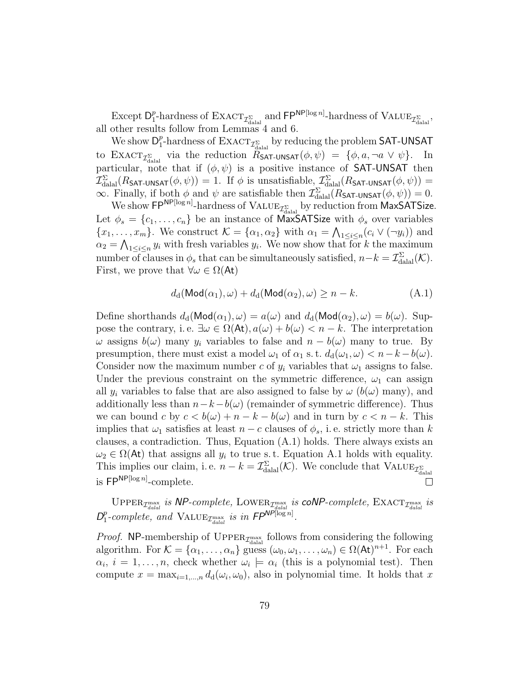Except  $D_1^p$ <sup>*p*</sup>-hardness of  $\text{EXACT}_{\mathcal{I}^{\Sigma}_{\text{dall}}}$  and  $\text{FP}^{\text{NP}[\log n]}$ -hardness of  $\text{VALUE}_{\mathcal{I}^{\Sigma}_{\text{dall}}}$ , all other results follow from Lemmas 4 and 6.

We show  $\mathsf{D}_1^p$  $\frac{p}{1}$ -hardness of  $\text{EXACT}_{\mathcal{I}^{\Sigma}_{\text{datal}}}$  by reducing the problem <code>SAT-UNSAT</code> to  $\text{EXACT}_{\mathcal{I}_{\text{dual}}^{\Sigma}}$  via the reduction  $\hat{R}_{\text{SAT-UNSAT}}(\phi, \psi) = {\phi, a, \neg a \vee \psi}.$  In particular, note that if  $(\phi, \psi)$  is a positive instance of SAT-UNSAT then  $\mathcal{I}^{\Sigma}_{\rm{dala}}(R$ sat-unsat $(\phi, \psi)) = 1$ . If  $\phi$  is unsatisfiable,  $\mathcal{I}^{\Sigma}_{\rm{dala}}(R$ sat-unsat $(\phi, \psi)) = 1$  $\infty$ . Finally, if both  $\phi$  and  $\psi$  are satisfiable then  $\mathcal{I}_{\text{dala}}^{\Sigma}(R_{\text{SAT-UNSAT}}(\phi, \psi)) = 0$ .

We show  $\mathsf{FP}^{\mathsf{NP}[\log n]}$ -hardness of  $\mathrm{VALUE}_{\mathcal{I}^{\Sigma}_{\text{dala}}}$  by reduction from MaxSATSize. Let  $\phi_s = \{c_1, \ldots, c_n\}$  be an instance of MaxSATSize with  $\phi_s$  over variables  $\{x_1, \ldots, x_m\}$ . We construct  $\mathcal{K} = \{\alpha_1, \alpha_2\}$  with  $\alpha_1 = \bigwedge_{1 \leq i \leq n} (c_i \vee (\neg y_i))$  and  $\alpha_2 = \bigwedge_{1 \leq i \leq n} y_i$  with fresh variables  $y_i$ . We now show that for k the maximum number of clauses in  $\phi_s$  that can be simultaneously satisfied,  $n-k = \mathcal{I}_{\text{dala}}^{\Sigma}(\mathcal{K})$ . First, we prove that  $\forall \omega \in \Omega(\mathsf{At})$ 

$$
d_d(\mathsf{Mod}(\alpha_1), \omega) + d_d(\mathsf{Mod}(\alpha_2), \omega) \ge n - k. \tag{A.1}
$$

Define shorthands  $d_d(\text{Mod}(\alpha_1), \omega) = a(\omega)$  and  $d_d(\text{Mod}(\alpha_2), \omega) = b(\omega)$ . Suppose the contrary, i.e.  $\exists \omega \in \Omega(\mathsf{At}), a(\omega) + b(\omega) < n - k$ . The interpretation  $\omega$  assigns  $b(\omega)$  many  $y_i$  variables to false and  $n - b(\omega)$  many to true. By presumption, there must exist a model  $\omega_1$  of  $\alpha_1$  s. t.  $d_d(\omega_1, \omega) < n - k - b(\omega)$ . Consider now the maximum number c of  $y_i$  variables that  $\omega_1$  assigns to false. Under the previous constraint on the symmetric difference,  $\omega_1$  can assign all  $y_i$  variables to false that are also assigned to false by  $\omega$  ( $b(\omega)$  many), and additionally less than  $n-k-b(\omega)$  (remainder of symmetric difference). Thus we can bound c by  $c < b(\omega) + n - k - b(\omega)$  and in turn by  $c < n - k$ . This implies that  $\omega_1$  satisfies at least  $n - c$  clauses of  $\phi_s$ , i.e. strictly more than k clauses, a contradiction. Thus, Equation (A.1) holds. There always exists an  $\omega_2 \in \Omega(\mathsf{At})$  that assigns all  $y_i$  to true s.t. Equation A.1 holds with equality. This implies our claim, i.e.  $n - k = \mathcal{I}_{\text{datal}}^{\Sigma}(\mathcal{K})$ . We conclude that  $\text{VALUE}_{\mathcal{I}_{\text{dual}}^{\Sigma}}$ is  $\mathsf{FP}^{\mathsf{NP}[\log n]}$ -complete.  $\Box$ 

UPPER<sub>*T*max</sub> is NP-complete, LOWER<sub>*T*max</sub> is coNP-complete, EXACT<sub>*T*max</sub> is  $D_1^p$  $_{1}^{p}$ -complete, and VALUE<sub> $\mathcal{I}_{\textit{dald}}^{\text{max}}$  is in  $\mathit{FP}^{\textit{NP}[\log n]}$ .</sub>

*Proof.* NP-membership of  $\text{Upper}_{\mathcal{I}^{\text{max}}_{\text{dabal}}}$  follows from considering the following algorithm. For  $\mathcal{K} = \{\alpha_1, \ldots, \alpha_n\}$  guess  $(\omega_0, \omega_1, \ldots, \omega_n) \in \Omega(\mathsf{At})^{n+1}$ . For each  $\alpha_i, i = 1, \ldots, n$ , check whether  $\omega_i \models \alpha_i$  (this is a polynomial test). Then compute  $x = \max_{i=1,\dots,n} d_d(\omega_i, \omega_0)$ , also in polynomial time. It holds that x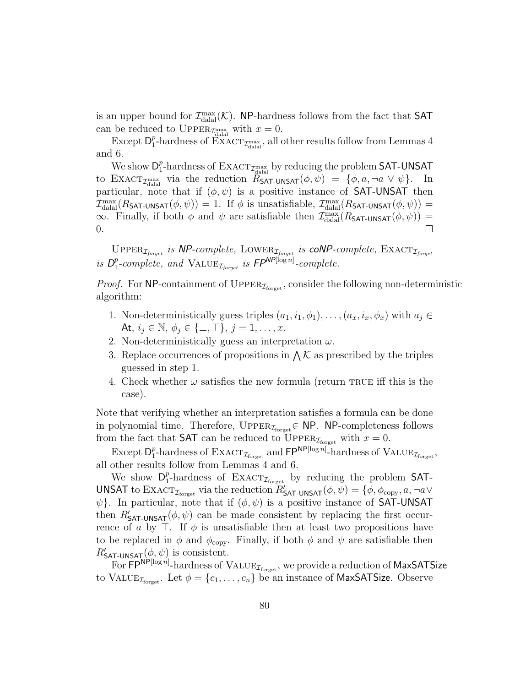is an upper bound for  $\mathcal{I}_{\text{dala}}^{\text{max}}(\mathcal{K})$ . NP-hardness follows from the fact that SAT can be reduced to  $\text{UPPER}_{\text{dual}}$  with  $x = 0$ .

Except  $D_1^p$ <sup>p</sup><sub>1</sub>-hardness of  $\text{EXACT}_{\mathcal{I}_{\text{dual}}}$ , all other results follow from Lemmas 4 and 6.

We show  $\mathsf{D}_1^p$  $\frac{p}{1}$ -hardness of  $\text{EXACT}_{\mathcal{I}^\text{max}_{\text{dala}}}$  by reducing the problem <code>SAT-UNSAT</code> to  $\text{EXACT}_{\mathcal{I}_{\text{dual}}}$  via the reduction  $\hat{R}_{\text{SAT-UNSAT}}(\phi, \psi) = {\phi, a, \neg a \vee \psi}.$  In particular, note that if  $(\phi, \psi)$  is a positive instance of SAT-UNSAT then  $\mathcal{I}^{\max}_{\rm dialal}(R_{\mathsf{SAT-UNSAT}}(\phi, \psi)) = 1$ . If  $\phi$  is unsatisfiable,  $\mathcal{I}^{\max}_{\rm dialal}(R_{\mathsf{SAT-UNSAT}}(\phi, \psi)) = 1$  $\infty$ . Finally, if both  $\phi$  and  $\psi$  are satisfiable then  $\mathcal{I}_{\text{dala}}^{\text{max}}(R_{\text{SAT-UNSAT}}(\phi, \psi))$  =  $\Box$ 0.

UPPER<sub>Iforget</sub> is NP-complete, LOWER<sub>Iforget</sub> is **coNP**-complete,  $\text{EXACT}_{\mathcal{I}_{forget}}$ is  $D_1^p$ <sup>p</sup>-complete, and VALUE<sub> $\mathcal{I}_{forget}$ </sub> is  $FP^{NP[\log n]}$ -complete.

*Proof.* For NP-containment of  $\text{UPPER}_{\mathcal{I}_{\text{forget}}}$ , consider the following non-deterministic algorithm:

- 1. Non-deterministically guess triples  $(a_1, i_1, \phi_1), \ldots, (a_x, i_x, \phi_x)$  with  $a_i \in$ At,  $i_j \in \mathbb{N}, \phi_j \in \{\perp, \top\}, j = 1, \ldots, x$ .
- 2. Non-deterministically guess an interpretation  $\omega$ .
- 3. Replace occurrences of propositions in  $\bigwedge \mathcal{K}$  as prescribed by the triples guessed in step 1.
- 4. Check whether  $\omega$  satisfies the new formula (return TRUE iff this is the case).

Note that verifying whether an interpretation satisfies a formula can be done in polynomial time. Therefore,  $\text{Upper}_{\mathcal{I}_{\text{forget}}} \in \text{NP}.$  NP-completeness follows from the fact that **SAT** can be reduced to UPPER<sub>*I*torget</sub> with  $x = 0$ .

Except  $D_1^p$ <sup>p</sup>-hardness of  $\text{EXACT}_{\mathcal{I}_\text{forget}}$  and  $\textsf{FP}^{\textsf{NP}[\log n]}$ -hardness of  $\text{VALUE}_{\mathcal{I}_\text{forget}},$ all other results follow from Lemmas 4 and 6.

We show  $\mathsf{D}_1^p$ <sup>p</sup>-hardness of  $\text{EXACT}_{\mathcal{I}_{\text{forget}}}$  by reducing the problem SAT-UNSAT to  $\text{EXACT}_{\mathcal{I}_{\text{forget}}}$  via the reduction  $R'_{\text{SAT-UNSAT}}(\phi, \psi) = \{\phi, \phi_{\text{copy}}, a, \neg a \vee \phi\}$  $\psi$ . In particular, note that if  $(\phi, \psi)$  is a positive instance of SAT-UNSAT then  $R'_{\text{SAT-UNSAT}}(\phi, \psi)$  can be made consistent by replacing the first occurrence of a by  $\top$ . If  $\phi$  is unsatisfiable then at least two propositions have to be replaced in  $\phi$  and  $\phi_{\text{copy}}$ . Finally, if both  $\phi$  and  $\psi$  are satisfiable then  $R'_{\text{SAT-UNSAT}}(\phi, \psi)$  is consistent.

For  $\widehat{\mathsf{FP}}^{NP[log n]}$ -hardness of  $\mathrm{VALUE}_{\mathcal{I}_\text{forget}}$ , we provide a reduction of MaxSATSize to VALUE<sub> $I_{\text{forget}}$ </sub>. Let  $\phi = \{c_1, \ldots, c_n\}$  be an instance of MaxSATSize. Observe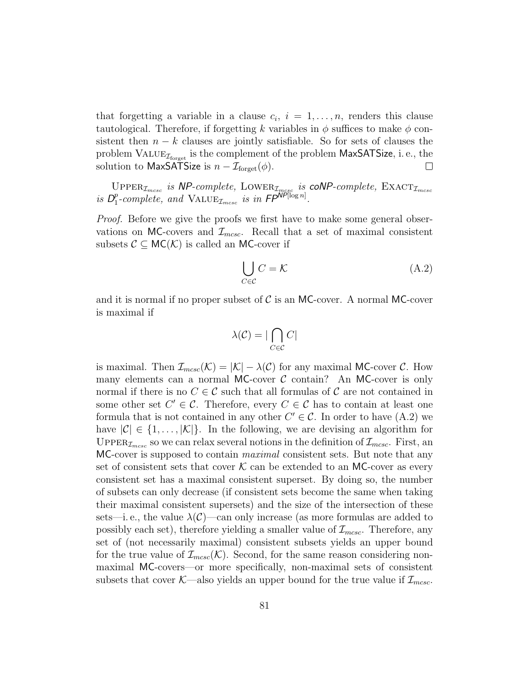that forgetting a variable in a clause  $c_i$ ,  $i = 1, \ldots, n$ , renders this clause tautological. Therefore, if forgetting k variables in  $\phi$  suffices to make  $\phi$  consistent then  $n - k$  clauses are jointly satisfiable. So for sets of clauses the problem  $\text{VALUE}_{\mathcal{I}_\text{forget}}$  is the complement of the problem MaxSATSize, i. e., the solution to MaxSATSize is  $n - \mathcal{I}_{\text{forget}}(\phi)$ .  $\Box$ 

UPPER<sub>Imcsc</sub> is NP-complete, LOWER<sub>Imcsc</sub> is coNP-complete,  $\text{EXACT}_{\mathcal{I}_{mcsc}}$ is  $D_1^p$  $_{1}^{p}$ -complete, and VALUE<sub> $\mathcal{I}_{mcsc}$ </sub> is in  $FP^{NP[\log n]}$ .

Proof. Before we give the proofs we first have to make some general observations on MC-covers and  $\mathcal{I}_{m\text{csc}}$ . Recall that a set of maximal consistent subsets  $C \subseteq MC(\mathcal{K})$  is called an MC-cover if

$$
\bigcup_{C \in \mathcal{C}} C = \mathcal{K} \tag{A.2}
$$

and it is normal if no proper subset of  $\mathcal C$  is an MC-cover. A normal MC-cover is maximal if

$$
\lambda(\mathcal{C}) = |\bigcap_{C \in \mathcal{C}} C|
$$

is maximal. Then  $\mathcal{I}_{mcsc}(\mathcal{K}) = |\mathcal{K}| - \lambda(\mathcal{C})$  for any maximal MC-cover  $\mathcal{C}$ . How many elements can a normal MC-cover  $C$  contain? An MC-cover is only normal if there is no  $C \in \mathcal{C}$  such that all formulas of  $\mathcal{C}$  are not contained in some other set  $C' \in \mathcal{C}$ . Therefore, every  $C \in \mathcal{C}$  has to contain at least one formula that is not contained in any other  $C' \in \mathcal{C}$ . In order to have  $(A.2)$  we have  $|\mathcal{C}| \in \{1, \ldots, |\mathcal{K}|\}$ . In the following, we are devising an algorithm for UPPER<sub>Imcsc</sub> so we can relax several notions in the definition of  $\mathcal{I}_{mcsc}$ . First, an MC-cover is supposed to contain *maximal* consistent sets. But note that any set of consistent sets that cover  $K$  can be extended to an MC-cover as every consistent set has a maximal consistent superset. By doing so, the number of subsets can only decrease (if consistent sets become the same when taking their maximal consistent supersets) and the size of the intersection of these sets—i. e., the value  $\lambda(\mathcal{C})$ —can only increase (as more formulas are added to possibly each set), therefore yielding a smaller value of  $\mathcal{I}_{m\text{csc}}$ . Therefore, any set of (not necessarily maximal) consistent subsets yields an upper bound for the true value of  $\mathcal{I}_{mcsc}(\mathcal{K})$ . Second, for the same reason considering nonmaximal MC-covers—or more specifically, non-maximal sets of consistent subsets that cover K—also yields an upper bound for the true value if  $\mathcal{I}_{mcsc}$ .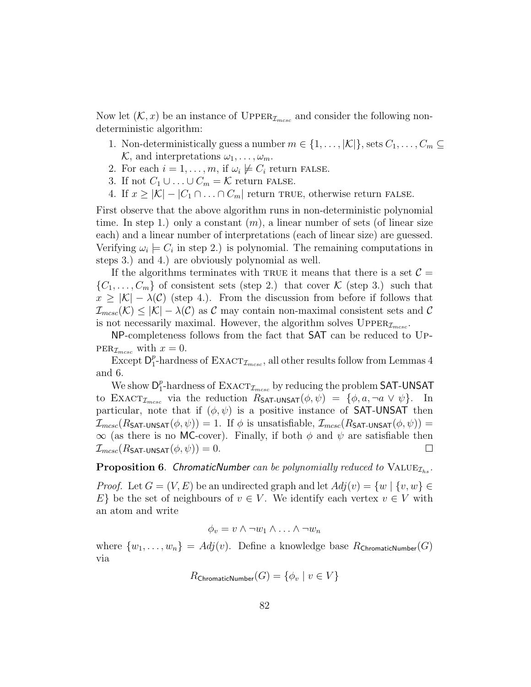Now let  $(\mathcal{K}, x)$  be an instance of UPPER<sub> $\mathcal{I}_{mesc}$ </sub> and consider the following nondeterministic algorithm:

- 1. Non-deterministically guess a number  $m \in \{1, \ldots, |\mathcal{K}|\}$ , sets  $C_1, \ldots, C_m \subseteq$  $\mathcal{K}$ , and interpretations  $\omega_1, \ldots, \omega_m$ .
- 2. For each  $i = 1, \ldots, m$ , if  $\omega_i \not\models C_i$  return FALSE.
- 3. If not  $C_1 \cup \ldots \cup C_m = \mathcal{K}$  return FALSE.
- 4. If  $x \geq |\mathcal{K}| |C_1 \cap ... \cap C_m|$  return TRUE, otherwise return FALSE.

First observe that the above algorithm runs in non-deterministic polynomial time. In step 1.) only a constant  $(m)$ , a linear number of sets (of linear size each) and a linear number of interpretations (each of linear size) are guessed. Verifying  $\omega_i \models C_i$  in step 2.) is polynomial. The remaining computations in steps 3.) and 4.) are obviously polynomial as well.

If the algorithms terminates with TRUE it means that there is a set  $\mathcal{C} =$  $\{C_1,\ldots,C_m\}$  of consistent sets (step 2.) that cover K (step 3.) such that  $x \geq |\mathcal{K}| - \lambda(\mathcal{C})$  (step 4.). From the discussion from before if follows that  $\mathcal{I}_{mcsc}(\mathcal{K}) \leq |\mathcal{K}| - \lambda(\mathcal{C})$  as C may contain non-maximal consistent sets and C is not necessarily maximal. However, the algorithm solves  $\text{Upper}_{\mathcal{I}_{mcsc}}$ .

NP-completeness follows from the fact that SAT can be reduced to Up- $PER_{\mathcal{I}_{mesc}}$  with  $x = 0$ .

Except  $\mathsf{D}_1^p$  $_{1}^{p}$ -hardness of  $\text{EXACT}_{\mathcal{I}_{mcsc}}$ , all other results follow from Lemmas 4 and 6.

We show  $\mathsf{D}_1^p$  $_{1}^{p}$ -hardness of  $\text{EXACT}_{\mathcal{I}_{mcsc}}$  by reducing the problem SAT-UNSAT to  $\text{EXACT}_{\mathcal{I}_{mesc}}$  via the reduction  $R_{\text{SAT-UNSAT}}(\phi, \psi) = {\phi, a, \neg a \lor \psi}.$  In particular, note that if  $(\phi, \psi)$  is a positive instance of **SAT-UNSAT** then  $\mathcal{I}_{mcsc}(R_{\text{SAT-UNSAT}}(\phi, \psi)) = 1.$  If  $\phi$  is unsatisfiable,  $\mathcal{I}_{mcsc}(R_{\text{SAT-UNSAT}}(\phi, \psi)) =$  $\infty$  (as there is no MC-cover). Finally, if both  $\phi$  and  $\psi$  are satisfiable then  $\mathcal{I}_{mesc}(R_{\textsf{SAT-UNSAT}}(\phi, \psi)) = 0.$  $\Box$ 

## **Proposition 6.** ChromaticNumber can be polynomially reduced to  $VALUE_{\mathcal{I}_{hs}}$ .

*Proof.* Let  $G = (V, E)$  be an undirected graph and let  $Adj(v) = \{w \mid \{v, w\} \in$ E} be the set of neighbours of  $v \in V$ . We identify each vertex  $v \in V$  with an atom and write

$$
\phi_v = v \wedge \neg w_1 \wedge \dots \wedge \neg w_n
$$

where  $\{w_1, \ldots, w_n\} = Adj(v)$ . Define a knowledge base  $R_{\text{ChromaticNumber}}(G)$ via

$$
R_{\mathsf{ChromaticNumber}}(G) = \{\phi_v \mid v \in V\}
$$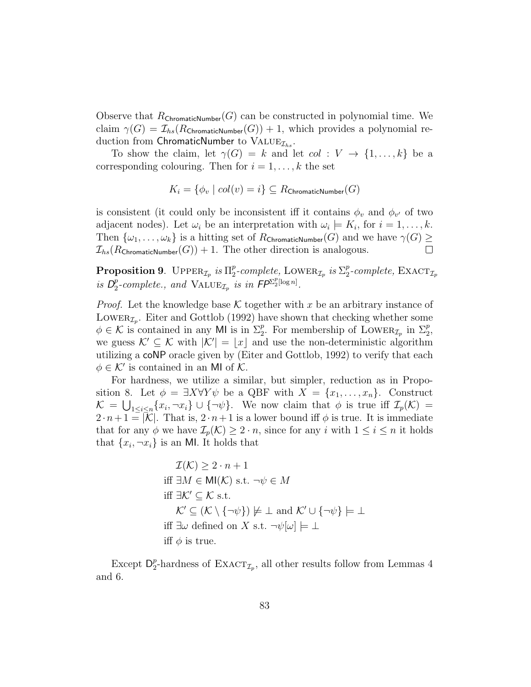Observe that  $R_{\text{ChromaticNumber}}(G)$  can be constructed in polynomial time. We claim  $\gamma(G) = \mathcal{I}_{hs}(R_{\text{ChromaticNumber}}(G)) + 1$ , which provides a polynomial reduction from ChromaticNumber to  $\text{VALUE}_{\mathcal{I}_{hs}}$ .

To show the claim, let  $\gamma(G) = k$  and let  $col : V \to \{1, ..., k\}$  be a corresponding colouring. Then for  $i = 1, \ldots, k$  the set

$$
K_i = \{ \phi_v \mid col(v) = i \} \subseteq R_{\text{ChromaticNumber}}(G)
$$

is consistent (it could only be inconsistent iff it contains  $\phi_v$  and  $\phi_{v'}$  of two adjacent nodes). Let  $\omega_i$  be an interpretation with  $\omega_i \models K_i$ , for  $i = 1, \ldots, k$ . Then  $\{\omega_1,\ldots,\omega_k\}$  is a hitting set of  $R_{\text{ChromaticNumber}}(G)$  and we have  $\gamma(G) \geq$  $\mathcal{I}_{hs}(R_{\text{ChromaticNumber}}(G)) + 1$ . The other direction is analogous.

**Proposition 9.** UPPER<sub> $\mathcal{I}_p$ </sub> is  $\Pi_2^p$  $_{2}^{p}$ -complete, LOWER<sub> $\mathcal{I}_{p}$ </sub> is  $\Sigma_{2}^{p}$  $_{2}^{p}$ -complete,  $\text{EXACT}_{\mathcal{I}_p}$ is  $D_2^p$  $_{2}^{p}$ -complete., and  $\text{VALUE}_{\mathcal{I}_{p}}$  is in  $\mathsf{FP}^{\Sigma_{2}^{p}[\log n]}$ .

*Proof.* Let the knowledge base  $K$  together with x be an arbitrary instance of LOWER<sub> $\mathcal{I}_p$ </sub>. Eiter and Gottlob (1992) have shown that checking whether some  $\phi \in \mathcal{K}$  is contained in any MI is in  $\Sigma_2^p$ . For membership of LOWER<sub> $\mathcal{I}_p$ </sub> in  $\Sigma_2^p$ , we guess  $\mathcal{K}' \subseteq \mathcal{K}$  with  $|\mathcal{K}'| = |x|$  and use the non-deterministic algorithm utilizing a coNP oracle given by (Eiter and Gottlob, 1992) to verify that each  $\phi \in \mathcal{K}'$  is contained in an MI of  $\mathcal{K}$ .

For hardness, we utilize a similar, but simpler, reduction as in Proposition 8. Let  $\phi = \exists X \forall Y \psi$  be a QBF with  $X = \{x_1, \ldots, x_n\}$ . Construct  $\mathcal{K} = \bigcup_{1 \leq i \leq n} \{x_i, \neg x_i\} \cup \{\neg \psi\}.$  We now claim that  $\phi$  is true iff  $\mathcal{I}_p(\mathcal{K}) =$  $2 \cdot n+1 = |\mathcal{K}|$ . That is,  $2 \cdot n+1$  is a lower bound iff  $\phi$  is true. It is immediate that for any  $\phi$  we have  $\mathcal{I}_p(\mathcal{K}) \geq 2 \cdot n$ , since for any i with  $1 \leq i \leq n$  it holds that  $\{x_i, \neg x_i\}$  is an MI. It holds that

$$
\mathcal{I}(\mathcal{K}) \ge 2 \cdot n + 1
$$
  
iff  $\exists M \in \mathsf{MI}(\mathcal{K})$  s.t.  $\neg \psi \in M$   
iff  $\exists \mathcal{K}' \subseteq \mathcal{K}$  s.t.  
 $\mathcal{K}' \subseteq (\mathcal{K} \setminus \{\neg \psi\}) \neq \bot$  and  $\mathcal{K}' \cup \{\neg \psi\} \models \bot$   
iff  $\exists \omega$  defined on  $X$  s.t.  $\neg \psi[\omega] \models \bot$   
iff  $\phi$  is true.

Except  $\mathsf{D}_2^p$ <sup>*p*</sup>-hardness of EXACT<sub>*I<sub>p</sub>*</sub>, all other results follow from Lemmas 4 and 6.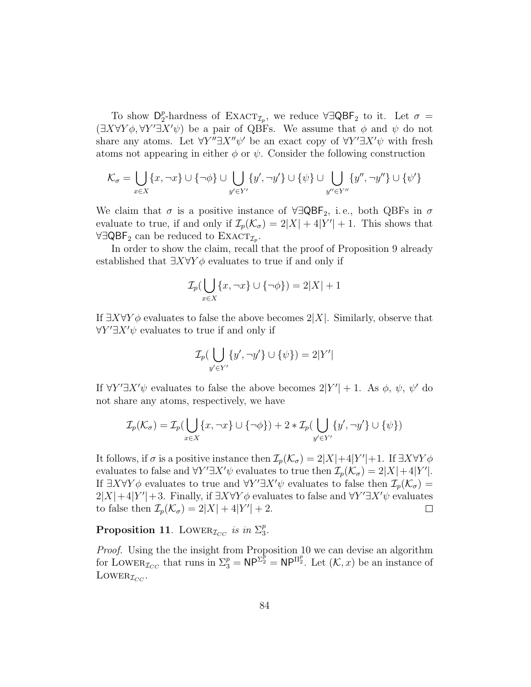To show  $\mathsf{D}_2^p$  $^{p}_{2}$ -hardness of EXACT<sub>*I<sub>p</sub>*</sub>, we reduce ∀∃QBF<sub>2</sub> to it. Let  $\sigma =$  $(\exists X \forall Y \phi, \forall Y' \exists X' \psi)$  be a pair of QBFs. We assume that  $\phi$  and  $\psi$  do not share any atoms. Let  $\forall Y'' \exists X'' \psi'$  be an exact copy of  $\forall Y' \exists X' \psi$  with fresh atoms not appearing in either  $\phi$  or  $\psi$ . Consider the following construction

$$
\mathcal{K}_\sigma=\bigcup_{x\in X}\{x,\neg x\}\cup\{\neg\phi\}\cup\bigcup_{y'\in Y'}\{y',\neg y'\}\cup\{\psi\}\cup\bigcup_{y''\in Y''}\{y'',\neg y''\}\cup\{\psi'\}
$$

We claim that  $\sigma$  is a positive instance of  $\forall \exists \mathsf{QBF}_2$ , i.e., both QBFs in  $\sigma$ evaluate to true, if and only if  $\mathcal{I}_p(\mathcal{K}_\sigma) = 2|X| + 4|Y'| + 1$ . This shows that  $\forall \exists \mathsf{QBF}_2$  can be reduced to  $\operatorname{EXACT}_{\mathcal{I}_p}$ .

In order to show the claim, recall that the proof of Proposition 9 already established that  $\exists X \forall Y \phi$  evaluates to true if and only if

$$
\mathcal{I}_p(\bigcup_{x \in X} \{x, \neg x\} \cup \{\neg \phi\}) = 2|X| + 1
$$

If  $\exists X \forall Y \phi$  evaluates to false the above becomes  $2|X|$ . Similarly, observe that  $\forall Y' \exists X' \psi$  evaluates to true if and only if

$$
\mathcal{I}_p(\bigcup_{y' \in Y'} \{y', \neg y'\} \cup \{\psi\}) = 2|Y'|
$$

If  $\forall Y'\exists X'\psi$  evaluates to false the above becomes  $2|Y'|+1$ . As  $\phi$ ,  $\psi$ ,  $\psi'$  do not share any atoms, respectively, we have

$$
\mathcal{I}_p(\mathcal{K}_\sigma) = \mathcal{I}_p(\bigcup_{x \in X} \{x, \neg x\} \cup \{\neg \phi\}) + 2 * \mathcal{I}_p(\bigcup_{y' \in Y'} \{y', \neg y'\} \cup \{\psi\})
$$

It follows, if  $\sigma$  is a positive instance then  $\mathcal{I}_p(\mathcal{K}_{\sigma}) = 2|X| + 4|Y'| + 1$ . If  $\exists X \forall Y \phi$ evaluates to false and  $\forall Y' \exists X' \psi$  evaluates to true then  $\mathcal{I}_p(\mathcal{K}_\sigma) = 2|X| + 4|Y'|$ . If  $\exists X \forall Y \phi$  evaluates to true and  $\forall Y' \exists X' \psi$  evaluates to false then  $\mathcal{I}_p(\mathcal{K}_\sigma)$  =  $2|X|+4|Y'|+3$ . Finally, if  $\exists X \forall Y \phi$  evaluates to false and  $\forall Y' \exists X' \psi$  evaluates to false then  $\mathcal{I}_p(\mathcal{K}_\sigma) = 2|X| + 4|Y'| + 2$ .  $\Box$ 

Proposition 11. LOWER<sub> $\mathcal{I}_{CC}$ </sub> is in  $\Sigma_3^p$  $_3^p.$ 

Proof. Using the the insight from Proposition 10 we can devise an algorithm for LOWER<sub> $I_{CC}$ </sub> that runs in  $\Sigma_3^p = \mathsf{NP}^{\Sigma_2^p} = \mathsf{NP}^{\Pi_2^p}$ . Let  $(\mathcal{K},x)$  be an instance of LOWER<sub> $I_{CC}$ </sub>.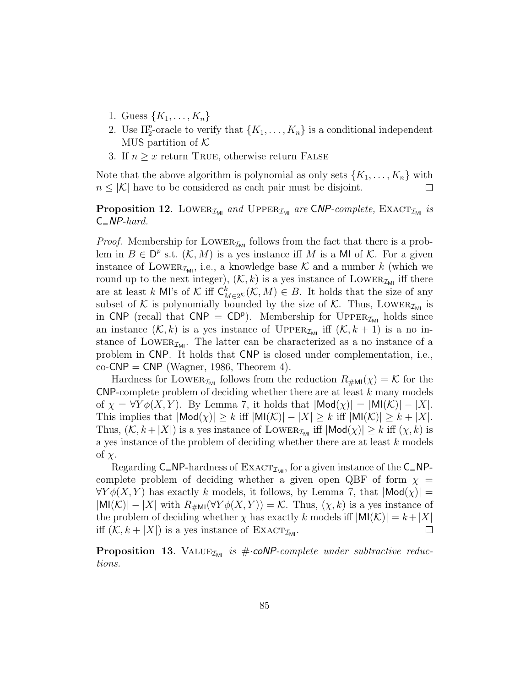- 1. Guess  $\{K_1, \ldots, K_n\}$
- 2. Use  $\Pi_2^p$ -oracle to verify that  $\{K_1, \ldots, K_n\}$  is a conditional independent MUS partition of  $K$
- 3. If  $n \geq x$  return TRUE, otherwise return FALSE

Note that the above algorithm is polynomial as only sets  $\{K_1, \ldots, K_n\}$  with  $n \leq |\mathcal{K}|$  have to be considered as each pair must be disjoint.  $\Box$ 

**Proposition 12.** LOWER<sub>IMI</sub> and UPPER<sub>IMI</sub> are CNP-complete, EXACT<sub>IMI</sub> is  $C=NP-hard$ .

*Proof.* Membership for LOWER<sub> $I_{ML}$ </sub> follows from the fact that there is a problem in  $B \in \mathsf{D}^p$  s.t.  $(\mathcal{K}, M)$  is a yes instance iff M is a MI of K. For a given instance of LOWER<sub> $\mathcal{I}_{M1}$ </sub>, i.e., a knowledge base  $\mathcal{K}$  and a number k (which we round up to the next integer),  $(\mathcal{K}, k)$  is a yes instance of LOWER<sub> $\mathcal{I}_{\mathsf{M}1}$ </sub> iff there are at least k MI's of K iff  $C_{M\in 2^K}^k(\mathcal{K},M) \in B$ . It holds that the size of any subset of K is polynomially bounded by the size of K. Thus, LOWER<sub>IMI</sub> is in CNP (recall that  $CNP = CD^p$ ). Membership for UPPER<sub> $\mathcal{I}_{ML}$ </sub> holds since an instance  $(K, k)$  is a yes instance of UPPER<sub>IMI</sub> iff  $(K, k + 1)$  is a no instance of LOWER<sub> $\mathcal{I}_{\mathsf{M}1}$ </sub>. The latter can be characterized as a no instance of a problem in CNP. It holds that CNP is closed under complementation, i.e.,  $co-CNP = CNP$  (Wagner, 1986, Theorem 4).

Hardness for LOWER<sub> $\mathcal{I}_{ML}$ </sub> follows from the reduction  $R_{\#ML}(\chi) = \mathcal{K}$  for the CNP-complete problem of deciding whether there are at least k many models of  $\chi = \forall Y \phi(X, Y)$ . By Lemma 7, it holds that  $|\textsf{Mod}(\chi)| = |\textsf{MI}(\mathcal{K})| - |X|$ . This implies that  $|\text{Mod}(\chi)| \geq k$  iff  $|\text{MI}(\mathcal{K})| - |X| \geq k$  iff  $|\text{MI}(\mathcal{K})| \geq k + |X|$ . Thus,  $(\mathcal{K}, k + |X|)$  is a yes instance of LOWER<sub>IMI</sub> iff  $|\text{Mod}(\chi)| \geq k$  iff  $(\chi, k)$  is a yes instance of the problem of deciding whether there are at least k models of  $\chi$ .

Regarding  $C=NP$ -hardness of  $\text{EXACT}_{\mathcal{I}_{ML}}$ , for a given instance of the  $C=NP$ complete problem of deciding whether a given open QBF of form  $\chi$  =  $\forall Y \phi(X, Y)$  has exactly k models, it follows, by Lemma 7, that  $|\textsf{Mod}(x)| =$  $|\text{MI}(\mathcal{K})| - |X|$  with  $R_{\text{#MI}}(\forall Y \phi(X, Y)) = \mathcal{K}$ . Thus,  $(\chi, k)$  is a yes instance of the problem of deciding whether  $\chi$  has exactly k models iff  $|M|(\mathcal{K})| = k + |X|$ iff  $(K, k + |X|)$  is a yes instance of  $\text{EXACT}_{\mathcal{I}_{\text{ML}}}$ .  $\Box$ 

**Proposition 13.** VALUE<sub> $I_{\text{MI}}$ </sub> is # $\cdot$ **coNP**-complete under subtractive reductions.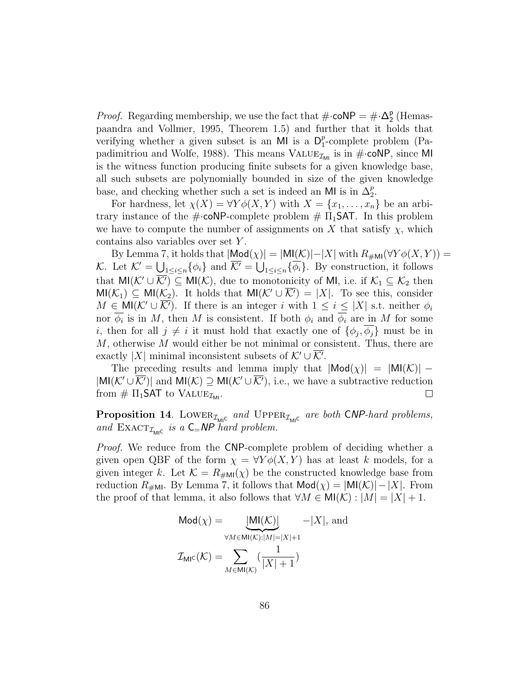*Proof.* Regarding membership, we use the fact that  $\#\text{-coNP} = \#\text{-}\mathbf{\Delta}_2^{\mathsf{p}}$  $2^{\circ}$  (Hemaspaandra and Vollmer, 1995, Theorem 1.5) and further that it holds that verifying whether a given subset is an MI is a  $D_1^p$  $_{1}^{p}$ -complete problem (Papadimitriou and Wolfe, 1988). This means  $\text{VALUE}_{\mathcal{I}_{\text{MI}}}$  is in  $\#$ -coNP, since MI is the witness function producing finite subsets for a given knowledge base, all such subsets are polynomially bounded in size of the given knowledge base, and checking whether such a set is indeed an MI is in  $\Delta_2^p$ .

For hardness, let  $\chi(X) = \forall Y \phi(X, Y)$  with  $X = \{x_1, \ldots, x_n\}$  be an arbitrary instance of the  $\#\text{-coNP-complete problem} \# \Pi_1\text{SAT}$ . In this problem we have to compute the number of assignments on X that satisfy  $\chi$ , which contains also variables over set Y .

By Lemma 7, it holds that  $|\text{Mod}(\chi)| = |\text{MI}(\mathcal{K})| - |X|$  with  $R_{\text{#MI}}(\forall Y \phi(X, Y)) =$ K. Let  $\mathcal{K}' = \bigcup_{1 \leq i \leq n} {\{\phi_i\}}$  and  $\overline{\mathcal{K}'} = \bigcup_{1 \leq i \leq n} {\{\overline{\phi_i}\}}$ . By construction, it follows that  $\mathsf{MI}(\mathcal{K}' \cup \overline{\mathcal{K}'}) \subseteq \mathsf{MI}(\mathcal{K})$ , due to monotonicity of MI, i.e. if  $\mathcal{K}_1 \subseteq \mathcal{K}_2$  then  $MI(\mathcal{K}_1) \subseteq MI(\mathcal{K}_2)$ . It holds that  $MI(\mathcal{K}' \cup \overline{\mathcal{K}'}) = |X|$ . To see this, consider  $M \in \mathsf{MI}(\mathcal{K}' \cup \overline{\mathcal{K}'})$ . If there is an integer i with  $1 \leq i \leq |X|$  s.t. neither  $\phi_i$ nor  $\phi_i$  is in M, then M is consistent. If both  $\phi_i$  and  $\phi_i$  are in M for some *i*, then for all  $j \neq i$  it must hold that exactly one of  $\{\phi_j, \phi_j\}$  must be in  $M$ , otherwise  $M$  would either be not minimal or consistent. Thus, there are exactly |X| minimal inconsistent subsets of  $K' \cup \overline{K'}$ .

The preceding results and lemma imply that  $|Mod(\chi)| = |MI(\mathcal{K})|$  –  $|\textsf{MI}(\mathcal{K}' \cup \overline{\mathcal{K}'})|$  and  $\textsf{MI}(\mathcal{K}) \supseteq \textsf{MI}(\mathcal{K}' \cup \overline{\mathcal{K}'})$ , i.e., we have a subtractive reduction from  $\# \Pi_1$ SAT to VALUE<sub> $\mathcal{I}_{ML}$ </sub>.  $\Box$ 

**Proposition 14.** LOWER<sub> $\mathcal{I}_{\text{MIC}}$  and  $\text{UPPER}_{\mathcal{I}_{\text{MIC}}}$  are both CNP-hard problems,</sub> and  $\text{EXACT}_{\mathcal{I}_{\text{MIC}}}$  is a  $C=NP$  hard problem.

*Proof.* We reduce from the CNP-complete problem of deciding whether a given open QBF of the form  $\chi = \forall Y \phi(X, Y)$  has at least k models, for a given integer k. Let  $\mathcal{K} = R_{\#M}(\chi)$  be the constructed knowledge base from reduction  $R_{\# \text{MI}}$ . By Lemma 7, it follows that  $\text{Mod}(\chi) = |\text{MI}(\mathcal{K})| - |X|$ . From the proof of that lemma, it also follows that  $\forall M \in \mathsf{MI}(\mathcal{K}): |M| = |X| + 1$ .

$$
\text{Mod}(\chi) = \underbrace{\text{MI}(\mathcal{K})}_{\forall M \in \text{MI}(\mathcal{K}): |M| = |X|+1} - |X|, \text{ and}
$$

$$
\mathcal{I}_{\text{MI}^{\mathsf{C}}}(\mathcal{K}) = \sum_{M \in \text{MI}(\mathcal{K})} \left(\frac{1}{|X|+1}\right)
$$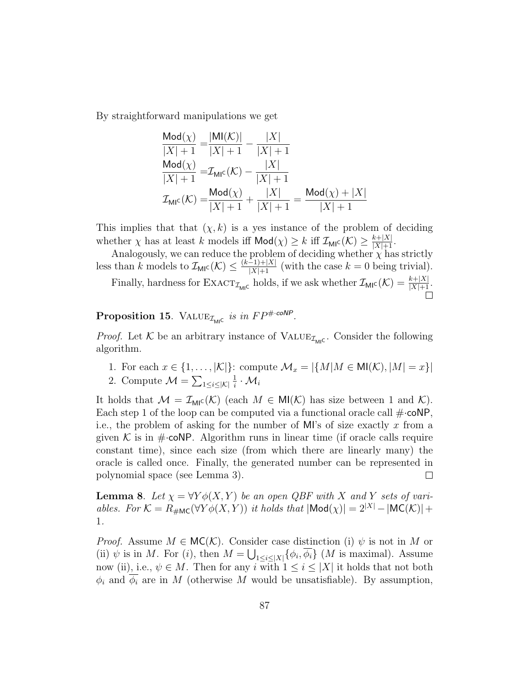By straightforward manipulations we get

$$
\frac{\text{Mod}(\chi)}{|X|+1} = \frac{|M|(\mathcal{K})|}{|X|+1} - \frac{|X|}{|X|+1}
$$
  
\n
$$
\frac{\text{Mod}(\chi)}{|X|+1} = \mathcal{I}_{\text{MIC}}(\mathcal{K}) - \frac{|X|}{|X|+1}
$$
  
\n
$$
\mathcal{I}_{\text{MIC}}(\mathcal{K}) = \frac{\text{Mod}(\chi)}{|X|+1} + \frac{|X|}{|X|+1} = \frac{\text{Mod}(\chi) + |X|}{|X|+1}
$$

This implies that that  $(\chi, k)$  is a yes instance of the problem of deciding whether  $\chi$  has at least k models iff  $\text{Mod}(\chi) \geq k$  iff  $\mathcal{I}_{\text{MIC}}(\mathcal{K}) \geq \frac{k+|X|}{|X|+1}$ .

Analogously, we can reduce the problem of deciding whether  $\chi$  has strictly less than k models to  $\mathcal{I}_{\text{MI}}(\mathcal{K}) \leq \frac{(k-1)+|X|}{|X|+1}$  (with the case  $k=0$  being trivial).

Finally, hardness for  $\text{EXACT}_{\mathcal{I}_{\text{MI}^{\text{C}}}}$  holds, if we ask whether  $\mathcal{I}_{\text{MI}^{\text{C}}}(\mathcal{K}) = \frac{k+|X|}{|X|+1}$ .

## **Proposition 15.** VALUE<sub> $I_{\text{MIC}}$ </sub> is in  $FP^{\# \cdot \text{coNP}}$ .

*Proof.* Let  $K$  be an arbitrary instance of VALUE<sub> $\mathcal{I}_{ML}$ </sub>. Consider the following algorithm.

- 1. For each  $x \in \{1, \ldots, |\mathcal{K}|\}$ : compute  $\mathcal{M}_x = |\{M | M \in \mathsf{MI}(\mathcal{K}), |M| = x\}|$
- 2. Compute  $\mathcal{M} = \sum_{1 \leq i \leq |\mathcal{K}|}$ 1  $\frac{1}{i} \cdot \mathcal{M}_i$

It holds that  $\mathcal{M} = \mathcal{I}_{\text{MIC}}(\mathcal{K})$  (each  $M \in \text{MI}(\mathcal{K})$  has size between 1 and  $\mathcal{K}$ ). Each step 1 of the loop can be computed via a functional oracle call  $\#$  cones i.e., the problem of asking for the number of MI's of size exactly  $x$  from a given K is in  $\#$ -coNP. Algorithm runs in linear time (if oracle calls require constant time), since each size (from which there are linearly many) the oracle is called once. Finally, the generated number can be represented in polynomial space (see Lemma 3).  $\Box$ 

**Lemma 8.** Let  $\chi = \forall Y \phi(X, Y)$  be an open QBF with X and Y sets of variables. For  $\mathcal{K} = R_{\#MC}(\forall Y \phi(X, Y))$  it holds that  $|\text{Mod}(\chi)| = 2^{|X|} - |\text{MC}(K)| +$ 1.

*Proof.* Assume  $M \in \mathsf{MC}(\mathcal{K})$ . Consider case distinction (i)  $\psi$  is not in M or (ii)  $\psi$  is in M. For (i), then  $M = \bigcup_{1 \leq i \leq |X|} {\{\phi_i, \phi_i\}}$  (M is maximal). Assume now (ii), i.e.,  $\psi \in M$ . Then for any i with  $1 \leq i \leq |X|$  it holds that not both  $\phi_i$  and  $\phi_i$  are in M (otherwise M would be unsatisfiable). By assumption,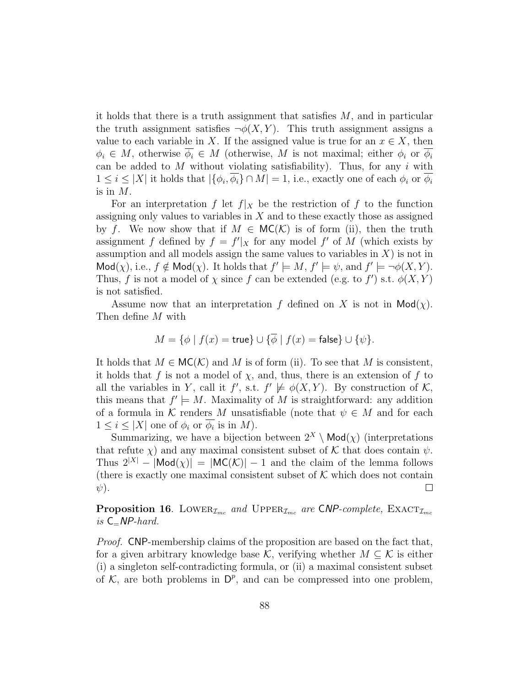it holds that there is a truth assignment that satisfies  $M$ , and in particular the truth assignment satisfies  $\neg \phi(X, Y)$ . This truth assignment assigns a value to each variable in X. If the assigned value is true for an  $x \in X$ , then  $\phi_i \in M$ , otherwise  $\overline{\phi_i} \in M$  (otherwise, M is not maximal; either  $\phi_i$  or  $\overline{\phi_i}$ can be added to  $M$  without violating satisfiability). Thus, for any i with  $1 \leq i \leq |X|$  it holds that  $|\{\phi_i, \phi_i\} \cap M| = 1$ , i.e., exactly one of each  $\phi_i$  or  $\phi_i$ is in  $M$ .

For an interpretation f let  $f|_X$  be the restriction of f to the function assigning only values to variables in  $X$  and to these exactly those as assigned by f. We now show that if  $M \in \mathsf{MC}(\mathcal{K})$  is of form (ii), then the truth assignment f defined by  $f = f'|_X$  for any model f' of M (which exists by assumption and all models assign the same values to variables in  $X$ ) is not in  $\mathsf{Mod}(\chi)$ , i.e.,  $f \notin \mathsf{Mod}(\chi)$ . It holds that  $f' \models M, f' \models \psi$ , and  $f' \models \neg \phi(X, Y)$ . Thus, f is not a model of  $\chi$  since f can be extended (e.g. to f') s.t.  $\phi(X, Y)$ is not satisfied.

Assume now that an interpretation f defined on X is not in  $\mathsf{Mod}(\chi)$ . Then define M with

$$
M = \{ \phi \mid f(x) = \mathsf{true} \} \cup \{ \overline{\phi} \mid f(x) = \mathsf{false} \} \cup \{ \psi \}.
$$

It holds that  $M \in \mathsf{MC}(\mathcal{K})$  and M is of form (ii). To see that M is consistent, it holds that f is not a model of  $\chi$ , and, thus, there is an extension of f to all the variables in Y, call it  $f'$ , s.t.  $f' \not\models \phi(X, Y)$ . By construction of K, this means that  $f' \models M$ . Maximality of M is straightforward: any addition of a formula in K renders M unsatisfiable (note that  $\psi \in M$  and for each  $1 \leq i \leq |X|$  one of  $\phi_i$  or  $\overline{\phi_i}$  is in M).

Summarizing, we have a bijection between  $2^X \setminus \mathsf{Mod}(\chi)$  (interpretations that refute  $\chi$ ) and any maximal consistent subset of K that does contain  $\psi$ . Thus  $2^{|X|} - |Mod(\chi)| = |MC(K)| - 1$  and the claim of the lemma follows (there is exactly one maximal consistent subset of  $K$  which does not contain  $\psi$ ).  $\Box$ 

**Proposition 16.** LOWER<sub> $I_{mc}$ </sub> and UPPER<sub> $I_{mc}$ </sub> are CNP-complete, EXACT<sub> $I_{mc}$ </sub> is  $C=NP$ -hard.

Proof. CNP-membership claims of the proposition are based on the fact that, for a given arbitrary knowledge base K, verifying whether  $M \subseteq \mathcal{K}$  is either (i) a singleton self-contradicting formula, or (ii) a maximal consistent subset of  $K$ , are both problems in  $D^p$ , and can be compressed into one problem,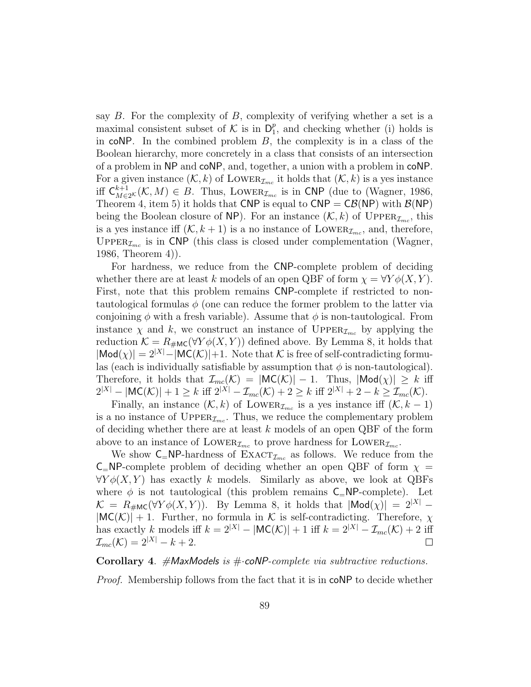say  $B$ . For the complexity of  $B$ , complexity of verifying whether a set is a maximal consistent subset of K is in  $D_1^p$  $_1^p$ , and checking whether (i) holds is in  $coNP$ . In the combined problem  $B$ , the complexity is in a class of the Boolean hierarchy, more concretely in a class that consists of an intersection of a problem in NP and coNP, and, together, a union with a problem in coNP. For a given instance  $(K, k)$  of LOWER<sub> $\mathcal{I}_{mc}$ </sub> it holds that  $(K, k)$  is a yes instance iff  $C_{M\in2}^{k+1}$  ( $\mathcal{K}, M$ )  $\in B$ . Thus, LOWER<sub> $\mathcal{I}_{mc}$ </sub> is in CNP (due to (Wagner, 1986, Theorem 4, item 5) it holds that CNP is equal to  $CNP = CB(NP)$  with  $B(NP)$ being the Boolean closure of NP). For an instance  $(\mathcal{K}, k)$  of  $\text{Upper}_{\mathcal{I}_{mc}}$ , this is a yes instance iff  $(K, k + 1)$  is a no instance of LOWER<sub> $\mathcal{I}_{mc}$ </sub>, and, therefore, UPPER $_{\mathcal{I}_{mc}}$  is in CNP (this class is closed under complementation (Wagner, 1986, Theorem 4)).

For hardness, we reduce from the CNP-complete problem of deciding whether there are at least k models of an open QBF of form  $\chi = \forall Y \phi(X, Y)$ . First, note that this problem remains CNP-complete if restricted to nontautological formulas  $\phi$  (one can reduce the former problem to the latter via conjoining  $\phi$  with a fresh variable). Assume that  $\phi$  is non-tautological. From instance  $\chi$  and k, we construct an instance of UPPER<sub> $\mathcal{I}_{mc}$ </sub> by applying the reduction  $\mathcal{K} = R_{\text{HMC}}(\forall Y \phi(X, Y))$  defined above. By Lemma 8, it holds that  $|\text{Mod}(\chi)| = 2^{|X|} - |\text{MC}(\mathcal{K})| + 1$ . Note that K is free of self-contradicting formulas (each is individually satisfiable by assumption that  $\phi$  is non-tautological). Therefore, it holds that  $\mathcal{I}_{mc}(\mathcal{K}) = |\textsf{MC}(\mathcal{K})| - 1$ . Thus,  $|\textsf{Mod}(\chi)| \geq k$  iff  $2^{|X|} - |\mathsf{MC}(\mathcal{K})| + 1 \geq k \text{ iff } 2^{|X|} - \mathcal{I}_{mc}(\mathcal{K}) + 2 \geq k \text{ iff } 2^{|X|} + 2 - k \geq \mathcal{I}_{mc}(\mathcal{K}).$ 

Finally, an instance  $(\mathcal{K}, k)$  of LOWER<sub> $\mathcal{I}_{mc}$ </sub> is a yes instance iff  $(\mathcal{K}, k - 1)$ is a no instance of  $\text{Upper}_{\mathcal{I}_{mc}}$ . Thus, we reduce the complementary problem of deciding whether there are at least  $k$  models of an open QBF of the form above to an instance of LOWER<sub> $\mathcal{I}_{mc}$ </sub> to prove hardness for LOWER<sub> $\mathcal{I}_{mc}$ </sub>.

We show  $C_N$ -NP-hardness of  $\text{EXACT}_{\mathcal{I}_{mc}}$  as follows. We reduce from the  $C=NP$ -complete problem of deciding whether an open QBF of form  $\chi =$  $\forall Y \phi(X, Y)$  has exactly k models. Similarly as above, we look at QBFs where  $\phi$  is not tautological (this problem remains  $C=NP$ -complete). Let  $\mathcal{K} = R_{\text{HMC}}(\forall Y \phi(X, Y)).$  By Lemma 8, it holds that  $|\text{Mod}(X)| = 2^{|X|} |\textsf{MC}(\mathcal{K})| + 1$ . Further, no formula in K is self-contradicting. Therefore,  $\chi$ has exactly k models iff  $k = 2^{|X|} - |MC(K)| + 1$  iff  $k = 2^{|X|} - \mathcal{I}_{mc}(K) + 2$  iff  $\mathcal{I}_{mc}(\mathcal{K}) = 2^{|X|} - k + 2.$  $\Box$ 

Corollary 4.  $\#$ MaxModels is  $\#$  coNP-complete via subtractive reductions.

Proof. Membership follows from the fact that it is in coNP to decide whether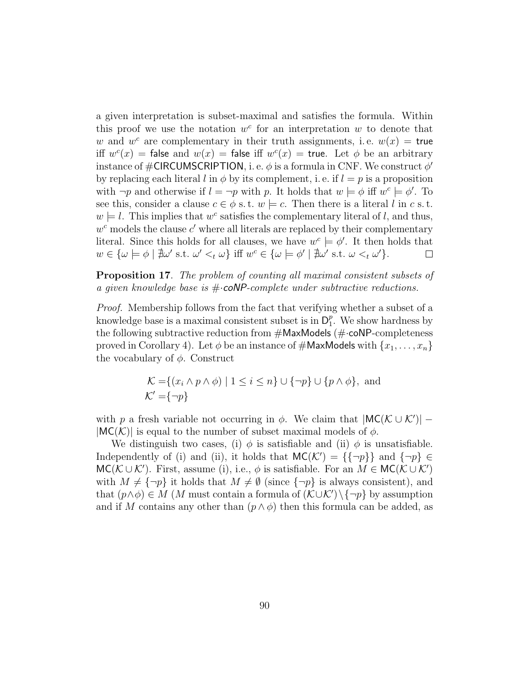a given interpretation is subset-maximal and satisfies the formula. Within this proof we use the notation  $w^c$  for an interpretation w to denote that w and  $w^c$  are complementary in their truth assignments, i.e.  $w(x) =$  true iff  $w^{c}(x)$  = false and  $w(x)$  = false iff  $w^{c}(x)$  = true. Let  $\phi$  be an arbitrary instance of  $\#\mathsf{CIRCUMSCRIPTION}$ , i. e.  $\phi$  is a formula in CNF. We construct  $\phi'$ by replacing each literal l in  $\phi$  by its complement, i.e. if  $l = p$  is a proposition with  $\neg p$  and otherwise if  $l = \neg p$  with p. It holds that  $w \models \phi$  iff  $w^c \models \phi'$ . To see this, consider a clause  $c \in \phi$  s.t.  $w \models c$ . Then there is a literal l in c s.t.  $w \models l$ . This implies that  $w^c$  satisfies the complementary literal of l, and thus,  $w<sup>c</sup>$  models the clause  $c'$  where all literals are replaced by their complementary literal. Since this holds for all clauses, we have  $w^c \models \phi'$ . It then holds that  $w \in {\{\omega \models \phi \mid \nexists \omega' \text{ s.t. } \omega' <_t \omega\}} \text{ iff } w^c \in {\{\omega \models \phi' \mid \nexists \omega' \text{ s.t. } \omega <_t \omega'\}}.$  $\Box$ 

Proposition 17. The problem of counting all maximal consistent subsets of a given knowledge base is  $\#$  coNP-complete under subtractive reductions.

Proof. Membership follows from the fact that verifying whether a subset of a knowledge base is a maximal consistent subset is in  $D_1^p$  $_1^p$ . We show hardness by the following subtractive reduction from  $\#$ MaxModels ( $\#$ ·coNP-completeness proved in Corollary 4). Let  $\phi$  be an instance of  $\#\textsf{MaxModels}$  with  $\{x_1, \ldots, x_n\}$ the vocabulary of  $\phi$ . Construct

$$
\mathcal{K} = \{(x_i \land p \land \phi) \mid 1 \le i \le n\} \cup \{\neg p\} \cup \{p \land \phi\}, \text{ and}
$$

$$
\mathcal{K}' = \{\neg p\}
$$

with p a fresh variable not occurring in  $\phi$ . We claim that  $|MC(K \cup K')|$  –  $|MC(K)|$  is equal to the number of subset maximal models of  $\phi$ .

We distinguish two cases, (i)  $\phi$  is satisfiable and (ii)  $\phi$  is unsatisfiable. Independently of (i) and (ii), it holds that  $MC(K') = {\{\neg p\}}$  and  ${\neg p} \in$  $MC(\mathcal{K}\cup\mathcal{K}')$ . First, assume (i), i.e.,  $\phi$  is satisfiable. For an  $M\in MC(\mathcal{K}\cup\mathcal{K}')$ with  $M \neq {\neg p}$  it holds that  $M \neq \emptyset$  (since  ${\neg p}$  is always consistent), and that  $(p \land \phi) \in M$  (M must contain a formula of  $(\mathcal{K} \cup \mathcal{K}') \setminus {\neg p}$  by assumption and if M contains any other than  $(p \wedge \phi)$  then this formula can be added, as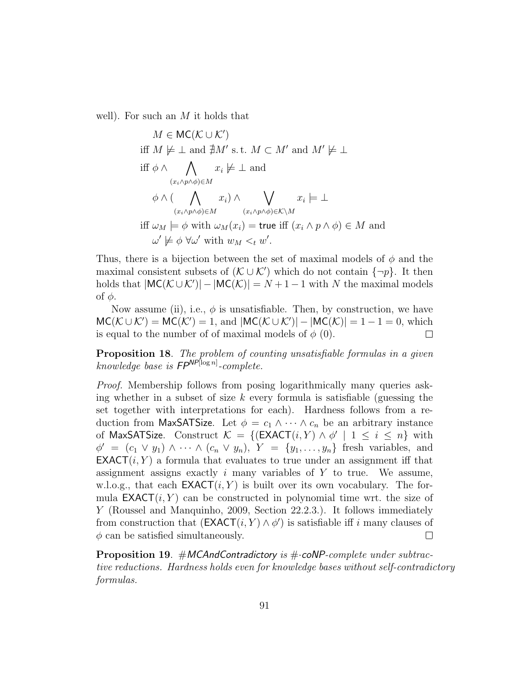well). For such an  $M$  it holds that

$$
M \in \mathsf{MC}(\mathcal{K} \cup \mathcal{K}')
$$
  
iff  $M \not\models \bot$  and  $\nexists M' \text{ s.t. } M \subset M'$  and  $M' \not\models \bot$   
iff  $\phi \land \bigwedge_{(x_i \land p \land \phi) \in M} x_i \not\models \bot$  and  
 $\phi \land (\bigwedge_{(x_i \land p \land \phi) \in M} x_i) \land \bigvee_{(x_i \land p \land \phi) \in \mathcal{K} \setminus M} x_i \models \bot$   
iff  $\omega_M \models \phi \text{ with } \omega_M(x_i) = \text{true iff } (x_i \land p \land \phi) \in M \text{ and}$   
 $\omega' \not\models \phi \forall \omega' \text{ with } w_M \leq_t w'.$ 

Thus, there is a bijection between the set of maximal models of  $\phi$  and the maximal consistent subsets of  $(K \cup K')$  which do not contain  $\{\neg p\}$ . It then holds that  $|MC(K \cup K')| - |MC(K)| = N + 1 - 1$  with N the maximal models of  $φ$ .

Now assume (ii), i.e.,  $\phi$  is unsatisfiable. Then, by construction, we have  $MC(\mathcal{K} \cup \mathcal{K}') = MC(\mathcal{K}') = 1$ , and  $|MC(\mathcal{K} \cup \mathcal{K}')| - |MC(\mathcal{K})| = 1 - 1 = 0$ , which is equal to the number of of maximal models of  $\phi$  (0).  $\Box$ 

Proposition 18. The problem of counting unsatisfiable formulas in a given knowledge base is  $FP^{NP[\log n]}$ -complete.

Proof. Membership follows from posing logarithmically many queries asking whether in a subset of size k every formula is satisfiable (guessing the set together with interpretations for each). Hardness follows from a reduction from MaxSATSize. Let  $\phi = c_1 \wedge \cdots \wedge c_n$  be an arbitrary instance of MaxSATSize. Construct  $\mathcal{K} = \{(\textsf{EXACT}(i, Y) \land \phi' \mid 1 \leq i \leq n\} \text{ with }$  $\phi' = (c_1 \vee y_1) \wedge \cdots \wedge (c_n \vee y_n), Y = \{y_1, \ldots, y_n\}$  fresh variables, and  $\mathsf{EXACT}(i, Y)$  a formula that evaluates to true under an assignment iff that assignment assigns exactly  $i$  many variables of  $Y$  to true. We assume, w.l.o.g., that each  $\mathsf{EXACT}(i, Y)$  is built over its own vocabulary. The formula  $\mathsf{EXACT}(i, Y)$  can be constructed in polynomial time wrt. the size of Y (Roussel and Manquinho, 2009, Section 22.2.3.). It follows immediately from construction that  $(\mathsf{EXACT}(i, Y) \wedge \phi')$  is satisfiable iff i many clauses of  $\phi$  can be satisfied simultaneously.  $\Box$ 

**Proposition 19.** #MCAndContradictory is  $\#$  coNP-complete under subtractive reductions. Hardness holds even for knowledge bases without self-contradictory formulas.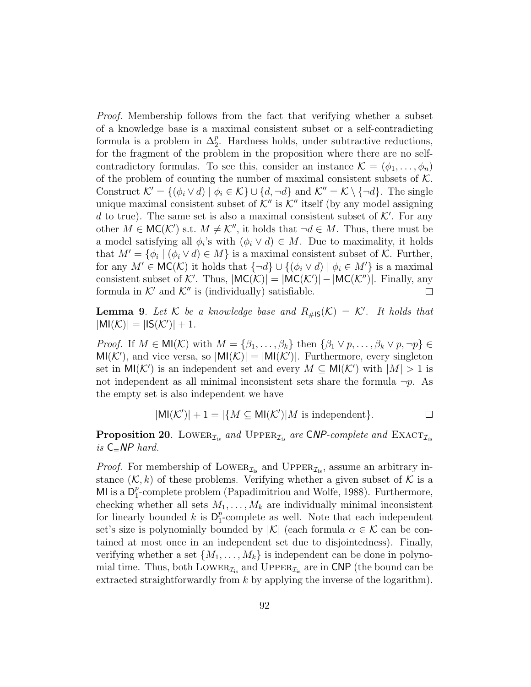Proof. Membership follows from the fact that verifying whether a subset of a knowledge base is a maximal consistent subset or a self-contradicting formula is a problem in  $\Delta_2^p$ . Hardness holds, under subtractive reductions, for the fragment of the problem in the proposition where there are no selfcontradictory formulas. To see this, consider an instance  $\mathcal{K} = (\phi_1, \ldots, \phi_n)$ of the problem of counting the number of maximal consistent subsets of  $K$ . Construct  $\mathcal{K}' = \{(\phi_i \vee d) \mid \phi_i \in \mathcal{K}\} \cup \{d, \neg d\}$  and  $\mathcal{K}'' = \mathcal{K} \setminus \{\neg d\}$ . The single unique maximal consistent subset of  $K''$  is  $K''$  itself (by any model assigning d to true). The same set is also a maximal consistent subset of  $K'$ . For any other  $M \in \mathsf{MC}(\mathcal{K}')$  s.t.  $M \neq \mathcal{K}''$ , it holds that  $\neg d \in M$ . Thus, there must be a model satisfying all  $\phi_i$ 's with  $(\phi_i \vee d) \in M$ . Due to maximality, it holds that  $M' = {\phi_i | (\phi_i \vee d) \in M}$  is a maximal consistent subset of K. Further, for any  $M' \in \mathsf{MC}(\mathcal{K})$  it holds that  $\{\neg d\} \cup \{(\phi_i \vee d) \mid \phi_i \in M'\}$  is a maximal consistent subset of K'. Thus,  $|MC(K)| = |MC(K')| - |MC(K'')|$ . Finally, any formula in  $K'$  and  $K''$  is (individually) satisfiable.  $\Box$ 

**Lemma 9.** Let K be a knowledge base and  $R_{\#1S}(\mathcal{K}) = \mathcal{K}'$ . It holds that  $|\text{MI}(\mathcal{K})| = |\text{IS}(\mathcal{K}')| + 1.$ 

*Proof.* If  $M \in M(\mathcal{K})$  with  $M = {\beta_1, \ldots, \beta_k}$  then  ${\beta_1 \vee p, \ldots, \beta_k \vee p, \neg p} \in$  $MI(\mathcal{K}')$ , and vice versa, so  $|MI(\mathcal{K})| = |MI(\mathcal{K}')|$ . Furthermore, every singleton set in  $\text{MI}(\mathcal{K}')$  is an independent set and every  $M \subseteq \text{MI}(\mathcal{K}')$  with  $|M| > 1$  is not independent as all minimal inconsistent sets share the formula  $\neg p$ . As the empty set is also independent we have

$$
|\text{MI}(\mathcal{K}')| + 1 = |\{ M \subseteq \text{MI}(\mathcal{K}')| M \text{ is independent} \}.
$$

**Proposition 20.** LOWER<sub> $I_{is}$ </sub> and UPPER<sub> $I_{is}$ </sub> are CNP-complete and EXACT<sub> $I_{is}$ </sub> is  $C=NP$  hard.

*Proof.* For membership of LOWER<sub> $\mathcal{I}_{i}$ </sub> and UPPER<sub> $\mathcal{I}_{i}$ </sub>, assume an arbitrary instance  $(K, k)$  of these problems. Verifying whether a given subset of K is a MI is a  $D_1^p$  $_{1}^{p}$ -complete problem (Papadimitriou and Wolfe, 1988). Furthermore, checking whether all sets  $M_1, \ldots, M_k$  are individually minimal inconsistent for linearly bounded k is  $D_1^p$  $_{1}^{p}$ -complete as well. Note that each independent set's size is polynomially bounded by  $|\mathcal{K}|$  (each formula  $\alpha \in \mathcal{K}$  can be contained at most once in an independent set due to disjointedness). Finally, verifying whether a set  $\{M_1, \ldots, M_k\}$  is independent can be done in polynomial time. Thus, both LOWER<sub> $\mathcal{I}_{i}$ </sub> and UPPER<sub> $\mathcal{I}_{i}$ </sub> are in CNP (the bound can be extracted straightforwardly from  $k$  by applying the inverse of the logarithm).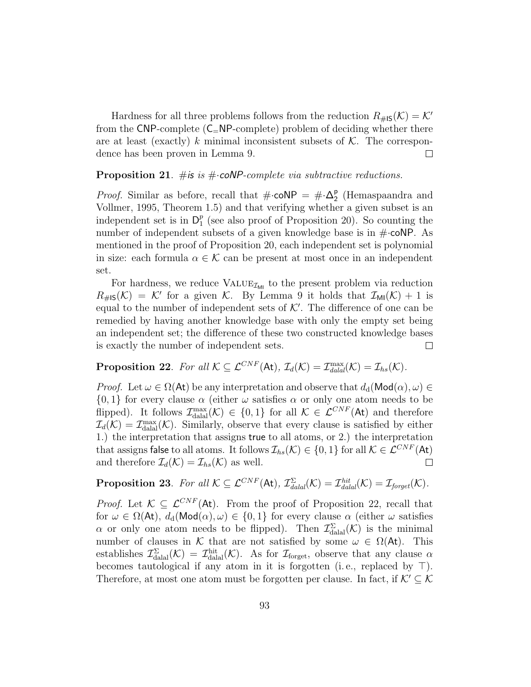Hardness for all three problems follows from the reduction  $R_{\#15}(\mathcal{K}) = \mathcal{K}'$ from the CNP-complete  $(C_$ NP-complete) problem of deciding whether there are at least (exactly) k minimal inconsistent subsets of  $K$ . The correspondence has been proven in Lemma 9.  $\Box$ 

## **Proposition 21.** #is is  $\#$  coNP-complete via subtractive reductions.

*Proof.* Similar as before, recall that  $\#\text{-coNP} = \#\Delta_2^{\mathsf{p}}$ 2 (Hemaspaandra and Vollmer, 1995, Theorem 1.5) and that verifying whether a given subset is an independent set is in  $\mathsf{D}_1^p$  $_1^p$  (see also proof of Proposition 20). So counting the number of independent subsets of a given knowledge base is in  $\#$  coNP. As mentioned in the proof of Proposition 20, each independent set is polynomial in size: each formula  $\alpha \in \mathcal{K}$  can be present at most once in an independent set.

For hardness, we reduce  $\text{VALUE}_{\mathcal{I}_{\text{MI}}}$  to the present problem via reduction  $R_{\#1S}(\mathcal{K}) = \mathcal{K}'$  for a given  $\mathcal{K}$ . By Lemma 9 it holds that  $\mathcal{I}_{\text{MI}}(\mathcal{K}) + 1$  is equal to the number of independent sets of  $K'$ . The difference of one can be remedied by having another knowledge base with only the empty set being an independent set; the difference of these two constructed knowledge bases is exactly the number of independent sets.  $\Box$ 

**Proposition 22.** For all  $K \subseteq \mathcal{L}^{CNF}(\mathsf{At}), \mathcal{I}_d(\mathcal{K}) = \mathcal{I}_{\text{d}al}^{\text{max}}(\mathcal{K}) = \mathcal{I}_{\text{hs}}(\mathcal{K}).$ 

*Proof.* Let  $\omega \in \Omega(\mathsf{At})$  be any interpretation and observe that  $d_d(\mathsf{Mod}(\alpha), \omega) \in$  $\{0,1\}$  for every clause  $\alpha$  (either  $\omega$  satisfies  $\alpha$  or only one atom needs to be flipped). It follows  $\mathcal{I}_{\text{dala}}^{\text{max}}(\mathcal{K}) \in \{0,1\}$  for all  $\mathcal{K} \in \mathcal{L}^{CNF}(\mathsf{At})$  and therefore  $\mathcal{I}_d(\mathcal{K}) = \mathcal{I}_{\text{datal}}^{\text{max}}(\mathcal{K})$ . Similarly, observe that every clause is satisfied by either 1.) the interpretation that assigns true to all atoms, or 2.) the interpretation that assigns false to all atoms. It follows  $\mathcal{I}_{hs}(\mathcal{K}) \in \{0,1\}$  for all  $\mathcal{K} \in \mathcal{L}^{CNF}(\mathsf{At})$ and therefore  $\mathcal{I}_d(\mathcal{K}) = \mathcal{I}_{hs}(\mathcal{K})$  as well.  $\Box$ 

**Proposition 23.** For all  $K \subseteq \mathcal{L}^{CNF}(\mathsf{At}), \mathcal{I}_{\text{dald}}^{\Sigma}(\mathcal{K}) = \mathcal{I}_{\text{dald}}^{\text{hit}}(\mathcal{K}) = \mathcal{I}_{\text{forget}}(\mathcal{K}).$ 

*Proof.* Let  $\mathcal{K} \subseteq \mathcal{L}^{CNF}(\mathsf{At})$ . From the proof of Proposition 22, recall that for  $\omega \in \Omega(\mathsf{At}), d_d(\mathsf{Mod}(\alpha), \omega) \in \{0, 1\}$  for every clause  $\alpha$  (either  $\omega$  satisfies  $\alpha$  or only one atom needs to be flipped). Then  $\mathcal{I}_{\text{datal}}^{\Sigma}(\mathcal{K})$  is the minimal number of clauses in K that are not satisfied by some  $\omega \in \Omega(\mathsf{At})$ . This establishes  $\mathcal{I}_{\text{dual}}^{\Sigma}(\mathcal{K}) = \mathcal{I}_{\text{dual}}^{\text{hit}}(\mathcal{K})$ . As for  $\mathcal{I}_{\text{forget}}$ , observe that any clause  $\alpha$ becomes tautological if any atom in it is forgotten (i.e., replaced by  $\top$ ). Therefore, at most one atom must be forgotten per clause. In fact, if  $K' \subseteq K$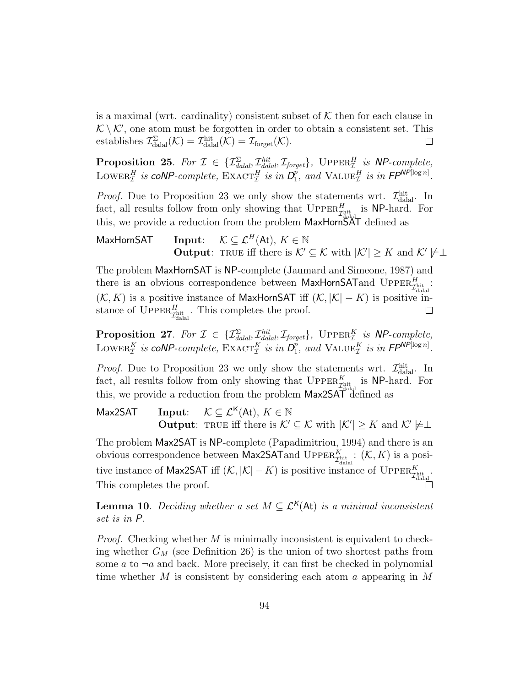is a maximal (wrt. cardinality) consistent subset of  $K$  then for each clause in  $K \setminus K'$ , one atom must be forgotten in order to obtain a consistent set. This establishes  $\mathcal{I}_{\text{dala}}^{\Sigma}(\mathcal{K}) = \mathcal{I}_{\text{dala}}^{\text{hit}}(\mathcal{K}) = \mathcal{I}_{\text{forget}}(\mathcal{K}).$  $\Box$ 

**Proposition 25.** For  $\mathcal{I} \in \{ \mathcal{I}_{\text{d}al}^{\Sigma}, \mathcal{I}_{\text{d}al}^{\text{hit}}, \mathcal{I}_{\text{forget}} \}$ , UPPER $_{\mathcal{I}}^{H}$  is NP-complete, LOWER<sup>H</sup> is coNP-complete,  $\text{EXACT}_{\mathcal{I}}^H$  is in  $D_1^p$  $_{1}^{p}$ , and  $\text{VALUE}_{\mathcal{I}}^{H}$  is in  $\mathsf{FP}^{\mathsf{NP}[\log n]}$ .

*Proof.* Due to Proposition 23 we only show the statements wrt.  $\mathcal{I}^{\text{hit}}_{\text{dala}}$ . In fact, all results follow from only showing that  $\text{UpperR}_{\mathcal{I}^{\text{hit}}_{\text{data}}}^H$  is NP-hard. For this, we provide a reduction from the problem  $MaxHorr\ddot{S}AT$  defined as

MaxHornSAT Input:  $\mathcal{K} \subseteq \mathcal{L}^H(\mathsf{At}), K \in \mathbb{N}$ **Output:** TRUE iff there is  $\mathcal{K}' \subseteq \mathcal{K}$  with  $|\mathcal{K}'| \geq K$  and  $\mathcal{K}' \not\models \perp$ 

The problem MaxHornSAT is NP-complete (Jaumard and Simeone, 1987) and there is an obvious correspondence between MaxHornSAT and UPPER $\frac{H}{\mathcal{I}_{\text{abs}}^{h+1}}$ .  $(\mathcal{K}, K)$  is a positive instance of MaxHornSAT iff  $(\mathcal{K}, |\mathcal{K}| - K)$  is positive instance of  $\text{Upper}_{\mathcal{I}^{\text{hit}}_{\text{dala}}}$ . This completes the proof.  $\Box$ 

**Proposition 27.** For  $\mathcal{I} \in \{ \mathcal{I}_{\text{d}al}^{\Sigma}, \mathcal{I}_{\text{d}al}^{\text{hit}}, \mathcal{I}_{\text{forget}} \}$ , UPPER $_{\mathcal{I}}^{K}$  is NP-complete, LOWER $_1^K$  is coNP-complete,  $\text{EXACT}_{\mathcal{I}}^K$  is in  $D_1^p$  $_{1}^{p}$ , and VALUE<sub>T</sub> is in FP<sup>NP[log n]</sup>.

*Proof.* Due to Proposition 23 we only show the statements wrt.  $\mathcal{I}^{\text{hit}}_{\text{dala}}$ . In fact, all results follow from only showing that  $\text{UPPER}_{\text{Jhitt}}^K$  is NP-hard. For this, we provide a reduction from the problem Max2SAT defined as

Max2SAT Input:  $\mathcal{K} \subseteq \mathcal{L}^{\mathsf{K}}(\mathsf{At}), K \in \mathbb{N}$ **Output:** TRUE iff there is  $\mathcal{K}' \subseteq \mathcal{K}$  with  $|\mathcal{K}'| \geq K$  and  $\mathcal{K}' \not\models \perp$ 

The problem Max2SAT is NP-complete (Papadimitriou, 1994) and there is an obvious correspondence between Max2SAT and UPPER $\frac{K}{\mathcal{I}_{\text{alph}}^{h+1}}$ :  $(\mathcal{K}, K)$  is a positive instance of Max2SAT iff  $(K, |\mathcal{K}| - K)$  is positive instance of UPPER $\frac{K}{\mathcal{I}_{\text{dala}}}$ . This completes the proof.

**Lemma 10.** Deciding whether a set  $M \subseteq \mathcal{L}^{\mathsf{K}}(\mathsf{At})$  is a minimal inconsistent set is in P.

*Proof.* Checking whether  $M$  is minimally inconsistent is equivalent to checking whether  $G_M$  (see Definition 26) is the union of two shortest paths from some a to  $\neg a$  and back. More precisely, it can first be checked in polynomial time whether M is consistent by considering each atom a appearing in  $M$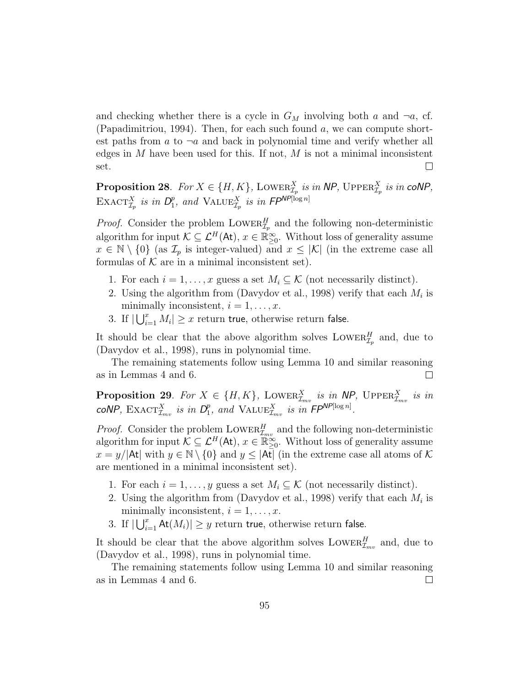and checking whether there is a cycle in  $G_M$  involving both a and  $\neg a$ , cf. (Papadimitriou, 1994). Then, for each such found  $a$ , we can compute shortest paths from a to  $\neg a$  and back in polynomial time and verify whether all edges in  $M$  have been used for this. If not,  $M$  is not a minimal inconsistent  $\Box$ set.

**Proposition 28.** For  $X \in \{H, K\}$ , LOWER $_{\mathcal{I}_p}^X$  is in NP, UPPER $_{\mathcal{I}_p}^X$  is in coNP, EXACT $^X_{\mathcal{I}_p}$  is in  $D_1^p$  $_{1}^{p}$ , and  $\text{VALUE}_{\mathcal{I}_p}^{X}$  is in  $\mathsf{FP}^{\mathsf{NP}[\log n]}$ 

*Proof.* Consider the problem  $\text{Lower}_{\mathcal{I}_p}^H$  and the following non-deterministic algorithm for input  $\mathcal{K} \subseteq \mathcal{L}^H(\mathsf{At}), x \in \mathbb{R}_{\geq 0}^\infty$ . Without loss of generality assume  $x \in \mathbb{N} \setminus \{0\}$  (as  $\mathcal{I}_p$  is integer-valued) and  $x \leq |\mathcal{K}|$  (in the extreme case all formulas of  $K$  are in a minimal inconsistent set).

- 1. For each  $i = 1, \ldots, x$  guess a set  $M_i \subseteq \mathcal{K}$  (not necessarily distinct).
- 2. Using the algorithm from (Davydov et al., 1998) verify that each  $M_i$  is minimally inconsistent,  $i = 1, \ldots, x$ .
- 3. If  $|\bigcup_{i=1}^x M_i| \geq x$  return true, otherwise return false.

It should be clear that the above algorithm solves  $\text{Lower}_{{\mathcal{I}}_p}^H$  and, due to (Davydov et al., 1998), runs in polynomial time.

The remaining statements follow using Lemma 10 and similar reasoning as in Lemmas 4 and 6.  $\Box$ 

**Proposition 29.** For  $X \in \{H, K\}$ , LOWER $_{\mathcal{I}_{mv}}^{X}$  is in NP, UPPER $_{\mathcal{I}_{mv}}^{X}$  is in coNP,  $\text{EXACT}_{\mathcal{I}_{mv}}^X$  is in  $D_1^p$  $_{1}^{p}$ , and VALUE $_{\mathcal{I}_{mv}}^{X}$  is in  $\mathsf{FP}^{\mathsf{NP}[\log n]}$ .

*Proof.* Consider the problem  $\text{Lower}_{\mathcal{I}_{mv}}^H$  and the following non-deterministic algorithm for input  $\mathcal{K} \subseteq \mathcal{L}^H(\mathsf{At}), x \in \mathbb{R}_{\geq 0}^{\infty}$ . Without loss of generality assume  $x = y/|\mathsf{At}|$  with  $y \in \mathbb{N} \setminus \{0\}$  and  $y \leq |\mathsf{At}|$  (in the extreme case all atoms of K) are mentioned in a minimal inconsistent set).

- 1. For each  $i = 1, \ldots, y$  guess a set  $M_i \subseteq \mathcal{K}$  (not necessarily distinct).
- 2. Using the algorithm from (Davydov et al., 1998) verify that each  $M_i$  is minimally inconsistent,  $i = 1, \ldots, x$ .
- 3. If  $|\bigcup_{i=1}^x \mathsf{At}(M_i)| \geq y$  return true, otherwise return false.

It should be clear that the above algorithm solves  $\text{Lower}_{{\mathcal{I}}_{mv}}^H$  and, due to (Davydov et al., 1998), runs in polynomial time.

The remaining statements follow using Lemma 10 and similar reasoning as in Lemmas 4 and 6.  $\Box$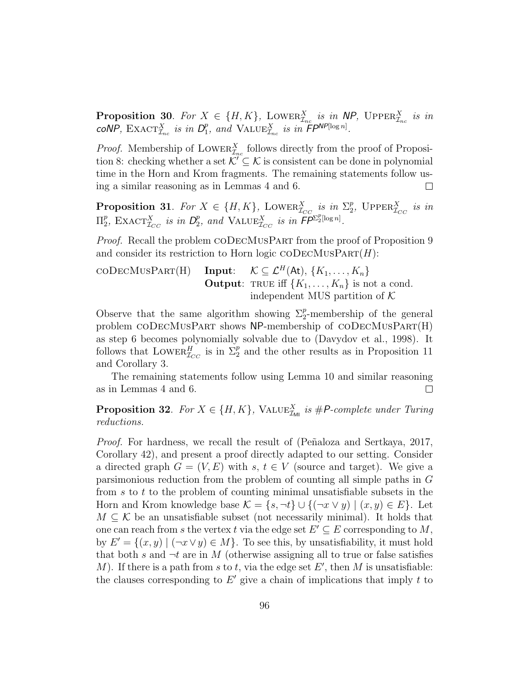**Proposition 30.** For  $X \in \{H, K\}$ , LOWER $_{\mathcal{I}_{nc}}^{X}$  is in NP, UPPER $_{\mathcal{I}_{nc}}^{X}$  is in coNP,  $\text{EXACT}_{\mathcal{I}_{nc}}^{X}$  is in  $D_1^p$  $_{1}^{p}$ , and VALUE $_{\mathcal{I}_{nc}}^{X}$  is in  $F P^{NP[\log n]}$ .

*Proof.* Membership of LOWER $_{\mathcal{I}_{nc}}^{X}$  follows directly from the proof of Proposition 8: checking whether a set  $\mathcal{K}' \subseteq \mathcal{K}$  is consistent can be done in polynomial time in the Horn and Krom fragments. The remaining statements follow using a similar reasoning as in Lemmas 4 and 6.  $\Box$ 

**Proposition 31.** For  $X \in \{H, K\}$ , LOWER $_{\mathcal{I}_{CC}}^{X}$  is in  $\Sigma_{2}^{p}$ <sup>p</sup><sub>2</sub>, UPPER $_{\mathcal{I}_{CC}}^{X}$  is in  $\Pi_2^p$ <sup>p</sup><sub>2</sub>, EXACT<sub> $I_{CC}$ </sub> is in  $D_2^p$  $P_2$ , and  $\text{VALUE}_{\mathcal{I}_{CC}}^X$  is in  $\widetilde{\mathsf{FP}}^{\Sigma_2^n[\log n]}.$ 

Proof. Recall the problem CODECMUSPART from the proof of Proposition 9 and consider its restriction to Horn logic  $\mathrm{coDecMusPar}(H)$ :

$$
\text{coDecMusPar}(H) \quad \text{Input:} \quad \mathcal{K} \subseteq \mathcal{L}^H(\text{At}), \{K_1, \ldots, K_n\}
$$
\n
$$
\text{Output: TRUE iff } \{K_1, \ldots, K_n\} \text{ is not a cond.}
$$
\n
$$
\text{independent MUS partition of } \mathcal{K}
$$

Observe that the same algorithm showing  $\Sigma_2^p$ -membership of the general problem coDecMusPart shows NP-membership of coDecMusPart(H) as step 6 becomes polynomially solvable due to (Davydov et al., 1998). It follows that LOWER $_{\mathcal{I}_{CC}}^H$  is in  $\Sigma_2^p$  and the other results as in Proposition 11 and Corollary 3.

The remaining statements follow using Lemma 10 and similar reasoning as in Lemmas 4 and 6.  $\Box$ 

**Proposition 32.** For  $X \in \{H, K\}$ , VALUE<sub> $\mathcal{I}_{ML}$ </sub> is #P-complete under Turing reductions.

*Proof.* For hardness, we recall the result of (Peñaloza and Sertkaya, 2017, Corollary 42), and present a proof directly adapted to our setting. Consider a directed graph  $G = (V, E)$  with s,  $t \in V$  (source and target). We give a parsimonious reduction from the problem of counting all simple paths in G from  $s$  to  $t$  to the problem of counting minimal unsatisfiable subsets in the Horn and Krom knowledge base  $\mathcal{K} = \{s, \neg t\} \cup \{(\neg x \lor y) \mid (x, y) \in E\}$ . Let  $M \subseteq \mathcal{K}$  be an unsatisfiable subset (not necessarily minimal). It holds that one can reach from s the vertex t via the edge set  $E' \subseteq E$  corresponding to M, by  $E' = \{(x, y) | (\neg x \lor y) \in M\}$ . To see this, by unsatisfiability, it must hold that both s and  $\neg t$  are in M (otherwise assigning all to true or false satisfies M). If there is a path from s to t, via the edge set  $E'$ , then M is unsatisfiable: the clauses corresponding to  $E'$  give a chain of implications that imply t to